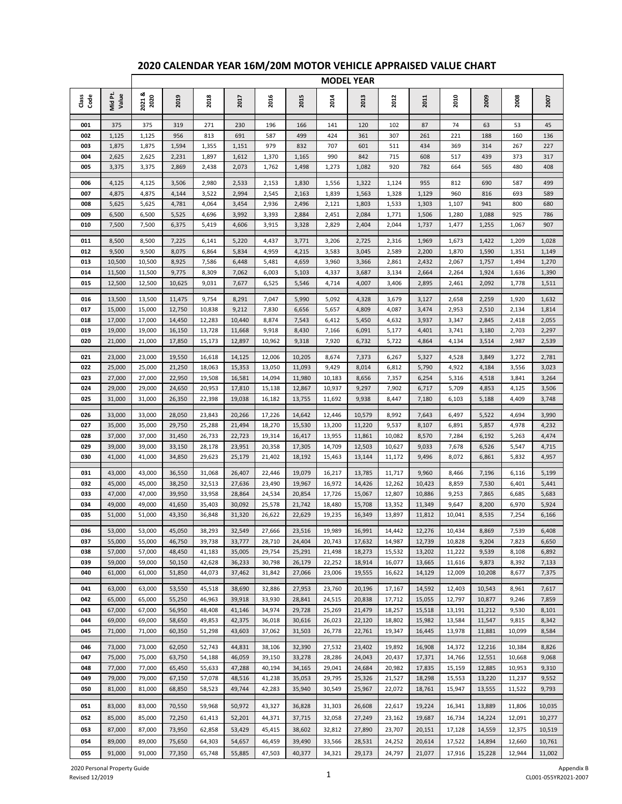|             |                  |                  |                  |                  |                  |                  |                  |                  | <b>MODEL YEAR</b> |                |                |                |                |                |                |
|-------------|------------------|------------------|------------------|------------------|------------------|------------------|------------------|------------------|-------------------|----------------|----------------|----------------|----------------|----------------|----------------|
| das<br>Code | Mid Pt.<br>Value | 2021&<br>2020    | 2019             | 2018             | 2017             | 2016             | 2015             | 2014             | 2013              | 2012           | 2011           | 2010           | 2009           | 2008           | 2007           |
| 001         | 375              | 375              | 319              | 271              | 230              | 196              | 166              | 141              | 120               | 102            | 87             | 74             | 63             | 53             | 45             |
| 002         | 1,125            | 1,125            | 956              | 813              | 691              | 587              | 499              | 424              | 361               | 307            | 261            | 221            | 188            | 160            | 136            |
| 003         | 1,875            | 1,875            | 1,594            | 1,355            | 1,151            | 979              | 832              | 707              | 601               | 511            | 434            | 369            | 314            | 267            | 227            |
| 004         | 2,625            | 2,625            | 2,231            | 1,897            | 1,612            | 1,370            | 1,165            | 990              | 842               | 715            | 608            | 517            | 439            | 373            | 317            |
| 005         | 3,375            | 3,375            | 2,869            | 2,438            | 2,073            | 1,762            | 1,498            | 1,273            | 1,082             | 920            | 782            | 664            | 565            | 480            | 408            |
| 006         | 4,125            | 4,125            | 3,506            | 2,980            | 2,533            | 2,153            | 1,830            | 1,556            | 1,322             | 1,124          | 955            | 812            | 690            | 587            | 499            |
| 007         | 4,875            | 4,875            | 4,144            | 3,522            | 2,994            | 2,545            | 2,163            | 1,839            | 1,563             | 1,328          | 1,129          | 960            | 816            | 693            | 589            |
| 008         | 5,625            | 5,625            | 4,781            | 4,064            | 3,454            | 2,936            | 2,496            | 2,121            | 1,803             | 1,533          | 1,303          | 1,107          | 941            | 800            | 680            |
| 009<br>010  | 6,500            | 6,500            | 5,525            | 4,696            | 3,992            | 3,393            | 2,884            | 2,451            | 2,084             | 1,771          | 1,506          | 1,280          | 1,088          | 925            | 786<br>907     |
|             | 7,500            | 7,500            | 6,375            | 5,419            | 4,606            | 3,915            | 3,328            | 2,829            | 2,404             | 2,044          | 1,737          | 1,477          | 1,255          | 1,067          |                |
| 011         | 8,500            | 8,500            | 7,225            | 6,141            | 5,220            | 4,437            | 3,771            | 3,206            | 2,725             | 2,316          | 1,969          | 1,673          | 1,422          | 1,209          | 1,028          |
| 012         | 9,500            | 9,500            | 8,075            | 6,864            | 5,834            | 4,959            | 4,215            | 3,583            | 3,045             | 2,589          | 2,200          | 1,870          | 1,590          | 1,351          | 1,149          |
| 013         | 10,500           | 10,500           | 8,925            | 7,586            | 6,448            | 5,481            | 4,659            | 3,960            | 3,366             | 2,861          | 2,432          | 2,067          | 1,757          | 1,494          | 1,270          |
| 014<br>015  | 11,500<br>12,500 | 11,500<br>12,500 | 9,775<br>10,625  | 8,309<br>9,031   | 7,062<br>7,677   | 6,003<br>6,525   | 5,103<br>5,546   | 4,337<br>4,714   | 3,687<br>4,007    | 3,134<br>3,406 | 2,664<br>2,895 | 2,264<br>2,461 | 1,924<br>2,092 | 1,636<br>1,778 | 1,390<br>1,511 |
|             |                  |                  |                  |                  |                  |                  |                  |                  |                   |                |                |                |                |                |                |
| 016         | 13,500           | 13,500           | 11,475           | 9,754            | 8,291            | 7,047            | 5,990            | 5,092            | 4,328             | 3,679          | 3,127          | 2,658          | 2,259          | 1,920          | 1,632          |
| 017         | 15,000           | 15,000           | 12,750           | 10,838           | 9,212            | 7,830            | 6,656            | 5,657            | 4,809             | 4,087          | 3,474          | 2,953          | 2,510          | 2,134          | 1,814          |
| 018<br>019  | 17,000<br>19,000 | 17,000<br>19,000 | 14,450<br>16,150 | 12,283<br>13,728 | 10,440<br>11,668 | 8,874<br>9,918   | 7,543<br>8,430   | 6,412<br>7,166   | 5,450<br>6,091    | 4,632<br>5,177 | 3,937<br>4,401 | 3,347<br>3,741 | 2,845<br>3,180 | 2,418<br>2,703 | 2,055<br>2,297 |
| 020         | 21,000           | 21,000           | 17,850           | 15,173           | 12,897           | 10,962           | 9,318            | 7,920            | 6,732             | 5,722          | 4,864          | 4,134          | 3,514          | 2,987          | 2,539          |
|             |                  |                  |                  |                  |                  |                  |                  |                  |                   |                |                |                |                |                |                |
| 021         | 23,000           | 23,000           | 19,550           | 16,618           | 14,125           | 12,006           | 10,205           | 8,674            | 7,373             | 6,267          | 5,327          | 4,528          | 3,849          | 3,272          | 2,781          |
| 022<br>023  | 25,000<br>27,000 | 25,000<br>27,000 | 21,250<br>22,950 | 18,063<br>19,508 | 15,353<br>16,581 | 13,050<br>14,094 | 11,093<br>11,980 | 9,429<br>10,183  | 8,014<br>8,656    | 6,812<br>7,357 | 5,790<br>6,254 | 4,922<br>5,316 | 4,184<br>4,518 | 3,556<br>3,841 | 3,023<br>3,264 |
| 024         | 29,000           | 29,000           | 24,650           | 20,953           | 17,810           | 15,138           | 12,867           | 10,937           | 9,297             | 7,902          | 6,717          | 5,709          | 4,853          | 4,125          | 3,506          |
| 025         | 31,000           | 31,000           | 26,350           | 22,398           | 19,038           | 16,182           | 13,755           | 11,692           | 9,938             | 8,447          | 7,180          | 6,103          | 5,188          | 4,409          | 3,748          |
|             |                  |                  |                  |                  |                  |                  |                  |                  |                   |                |                |                |                |                |                |
| 026<br>027  | 33,000<br>35,000 | 33,000<br>35,000 | 28,050<br>29,750 | 23,843<br>25,288 | 20,266<br>21,494 | 17,226<br>18,270 | 14,642<br>15,530 | 12,446<br>13,200 | 10,579<br>11,220  | 8,992<br>9,537 | 7,643<br>8,107 | 6,497<br>6,891 | 5,522<br>5,857 | 4,694<br>4,978 | 3,990<br>4,232 |
| 028         | 37,000           | 37,000           | 31,450           | 26,733           | 22,723           | 19,314           | 16,417           | 13,955           | 11,861            | 10,082         | 8,570          | 7,284          | 6,192          | 5,263          | 4,474          |
| 029         | 39,000           | 39,000           | 33,150           | 28,178           | 23,951           | 20,358           | 17,305           | 14,709           | 12,503            | 10,627         | 9,033          | 7,678          | 6,526          | 5,547          | 4,715          |
| 030         | 41,000           | 41,000           | 34,850           | 29,623           | 25,179           | 21,402           | 18,192           | 15,463           | 13,144            | 11,172         | 9,496          | 8,072          | 6,861          | 5,832          | 4,957          |
| 031         | 43,000           | 43,000           | 36,550           | 31,068           | 26,407           | 22,446           | 19,079           | 16,217           | 13,785            | 11,717         | 9,960          | 8,466          | 7,196          | 6,116          | 5,199          |
| 032         | 45,000           | 45,000           | 38,250           | 32,513           | 27,636           | 23,490           | 19,967           | 16,972           | 14,426            | 12,262         | 10,423         | 8,859          | 7,530          | 6,401          | 5,441          |
| 033         | 47,000           | 47,000           | 39,950           | 33,958           | 28,864           | 24,534           | 20,854           | 17,726           | 15,067            | 12,807         | 10,886         | 9,253          | 7,865          | 6,685          | 5,683          |
| 034         | 49,000           | 49,000           | 41,650           | 35,403           | 30,092           | 25,578           | 21,742           | 18,480           | 15,708            | 13,352         | 11,349         | 9,647          | 8,200          | 6,970          | 5,924          |
| 035         | 51,000           | 51,000           | 43,350           | 36,848           | 31,320           | 26,622           | 22.629           | 19,235           | 16,349            | 13,897         | 11,812         | 10,041         | 8,535          | 7,254          | 6,166          |
| 036         | 53,000           | 53,000           | 45,050           | 38,293           | 32,549           | 27,666           | 23,516           | 19,989           | 16,991            | 14,442         | 12,276         | 10,434         | 8,869          | 7,539          | 6,408          |
| 037         | 55,000           | 55,000           | 46,750           | 39,738           | 33,777           | 28,710           | 24,404           | 20,743           | 17,632            | 14,987         | 12,739         | 10,828         | 9,204          | 7,823          | 6,650          |
| 038         | 57,000           | 57,000           | 48,450           | 41,183           | 35,005           | 29,754           | 25,291           | 21,498           | 18,273            | 15,532         | 13,202         | 11,222         | 9,539          | 8,108          | 6,892          |
| 039         | 59,000           | 59,000           | 50,150           | 42,628           | 36,233           | 30,798           | 26,179           | 22,252           | 18,914            | 16,077         | 13,665         | 11,616         | 9,873          | 8,392          | 7,133          |
| 040         | 61,000           | 61,000           | 51,850           | 44,073           | 37,462           | 31,842           | 27,066           | 23,006           | 19,555            | 16,622         | 14,129         | 12,009         | 10,208         | 8,677          | 7,375          |
| 041         | 63,000           | 63,000           | 53,550           | 45,518           | 38,690           | 32,886           | 27,953           | 23,760           | 20,196            | 17,167         | 14,592         | 12,403         | 10,543         | 8,961          | 7,617          |
| 042         | 65,000           | 65,000           | 55,250           | 46,963           | 39,918           | 33,930           | 28,841           | 24,515           | 20,838            | 17,712         | 15,055         | 12,797         | 10,877         | 9,246          | 7,859          |
| 043         | 67,000           | 67,000           | 56,950           | 48,408           | 41,146           | 34,974           | 29,728           | 25,269           | 21,479            | 18,257         | 15,518         | 13,191         | 11,212         | 9,530          | 8,101          |
| 044         | 69,000           | 69,000           | 58,650           | 49,853           | 42,375           | 36,018           | 30,616           | 26,023           | 22,120            | 18,802         | 15,982         | 13,584         | 11,547         | 9,815          | 8,342          |
| 045         | 71,000           | 71,000           | 60,350           | 51,298           | 43,603           | 37,062           | 31,503           | 26,778           | 22,761            | 19,347         | 16,445         | 13,978         | 11,881         | 10,099         | 8,584          |
| 046         | 73,000           | 73,000           | 62,050           | 52,743           | 44,831           | 38,106           | 32,390           | 27,532           | 23,402            | 19,892         | 16,908         | 14,372         | 12,216         | 10,384         | 8,826          |
| 047         | 75,000           | 75,000           | 63,750           | 54,188           | 46,059           | 39,150           | 33,278           | 28,286           | 24,043            | 20,437         | 17,371         | 14,766         | 12,551         | 10,668         | 9,068          |
| 048         | 77,000           | 77,000           | 65,450           | 55,633           | 47,288           | 40,194           | 34,165           | 29,041           | 24,684            | 20,982         | 17,835         | 15,159         | 12,885         | 10,953         | 9,310          |
| 049         | 79,000           | 79,000           | 67,150           | 57,078           | 48,516           | 41,238           | 35,053           | 29,795           | 25,326            | 21,527         | 18,298         | 15,553         | 13,220         | 11,237         | 9,552          |
| 050         | 81,000           | 81,000           | 68,850           | 58,523           | 49,744           | 42,283           | 35,940           | 30,549           | 25,967            | 22,072         | 18,761         | 15,947         | 13,555         | 11,522         | 9,793          |
| 051         | 83,000           | 83,000           | 70,550           | 59,968           | 50,972           | 43,327           | 36,828           | 31,303           | 26,608            | 22,617         | 19,224         | 16,341         | 13,889         | 11,806         | 10,035         |
| 052         | 85,000           | 85,000           | 72,250           | 61,413           | 52,201           | 44,371           | 37,715           | 32,058           | 27,249            | 23,162         | 19,687         | 16,734         | 14,224         | 12,091         | 10,277         |
| 053         | 87,000           | 87,000           | 73,950           | 62,858           | 53,429           | 45,415           | 38,602           | 32,812           | 27,890            | 23,707         | 20,151         | 17,128         | 14,559         | 12,375         | 10,519         |
| 054         | 89,000           | 89,000           | 75,650           | 64,303           | 54,657           | 46,459           | 39,490           | 33,566           | 28,531            | 24,252         | 20,614         | 17,522         | 14,894         | 12,660         | 10,761         |
| 055         | 91,000           | 91,000           | 77,350           | 65,748           | 55,885           | 47,503           | 40,377           | 34,321           | 29,173            | 24,797         | 21,077         | 17,916         | 15,228         | 12,944         | 11,002         |

 2020 Personal Property Guide Provised 12/2019<br>Revised 12/2019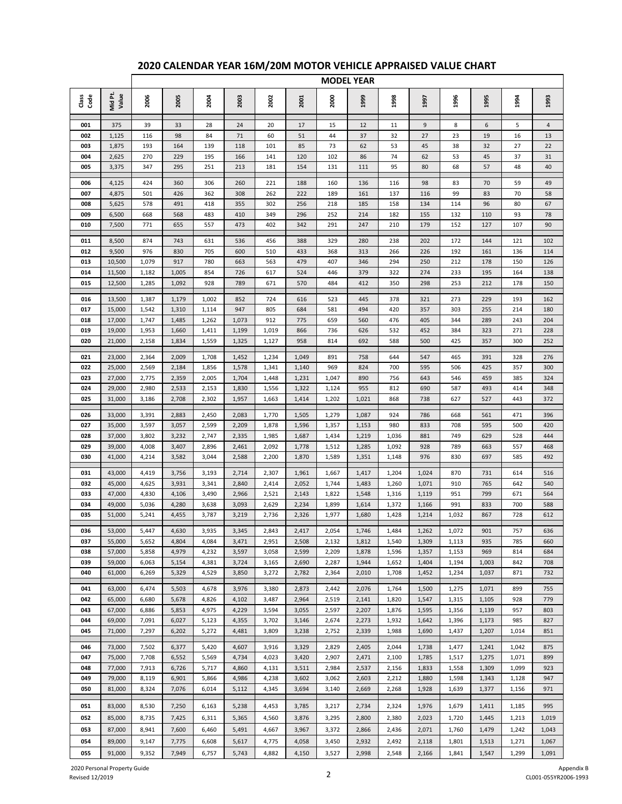|             |                  |                |                |                |                |                |                |                | <b>MODEL YEAR</b> |                |                |                |                |                |            |
|-------------|------------------|----------------|----------------|----------------|----------------|----------------|----------------|----------------|-------------------|----------------|----------------|----------------|----------------|----------------|------------|
| das<br>Code | Mid Pt.<br>Value | 2006           | 2005           | 2004           | 2003           | 2002           | 2001           | 2000           | 1999              | 1998           | 1997           | 1996           | 1995           | 1994           | 1993       |
| 001         | 375              | 39             | 33             | 28             | 24             | 20             | 17             | 15             | 12                | 11             | 9              | 8              | 6              | 5              | 4          |
| 002         | 1,125            | 116            | 98             | 84             | 71             | 60             | 51             | 44             | 37                | 32             | 27             | 23             | 19             | 16             | 13         |
| 003         | 1,875            | 193            | 164            | 139            | 118            | 101            | 85             | 73             | 62                | 53             | 45             | 38             | 32             | 27             | 22         |
| 004         | 2,625            | 270            | 229            | 195            | 166            | 141            | 120            | 102            | 86                | 74             | 62             | 53             | 45             | 37             | 31         |
| 005         | 3,375            | 347            | 295            | 251            | 213            | 181            | 154            | 131            | 111               | 95             | 80             | 68             | 57             | 48             | 40         |
| 006         | 4,125            | 424            | 360            | 306            | 260            | 221            | 188            | 160            | 136               | 116            | 98             | 83             | 70             | 59             | 49         |
| 007         | 4,875            | 501            | 426            | 362            | 308            | 262            | 222            | 189            | 161               | 137            | 116            | 99             | 83             | 70             | 58         |
| 008         | 5,625            | 578            | 491            | 418            | 355            | 302            | 256            | 218            | 185               | 158            | 134            | 114            | 96             | 80             | 67         |
| 009         | 6,500            | 668            | 568            | 483            | 410            | 349            | 296            | 252            | 214               | 182            | 155            | 132            | 110            | 93             | 78         |
| 010         | 7,500            | 771            | 655            | 557            | 473            | 402            | 342            | 291            | 247               | 210            | 179            | 152            | 127            | 107            | 90         |
| 011         | 8,500            | 874            | 743            | 631            | 536            | 456            | 388            | 329            | 280               | 238            | 202            | 172            | 144            | 121            | 102        |
| 012         | 9,500            | 976            | 830            | 705            | 600            | 510            | 433            | 368            | 313               | 266            | 226            | 192            | 161            | 136            | 114        |
| 013         | 10,500           | 1,079          | 917            | 780            | 663            | 563            | 479            | 407            | 346               | 294            | 250            | 212            | 178            | 150            | 126        |
| 014         | 11,500           | 1,182          | 1,005          | 854            | 726            | 617            | 524            | 446            | 379               | 322            | 274            | 233            | 195            | 164            | 138        |
| 015         | 12,500           | 1,285          | 1,092          | 928            | 789            | 671            | 570            | 484            | 412               | 350            | 298            | 253            | 212            | 178            | 150        |
| 016         | 13,500           | 1,387          | 1,179          | 1,002          | 852            | 724            | 616            | 523            | 445               | 378            | 321            | 273            | 229            | 193            | 162        |
| 017         | 15,000           | 1,542          | 1,310          | 1,114          | 947            | 805            | 684            | 581            | 494               | 420            | 357            | 303            | 255            | 214            | 180        |
| 018         | 17,000           | 1,747          | 1,485          | 1,262          | 1,073          | 912            | 775            | 659            | 560               | 476            | 405            | 344            | 289            | 243            | 204        |
| 019         | 19,000           | 1,953          | 1,660          | 1,411          | 1,199          | 1,019          | 866            | 736            | 626               | 532            | 452            | 384            | 323            | 271            | 228        |
| 020         | 21,000           | 2,158          | 1,834          | 1,559          | 1,325          | 1,127          | 958            | 814            | 692               | 588            | 500            | 425            | 357            | 300            | 252        |
| 021         | 23,000           | 2,364          | 2,009          | 1,708          | 1,452          | 1,234          | 1,049          | 891            | 758               | 644            | 547            | 465            | 391            | 328            | 276        |
| 022         | 25,000           | 2,569          | 2,184          | 1,856          | 1,578          | 1,341          | 1,140          | 969            | 824               | 700            | 595            | 506            | 425            | 357            | 300        |
| 023         | 27,000           | 2,775          | 2,359          | 2,005          | 1,704          | 1,448          | 1,231          | 1,047          | 890               | 756            | 643            | 546            | 459            | 385            | 324        |
| 024         | 29,000           | 2,980          | 2,533          | 2,153          | 1,830          | 1,556          | 1,322          | 1,124          | 955               | 812            | 690            | 587            | 493            | 414            | 348        |
| 025         | 31,000           | 3,186          | 2,708          | 2,302          | 1,957          | 1,663          | 1,414          | 1,202          | 1,021             | 868            | 738            | 627            | 527            | 443            | 372        |
| 026         | 33,000           | 3,391          | 2,883          | 2,450          | 2,083          | 1,770          | 1,505          | 1,279          | 1,087             | 924            | 786            | 668            | 561            | 471            | 396        |
| 027         | 35,000           | 3,597          | 3,057          | 2,599          | 2,209          | 1,878          | 1,596          | 1,357          | 1,153             | 980            | 833            | 708            | 595            | 500            | 420        |
| 028         | 37,000           | 3,802          | 3,232          | 2,747          | 2,335          | 1,985          | 1,687          | 1,434          | 1,219             | 1,036          | 881            | 749            | 629            | 528            | 444        |
| 029         | 39,000           | 4,008          | 3,407          | 2,896          | 2,461          | 2,092          | 1,778          | 1,512          | 1,285             | 1,092          | 928            | 789            | 663            | 557            | 468        |
| 030         | 41,000           | 4,214          | 3,582          | 3,044          | 2,588          | 2,200          | 1,870          | 1,589          | 1,351             | 1,148          | 976            | 830            | 697            | 585            | 492        |
| 031         | 43,000           | 4,419          | 3,756          | 3,193          | 2,714          | 2,307          | 1,961          | 1,667          | 1,417             | 1,204          | 1,024          | 870            | 731            | 614            | 516        |
| 032         | 45,000           | 4,625          | 3,931          | 3,341          | 2,840          | 2,414          | 2,052          | 1,744          | 1,483             | 1,260          | 1,071          | 910            | 765            | 642            | 540        |
| 033         | 47,000           | 4,830          | 4,106          | 3,490          | 2,966          | 2,521          | 2,143          | 1,822          | 1,548             | 1,316          | 1,119          | 951            | 799            | 671            | 564        |
| 034         | 49,000           | 5,036          | 4,280          | 3,638          | 3,093          | 2,629          | 2,234          | 1,899          | 1,614             | 1,372          | 1,166          | 991            | 833            | 700            | 588        |
| 035         | 51,000           | 5,241          | 4,455          | 3,787          | 3,219          | 2,736          | 2,326          | 1,977          | 1,680             | 1,428          | 1,214          | 1,032          | 867            | 728            | 612        |
| 036         | 53,000           | 5,447          | 4,630          | 3,935          | 3,345          | 2,843          | 2,417          | 2,054          | 1,746             | 1,484          | 1,262          | 1,072          | 901            | 757            | 636        |
| 037         | 55,000           | 5,652          | 4,804          | 4,084          | 3,471          | 2,951          | 2,508          | 2,132          | 1,812             | 1,540          | 1,309          | 1,113          | 935            | 785            | 660        |
| 038         | 57,000           | 5,858          | 4,979          | 4,232          | 3,597          | 3,058          | 2,599          | 2,209          | 1,878             | 1,596          | 1,357          | 1,153          | 969            | 814            | 684        |
| 039<br>040  | 59,000<br>61,000 | 6,063<br>6,269 | 5,154          | 4,381<br>4,529 | 3,724<br>3,850 | 3,165<br>3,272 | 2,690<br>2,782 | 2,287<br>2,364 | 1,944<br>2,010    | 1,652<br>1,708 | 1,404<br>1,452 | 1,194<br>1,234 | 1,003<br>1,037 | 842<br>871     | 708<br>732 |
|             |                  |                | 5,329          |                |                |                |                |                |                   |                |                |                |                |                |            |
| 041         | 63,000           | 6,474          | 5,503          | 4,678          | 3,976          | 3,380          | 2,873          | 2,442          | 2,076             | 1,764          | 1,500          | 1,275          | 1,071          | 899            | 755        |
| 042         | 65,000           | 6,680          | 5,678          | 4,826          | 4,102          | 3,487          | 2,964          | 2,519          | 2,141             | 1,820          | 1,547          | 1,315          | 1,105          | 928            | 779        |
| 043<br>044  | 67,000<br>69,000 | 6,886<br>7,091 | 5,853<br>6,027 | 4,975<br>5,123 | 4,229<br>4,355 | 3,594<br>3,702 | 3,055<br>3,146 | 2,597<br>2,674 | 2,207<br>2,273    | 1,876<br>1,932 | 1,595<br>1,642 | 1,356<br>1,396 | 1,139<br>1,173 | 957<br>985     | 803<br>827 |
| 045         | 71,000           | 7,297          | 6,202          | 5,272          | 4,481          | 3,809          | 3,238          | 2,752          | 2,339             | 1,988          | 1,690          | 1,437          | 1,207          | 1,014          | 851        |
|             |                  |                |                |                |                |                |                |                |                   |                |                |                |                |                |            |
| 046         | 73,000           | 7,502          | 6,377          | 5,420          | 4,607          | 3,916          | 3,329          | 2,829          | 2,405             | 2,044          | 1,738          | 1,477          | 1,241          | 1,042          | 875        |
| 047         | 75,000<br>77,000 | 7,708<br>7,913 | 6,552          | 5,569<br>5,717 | 4,734          | 4,023          | 3,420          | 2,907          | 2,471             | 2,100          | 1,785          | 1,517          | 1,275          | 1,071          | 899        |
| 048<br>049  | 79,000           | 8,119          | 6,726<br>6,901 | 5,866          | 4,860<br>4,986 | 4,131<br>4,238 | 3,511<br>3,602 | 2,984<br>3,062 | 2,537<br>2,603    | 2,156<br>2,212 | 1,833<br>1,880 | 1,558<br>1,598 | 1,309<br>1,343 | 1,099<br>1,128 | 923<br>947 |
| 050         | 81,000           | 8,324          | 7,076          | 6,014          | 5,112          | 4,345          | 3,694          | 3,140          | 2,669             | 2,268          | 1,928          | 1,639          | 1,377          | 1,156          | 971        |
|             |                  |                |                |                |                |                |                |                |                   |                |                |                |                |                |            |
| 051         | 83,000           | 8,530          | 7,250          | 6,163          | 5,238          | 4,453          | 3,785          | 3,217          | 2,734             | 2,324          | 1,976          | 1,679          | 1,411          | 1,185          | 995        |
| 052         | 85,000           | 8,735          | 7,425          | 6,311          | 5,365          | 4,560          | 3,876          | 3,295          | 2,800             | 2,380          | 2,023          | 1,720          | 1,445          | 1,213          | 1,019      |
| 053         | 87,000           | 8,941          | 7,600          | 6,460          | 5,491          | 4,667          | 3,967          | 3,372          | 2,866             | 2,436          | 2,071          | 1,760          | 1,479          | 1,242          | 1,043      |
| 054         | 89,000           | 9,147          | 7,775          | 6,608          | 5,617          | 4,775          | 4,058          | 3,450          | 2,932             | 2,492          | 2,118          | 1,801          | 1,513          | 1,271          | 1,067      |
| 055         | 91,000           | 9,352          | 7,949          | 6,757          | 5,743          | 4,882          | 4,150          | 3,527          | 2,998             | 2,548          | 2,166          | 1,841          | 1,547          | 1,299          | 1,091      |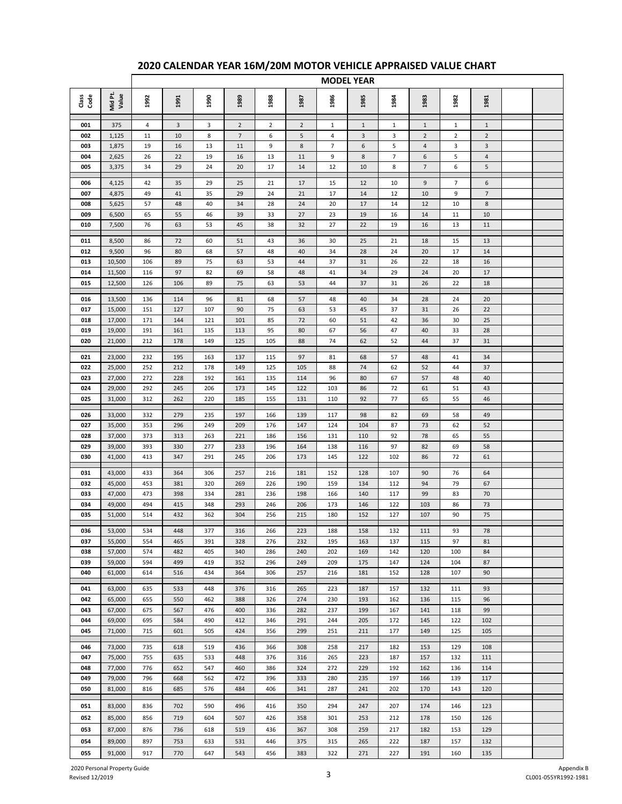|             |                  |            |            |            |                |                |                |              | <b>MODEL YEAR</b> |                |                |                |                |  |
|-------------|------------------|------------|------------|------------|----------------|----------------|----------------|--------------|-------------------|----------------|----------------|----------------|----------------|--|
| das<br>Code | Mid Pt.<br>Value | 1992       | 1991       | 1990       | 1989           | 1988           | 1987           | 1986         | 1985              | 1984           | 1983           | 1982           | 1981           |  |
| 001         | 375              | 4          | 3          | 3          | $\overline{2}$ | $\overline{2}$ | $\overline{2}$ | $\mathbf{1}$ | $\mathbf{1}$      | 1              | $\mathbf{1}$   | 1              | $\mathbf{1}$   |  |
| 002         | 1,125            | 11         | 10         | 8          | $\overline{7}$ | 6              | 5              | 4            | 3                 | 3              | $\overline{2}$ | $\overline{2}$ | $\overline{2}$ |  |
| 003         | 1,875            | 19         | 16         | 13         | 11             | 9              | 8              | 7            | 6                 | 5              | $\overline{a}$ | 3              | 3              |  |
| 004         | 2,625            | 26         | 22         | 19         | 16             | 13             | 11             | 9            | 8                 | $\overline{7}$ | 6              | 5              | $\overline{4}$ |  |
| 005         | 3,375            | 34         | 29         | 24         | 20             | 17             | 14             | 12           | 10                | 8              | $\overline{7}$ | 6              | 5              |  |
| 006         | 4,125            | 42         | 35         | 29         | 25             | 21             | 17             | 15           | 12                | 10             | 9              | 7              | 6              |  |
| 007         | 4,875            | 49         | 41         | 35         | 29             | 24             | 21             | 17           | 14                | 12             | 10             | 9              | $\overline{7}$ |  |
| 008         | 5,625            | 57         | 48         | 40         | 34             | 28             | 24             | 20           | 17                | 14             | 12             | 10             | 8              |  |
| 009         | 6,500            | 65         | 55         | 46         | 39             | 33             | 27             | 23           | 19                | 16             | 14             | 11             | 10             |  |
| 010         | 7,500            | 76         | 63         | 53         | 45             | 38             | 32             | 27           | 22                | 19             | 16             | 13             | 11             |  |
| 011         | 8,500            | 86         | 72         | 60         | 51             | 43             | 36             | 30           | 25                | 21             | 18             | 15             | 13             |  |
| 012         | 9,500            | 96         | 80         | 68         | 57             | 48             | 40             | 34           | 28                | 24             | 20             | 17             | 14             |  |
| 013         | 10,500           | 106        | 89         | 75         | 63             | 53             | 44             | 37           | 31                | 26             | 22             | 18             | 16             |  |
| 014         | 11,500           | 116        | 97         | 82         | 69             | 58             | 48             | 41           | 34                | 29             | 24             | 20             | 17             |  |
| 015         | 12,500           | 126        | 106        | 89         | 75             | 63             | 53             | 44           | 37                | 31             | 26             | 22             | 18             |  |
| 016         | 13,500           | 136        | 114        | 96         | 81             | 68             | 57             | 48           | 40                | 34             | 28             | 24             | 20             |  |
| 017         | 15,000           | 151        | 127        | 107        | 90             | 75             | 63             | 53           | 45                | 37             | 31             | 26             | 22             |  |
| 018         | 17,000           | 171        | 144        | 121        | 101            | 85             | 72             | 60           | 51                | 42             | 36             | 30             | 25             |  |
| 019         | 19,000           | 191        | 161        | 135        | 113            | 95             | 80             | 67           | 56                | 47             | 40             | 33             | 28             |  |
| 020         | 21,000           | 212        | 178        | 149        | 125            | 105            | 88             | 74           | 62                | 52             | 44             | 37             | 31             |  |
| 021         | 23,000           | 232        | 195        | 163        | 137            | 115            | 97             | 81           | 68                | 57             | 48             | 41             | 34             |  |
| 022         | 25,000           | 252        | 212        | 178        | 149            | 125            | 105            | 88           | 74                | 62             | 52             | 44             | 37             |  |
| 023         | 27,000           | 272        | 228        | 192        | 161            | 135            | 114            | 96           | 80                | 67             | 57             | 48             | 40             |  |
| 024         | 29,000           | 292        | 245        | 206        | 173            | 145            | 122            | 103          | 86                | 72             | 61             | 51             | 43             |  |
| 025         | 31,000           | 312        | 262        | 220        | 185            | 155            | 131            | 110          | 92                | 77             | 65             | 55             | 46             |  |
| 026         | 33,000           | 332        | 279        | 235        | 197            | 166            | 139            | 117          | 98                | 82             | 69             | 58             | 49             |  |
| 027         | 35,000           | 353        | 296        | 249        | 209            | 176            | 147            | 124          | 104               | 87             | 73             | 62             | 52             |  |
| 028         | 37,000           | 373        | 313        | 263        | 221            | 186            | 156            | 131          | 110               | 92             | 78             | 65             | 55             |  |
| 029         | 39,000           | 393        | 330        | 277        | 233            | 196            | 164            | 138          | 116               | 97             | 82             | 69             | 58             |  |
| 030         | 41,000           | 413        | 347        | 291        | 245            | 206            | 173            | 145          | 122               | 102            | 86             | 72             | 61             |  |
| 031         | 43,000           | 433        | 364        | 306        | 257            | 216            | 181            | 152          | 128               | 107            | 90             | 76             | 64             |  |
| 032         | 45,000           | 453        | 381        | 320        | 269            | 226            | 190            | 159          | 134               | 112            | 94             | 79             | 67             |  |
| 033         | 47,000           | 473        | 398        | 334        | 281            | 236            | 198            | 166          | 140               | 117            | 99             | 83             | 70             |  |
| 034<br>035  | 49,000           | 494        | 415        | 348        | 293            | 246            | 206            | 173          | 146               | 122            | 103            | 86             | 73             |  |
|             | 51,000           | 514        | 432        | 362        | 304            | 256            | 215            | 180          | 152               | 127            | 107            | 90             | 75             |  |
| 036         | 53,000           | 534        | 448        | 377        | 316            | 266            | 223            | 188          | 158               | 132            | 111            | 93             | 78             |  |
| 037         | 55,000           | 554        | 465        | 391        | 328            | 276            | 232            | 195          | 163               | 137            | 115            | 97             | 81             |  |
| 038         | 57,000           | 574        | 482        | 405        | 340            | 286            | 240            | 202          | 169               | 142            | 120            | 100            | 84             |  |
| 039<br>040  | 59,000<br>61,000 | 594<br>614 | 499<br>516 | 419<br>434 | 352<br>364     | 296<br>306     | 249<br>257     | 209<br>216   | 175<br>181        | 147<br>152     | 124<br>128     | 104<br>107     | 87<br>90       |  |
|             |                  |            |            |            |                |                |                |              |                   |                |                |                |                |  |
| 041         | 63,000           | 635        | 533        | 448        | 376            | 316            | 265            | 223          | 187               | 157            | 132            | 111            | 93             |  |
| 042         | 65,000           | 655        | 550        | 462        | 388            | 326            | 274            | 230          | 193               | 162            | 136            | 115            | 96             |  |
| 043<br>044  | 67,000<br>69,000 | 675<br>695 | 567<br>584 | 476<br>490 | 400<br>412     | 336<br>346     | 282<br>291     | 237<br>244   | 199<br>205        | 167<br>172     | 141<br>145     | 118<br>122     | 99<br>102      |  |
| 045         | 71,000           | 715        | 601        | 505        | 424            | 356            | 299            | 251          | 211               | 177            | 149            | 125            | 105            |  |
|             |                  |            |            |            |                |                |                |              |                   |                |                |                |                |  |
| 046         | 73,000           | 735        | 618        | 519        | 436            | 366            | 308            | 258          | 217               | 182            | 153            | 129            | 108            |  |
| 047<br>048  | 75,000<br>77,000 | 755        | 635<br>652 | 533<br>547 | 448            | 376<br>386     | 316<br>324     | 265          | 223<br>229        | 187<br>192     | 157<br>162     | 132            | 111            |  |
| 049         | 79,000           | 776<br>796 | 668        | 562        | 460<br>472     | 396            | 333            | 272<br>280   | 235               | 197            | 166            | 136<br>139     | 114<br>117     |  |
| 050         | 81,000           | 816        | 685        | 576        | 484            | 406            | 341            | 287          | 241               | 202            | 170            | 143            | 120            |  |
|             |                  |            |            |            |                |                |                |              |                   |                |                |                |                |  |
| 051         | 83,000           | 836        | 702        | 590        | 496            | 416            | 350            | 294          | 247               | 207            | 174            | 146            | 123            |  |
| 052         | 85,000           | 856        | 719        | 604        | 507            | 426            | 358            | 301          | 253               | 212            | 178            | 150            | 126            |  |
| 053         | 87,000           | 876        | 736        | 618        | 519            | 436            | 367            | 308          | 259               | 217            | 182            | 153            | 129            |  |
| 054         | 89,000           | 897        | 753        | 633        | 531            | 446            | 375            | 315          | 265               | 222            | 187            | 157            | 132            |  |
| 055         | 91,000           | 917        | 770        | 647        | 543            | 456            | 383            | 322          | 271               | 227            | 191            | 160            | 135            |  |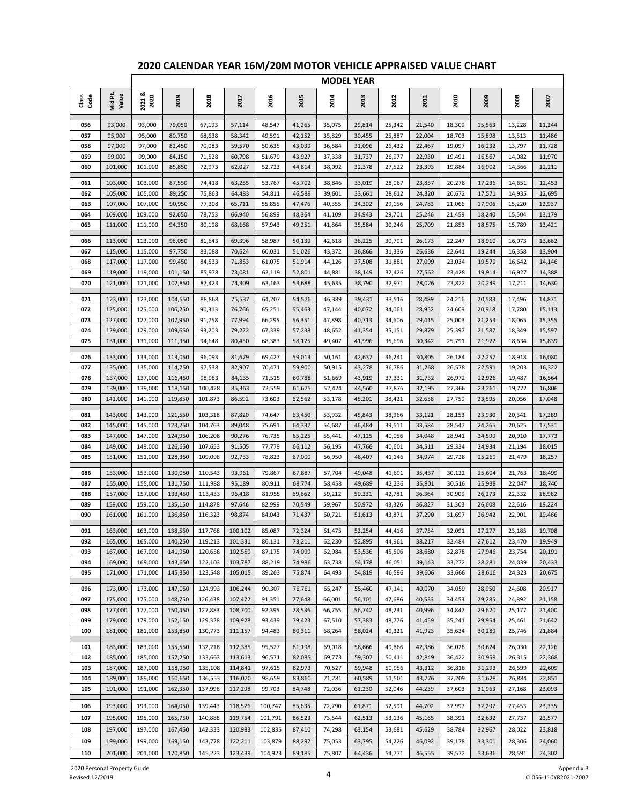|             |                    |                    |                    |                    |                  |                  |                  | <b>MODEL YEAR</b> |                  |                  |                  |                  |                  |                  |                  |
|-------------|--------------------|--------------------|--------------------|--------------------|------------------|------------------|------------------|-------------------|------------------|------------------|------------------|------------------|------------------|------------------|------------------|
| das<br>Code | Mid Pt.<br>Value   | 2021&<br>2020      | 2019               | 2018               | 2017             | 2016             | 2015             | 2014              | 2013             | 2012             | 2011             | 2010             | 2009             | 2008             | 2007             |
| 056         | 93,000             | 93,000             | 79,050             | 67,193             | 57,114           | 48,547           | 41,265           | 35,075            | 29,814           | 25,342           | 21,540           | 18,309           | 15,563           | 13,228           | 11,244           |
| 057         | 95,000             | 95,000             | 80,750             | 68,638             | 58,342           | 49,591           | 42,152           | 35,829            | 30,455           | 25,887           | 22,004           | 18,703           | 15,898           | 13,513           | 11,486           |
| 058         | 97,000             | 97,000             | 82,450             | 70.083             | 59,570           | 50,635           | 43,039           | 36,584            | 31,096           | 26,432           | 22,467           | 19,097           | 16,232           | 13,797           | 11,728           |
| 059         | 99,000             | 99,000             | 84,150             | 71,528             | 60,798           | 51,679           | 43,927           | 37,338            | 31,737           | 26,977           | 22,930           | 19,491           | 16,567           | 14,082           | 11,970           |
| 060         | 101,000            | 101,000            | 85,850             | 72,973             | 62,027           | 52,723           | 44,814           | 38,092            | 32,378           | 27,522           | 23,393           | 19,884           | 16,902           | 14,366           | 12,211           |
| 061         | 103,000            | 103,000            | 87,550             | 74,418             | 63,255           | 53,767           | 45,702           | 38,846            | 33,019           | 28,067           | 23,857           | 20,278           | 17,236           | 14,651           | 12,453           |
| 062         | 105,000            | 105,000            | 89,250             | 75,863             | 64,483           | 54,811           | 46,589           | 39,601            | 33,661           | 28,612           | 24,320           | 20,672           | 17,571           | 14,935           | 12,695           |
| 063         | 107,000            | 107,000            | 90,950             | 77,308             | 65,711           | 55,855           | 47,476           | 40,355            | 34,302           | 29,156           | 24,783           | 21,066           | 17,906           | 15,220           | 12,937           |
| 064         | 109,000            | 109,000            | 92,650             | 78,753             | 66,940           | 56,899           | 48,364           | 41,109            | 34,943           | 29,701           | 25,246           | 21,459           | 18,240           | 15,504           | 13,179           |
| 065         | 111,000            | 111,000            | 94,350             | 80,198             | 68,168           | 57,943           | 49,251           | 41,864            | 35,584           | 30,246           | 25,709           | 21,853           | 18,575           | 15,789           | 13,421           |
| 066         | 113,000            | 113,000            | 96,050             | 81,643             | 69,396           | 58,987           | 50,139           | 42,618            | 36,225           | 30,791           | 26,173           | 22,247           | 18,910           | 16,073           | 13,662           |
| 067         | 115,000            | 115,000            | 97,750             | 83,088             | 70,624           | 60,031           | 51,026           | 43,372            | 36,866           | 31,336           | 26,636           | 22,641           | 19,244           | 16,358           | 13,904           |
| 068         | 117,000            | 117,000            | 99,450             | 84,533             | 71,853           | 61,075           | 51,914           | 44,126            | 37,508           | 31,881           | 27,099           | 23,034           | 19,579           | 16,642           | 14,146           |
| 069<br>070  | 119,000<br>121,000 | 119,000<br>121,000 | 101,150<br>102,850 | 85,978<br>87,423   | 73,081<br>74,309 | 62,119<br>63,163 | 52,801<br>53,688 | 44,881<br>45,635  | 38,149<br>38,790 | 32,426<br>32,971 | 27,562<br>28,026 | 23,428<br>23,822 | 19,914<br>20,249 | 16,927<br>17,211 | 14,388<br>14,630 |
|             |                    |                    |                    |                    |                  |                  |                  |                   |                  |                  |                  |                  |                  |                  |                  |
| 071         | 123,000            | 123,000            | 104,550            | 88,868             | 75,537           | 64,207           | 54,576           | 46,389            | 39,431           | 33,516           | 28,489           | 24,216           | 20,583           | 17,496           | 14,871           |
| 072         | 125,000            | 125,000            | 106,250            | 90,313             | 76,766           | 65,251           | 55,463           | 47,144            | 40,072           | 34,061           | 28,952           | 24,609           | 20,918           | 17,780           | 15,113           |
| 073<br>074  | 127,000<br>129,000 | 127,000<br>129,000 | 107,950<br>109,650 | 91,758<br>93,203   | 77,994<br>79,222 | 66,295<br>67,339 | 56,351<br>57,238 | 47,898<br>48,652  | 40,713<br>41,354 | 34,606<br>35,151 | 29,415<br>29,879 | 25,003<br>25,397 | 21,253<br>21,587 | 18,065<br>18,349 | 15,355<br>15,597 |
| 075         | 131,000            | 131,000            | 111,350            | 94.648             | 80,450           | 68,383           | 58,125           | 49,407            | 41,996           | 35,696           | 30,342           | 25,791           | 21,922           | 18,634           | 15,839           |
|             |                    |                    |                    |                    |                  |                  |                  |                   |                  |                  |                  |                  |                  |                  |                  |
| 076         | 133,000            | 133,000            | 113,050            | 96,093             | 81,679           | 69,427           | 59,013           | 50,161            | 42,637           | 36,241           | 30,805           | 26,184           | 22,257           | 18,918           | 16,080           |
| 077<br>078  | 135,000<br>137,000 | 135,000<br>137,000 | 114,750<br>116,450 | 97,538<br>98,983   | 82,907<br>84,135 | 70,471<br>71,515 | 59,900<br>60,788 | 50,915<br>51,669  | 43,278<br>43,919 | 36,786<br>37,331 | 31,268<br>31,732 | 26,578<br>26,972 | 22,591<br>22,926 | 19,203<br>19,487 | 16,322<br>16,564 |
| 079         | 139,000            | 139,000            | 118,150            | 100,428            | 85,363           | 72,559           | 61,675           | 52,424            | 44,560           | 37,876           | 32,195           | 27,366           | 23,261           | 19,772           | 16,806           |
| 080         | 141,000            | 141,000            | 119,850            | 101,873            | 86,592           | 73,603           | 62,562           | 53,178            | 45,201           | 38,421           | 32,658           | 27,759           | 23,595           | 20,056           | 17,048           |
|             |                    |                    |                    |                    |                  |                  |                  |                   |                  |                  |                  |                  |                  |                  |                  |
| 081         | 143,000            | 143,000            | 121,550            | 103,318            | 87,820           | 74,647           | 63,450           | 53,932            | 45,843           | 38,966           | 33,121           | 28,153           | 23,930           | 20,341           | 17,289           |
| 082<br>083  | 145,000<br>147,000 | 145,000<br>147,000 | 123,250<br>124,950 | 104,763<br>106,208 | 89,048<br>90,276 | 75,691<br>76,735 | 64,337<br>65,225 | 54,687<br>55,441  | 46,484<br>47,125 | 39,511<br>40,056 | 33,584<br>34,048 | 28,547<br>28,941 | 24,265<br>24,599 | 20,625<br>20,910 | 17,531<br>17,773 |
| 084         | 149,000            | 149,000            | 126,650            | 107,653            | 91,505           | 77,779           | 66,112           | 56,195            | 47,766           | 40,601           | 34,511           | 29,334           | 24,934           | 21,194           | 18,015           |
| 085         | 151,000            | 151,000            | 128,350            | 109,098            | 92,733           | 78,823           | 67,000           | 56,950            | 48,407           | 41,146           | 34,974           | 29,728           | 25,269           | 21,479           | 18,257           |
| 086         | 153,000            | 153,000            | 130,050            | 110,543            | 93,961           |                  | 67,887           | 57,704            | 49,048           | 41,691           |                  | 30,122           | 25,604           | 21,763           | 18,499           |
| 087         | 155,000            | 155,000            | 131,750            | 111,988            | 95,189           | 79,867<br>80,911 | 68,774           | 58,458            | 49,689           | 42,236           | 35,437<br>35,901 | 30,516           | 25,938           | 22,047           | 18,740           |
| 088         | 157,000            | 157,000            | 133,450            | 113,433            | 96,418           | 81,955           | 69,662           | 59,212            | 50,331           | 42,781           | 36,364           | 30,909           | 26,273           | 22,332           | 18,982           |
| 089         | 159,000            | 159,000            | 135,150            | 114,878            | 97,646           | 82,999           | 70,549           | 59,967            | 50,972           | 43,326           | 36,827           | 31,303           | 26,608           | 22,616           | 19,224           |
| 090         | 161,000            | 161.000            | 136,850            | 116,323            | 98,874           | 84,043           | 71,437           | 60,721            | 51,613           | 43,871           | 37,290           | 31,697           | 26,942           | 22,901           | 19,466           |
| 091         | 163,000            | 163,000            | 138,550            | 117,768            | 100,102          | 85,087           | 72,324           | 61,475            | 52,254           | 44,416           | 37,754           | 32,091           | 27,277           | 23,185           | 19,708           |
| 092         | 165,000            | 165,000            | 140,250            | 119,213            | 101,331          | 86,131           | 73,211           | 62,230            | 52,895           | 44,961           | 38,217           | 32,484           | 27,612           | 23,470           | 19,949           |
| 093         | 167,000            | 167,000            | 141,950            | 120,658            | 102,559          | 87,175           | 74,099           | 62,984            | 53,536           | 45,506           | 38,680           | 32,878           | 27,946           | 23,754           | 20,191           |
| 094         | 169,000            | 169,000            | 143,650            | 122,103            | 103,787          | 88,219           | 74,986           | 63,738            | 54,178           | 46,051           | 39,143           | 33,272           | 28,281           | 24,039           | 20,433           |
| 095         | 171,000            | 171,000            | 145,350            | 123,548            | 105,015          | 89,263           | 75,874           | 64,493            | 54,819           | 46,596           | 39,606           | 33,666           | 28,616           | 24,323           | 20,675           |
| 096         | 173,000            | 173,000            | 147,050            | 124,993            | 106,244          | 90,307           | 76,761           | 65,247            | 55,460           | 47,141           | 40,070           | 34,059           | 28,950           | 24,608           | 20,917           |
| 097         | 175,000            | 175,000            | 148,750            | 126,438            | 107,472          | 91,351           | 77,648           | 66,001            | 56,101           | 47,686           | 40,533           | 34,453           | 29,285           | 24,892           | 21,158           |
| 098         | 177,000            | 177,000            | 150,450            | 127,883            | 108,700          | 92,395           | 78,536           | 66,755            | 56,742           | 48,231           | 40,996           | 34,847           | 29,620           | 25,177           | 21,400           |
| 099         | 179,000            | 179,000            | 152,150            | 129,328            | 109,928          | 93,439           | 79,423           | 67,510            | 57,383           | 48,776           | 41,459           | 35,241           | 29,954           | 25,461           | 21,642           |
| 100         | 181,000            | 181,000            | 153,850            | 130,773            | 111,157          | 94,483           | 80,311           | 68,264            | 58,024           | 49,321           | 41,923           | 35,634           | 30,289           | 25,746           | 21,884           |
| 101         | 183,000            | 183,000            | 155,550            | 132,218            | 112,385          | 95,527           | 81,198           | 69,018            | 58,666           | 49,866           | 42,386           | 36,028           | 30,624           | 26,030           | 22,126           |
| 102         | 185,000            | 185,000            | 157,250            | 133,663            | 113,613          | 96,571           | 82,085           | 69,773            | 59,307           | 50,411           | 42,849           | 36,422           | 30,959           | 26,315           | 22,368           |
| 103         | 187,000            | 187,000            | 158,950            | 135,108            | 114,841          | 97,615           | 82,973           | 70,527            | 59,948           | 50,956           | 43,312           | 36,816           | 31,293           | 26,599           | 22,609           |
| 104         | 189,000            | 189,000            | 160,650            | 136,553            | 116,070          | 98,659           | 83,860           | 71,281            | 60,589           | 51,501           | 43,776           | 37,209           | 31,628           | 26,884           | 22,851           |
| 105         | 191,000            | 191,000            | 162,350            | 137,998            | 117,298          | 99,703           | 84,748           | 72,036            | 61,230           | 52,046           | 44,239           | 37,603           | 31,963           | 27,168           | 23,093           |
| 106         | 193,000            | 193,000            | 164,050            | 139,443            | 118,526          | 100,747          | 85,635           | 72,790            | 61,871           | 52,591           | 44,702           | 37,997           | 32,297           | 27,453           | 23,335           |
| 107         | 195,000            | 195,000            | 165,750            | 140,888            | 119,754          | 101,791          | 86,523           | 73,544            | 62,513           | 53,136           | 45,165           | 38,391           | 32,632           | 27,737           | 23,577           |
| 108         | 197,000            | 197,000            | 167,450            | 142,333            | 120,983          | 102,835          | 87,410           | 74,298            | 63,154           | 53,681           | 45,629           | 38,784           | 32,967           | 28,022           | 23,818           |
| 109         | 199,000            | 199,000            | 169,150            | 143,778            | 122,211          | 103,879          | 88,297           | 75,053            | 63,795           | 54,226           | 46,092           | 39,178           | 33,301           | 28,306           | 24,060           |
| 110         | 201,000            | 201,000            | 170,850            | 145,223            | 123,439          | 104,923          | 89,185           | 75,807            | 64,436           | 54,771           | 46,555           | 39,572           | 33,636           | 28,591           | 24,302           |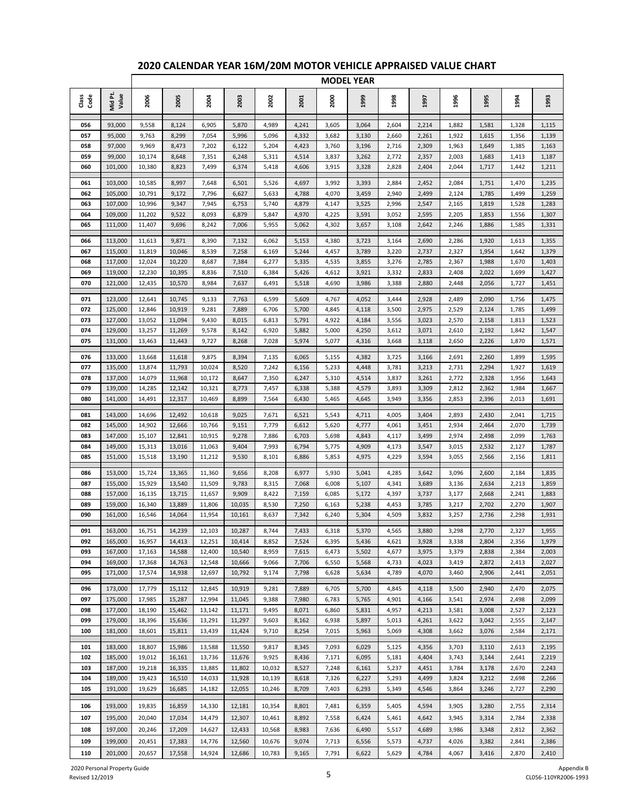|               |                    |                  |                  |                  |                  |                  |                |                | <b>MODEL YEAR</b> |                |                |                |                |                |                |
|---------------|--------------------|------------------|------------------|------------------|------------------|------------------|----------------|----------------|-------------------|----------------|----------------|----------------|----------------|----------------|----------------|
| Class<br>Code | Mid Pt.<br>Value   | 2006             | 2005             | 2004             | 2003             | 2002             | 2001           | 2000           | 1999              | 1998           | 1997           | 1996           | 1995           | 1994           | 1993           |
| 056           | 93,000             | 9,558            | 8,124            | 6,905            | 5,870            | 4,989            | 4,241          | 3,605          | 3,064             | 2,604          | 2,214          | 1,882          | 1,581          | 1,328          | 1,115          |
| 057           | 95,000             | 9,763            | 8,299            | 7,054            | 5,996            | 5,096            | 4,332          | 3,682          | 3,130             | 2,660          | 2,261          | 1,922          | 1,615          | 1,356          | 1,139          |
| 058           | 97,000             | 9,969            | 8,473            | 7,202            | 6,122            | 5,204            | 4,423          | 3,760          | 3,196             | 2,716          | 2,309          | 1,963          | 1,649          | 1,385          | 1,163          |
| 059           | 99,000             | 10,174           | 8,648            | 7,351            | 6,248            | 5,311            | 4,514          | 3,837          | 3,262             | 2,772          | 2,357          | 2,003          | 1,683          | 1,413          | 1,187          |
| 060           | 101,000            | 10,380           | 8,823            | 7,499            | 6,374            | 5,418            | 4,606          | 3,915          | 3,328             | 2,828          | 2,404          | 2,044          | 1,717          | 1,442          | 1,211          |
| 061           | 103,000            | 10,585           | 8,997            | 7,648            | 6,501            | 5,526            | 4,697          | 3,992          | 3,393             | 2,884          | 2,452          | 2,084          | 1,751          | 1,470          | 1,235          |
| 062           | 105,000            | 10,791           | 9,172            | 7,796            | 6,627            | 5,633            | 4,788          | 4,070          | 3,459             | 2,940          | 2,499          | 2,124          | 1,785          | 1,499          | 1,259          |
| 063           | 107,000            | 10,996           | 9,347            | 7,945            | 6,753            | 5,740            | 4,879          | 4,147          | 3,525             | 2,996          | 2,547          | 2,165          | 1,819          | 1,528          | 1,283          |
| 064<br>065    | 109,000<br>111,000 | 11,202<br>11,407 | 9,522<br>9,696   | 8,093<br>8,242   | 6,879<br>7,006   | 5,847<br>5,955   | 4,970<br>5,062 | 4,225<br>4,302 | 3,591<br>3,657    | 3,052<br>3,108 | 2,595<br>2,642 | 2,205<br>2,246 | 1,853<br>1,886 | 1,556<br>1,585 | 1,307<br>1,331 |
|               |                    |                  |                  |                  |                  |                  |                |                |                   |                |                |                |                |                |                |
| 066           | 113,000            | 11,613           | 9,871            | 8,390            | 7,132            | 6,062            | 5,153          | 4,380          | 3,723             | 3,164          | 2,690          | 2,286          | 1,920          | 1,613          | 1,355          |
| 067           | 115,000            | 11,819           | 10,046           | 8,539            | 7,258            | 6,169            | 5,244          | 4,457          | 3,789             | 3,220          | 2,737          | 2,327          | 1,954          | 1,642          | 1,379          |
| 068<br>069    | 117,000<br>119,000 | 12,024<br>12,230 | 10,220<br>10,395 | 8,687<br>8,836   | 7,384<br>7,510   | 6,277<br>6,384   | 5,335<br>5,426 | 4,535<br>4,612 | 3,855<br>3,921    | 3,276<br>3,332 | 2,785<br>2,833 | 2,367<br>2,408 | 1,988<br>2,022 | 1,670<br>1,699 | 1,403<br>1,427 |
| 070           | 121,000            | 12,435           | 10,570           | 8,984            | 7,637            | 6,491            | 5,518          | 4,690          | 3,986             | 3,388          | 2,880          | 2,448          | 2,056          | 1,727          | 1,451          |
|               |                    |                  |                  |                  |                  |                  |                |                |                   |                |                |                |                |                |                |
| 071           | 123,000            | 12,641           | 10,745           | 9,133            | 7,763            | 6,599            | 5,609          | 4,767          | 4,052             | 3,444          | 2,928          | 2,489          | 2,090          | 1,756          | 1,475          |
| 072<br>073    | 125,000<br>127,000 | 12,846<br>13,052 | 10,919<br>11,094 | 9,281<br>9,430   | 7,889<br>8,015   | 6,706<br>6,813   | 5,700<br>5,791 | 4,845<br>4,922 | 4,118<br>4,184    | 3,500<br>3,556 | 2,975<br>3,023 | 2,529<br>2,570 | 2,124<br>2,158 | 1,785<br>1,813 | 1,499<br>1,523 |
| 074           | 129,000            | 13,257           | 11,269           | 9,578            | 8,142            | 6,920            | 5,882          | 5,000          | 4,250             | 3,612          | 3,071          | 2,610          | 2,192          | 1,842          | 1,547          |
| 075           | 131,000            | 13,463           | 11,443           | 9,727            | 8,268            | 7,028            | 5,974          | 5,077          | 4,316             | 3,668          | 3,118          | 2,650          | 2,226          | 1,870          | 1,571          |
|               |                    |                  |                  |                  |                  |                  |                |                |                   |                |                |                |                |                |                |
| 076<br>077    | 133,000<br>135,000 | 13,668<br>13,874 | 11,618<br>11,793 | 9,875<br>10,024  | 8,394<br>8,520   | 7,135<br>7,242   | 6,065<br>6,156 | 5,155<br>5,233 | 4,382<br>4,448    | 3,725<br>3,781 | 3,166<br>3,213 | 2,691<br>2,731 | 2,260<br>2,294 | 1,899<br>1,927 | 1,595<br>1,619 |
| 078           | 137,000            | 14,079           | 11,968           | 10,172           | 8,647            | 7,350            | 6,247          | 5,310          | 4,514             | 3,837          | 3,261          | 2,772          | 2,328          | 1,956          | 1,643          |
| 079           | 139,000            | 14,285           | 12,142           | 10,321           | 8,773            | 7,457            | 6,338          | 5,388          | 4,579             | 3,893          | 3,309          | 2,812          | 2,362          | 1,984          | 1,667          |
| 080           | 141,000            | 14,491           | 12,317           | 10,469           | 8,899            | 7,564            | 6,430          | 5,465          | 4,645             | 3,949          | 3,356          | 2,853          | 2,396          | 2,013          | 1,691          |
| 081           | 143,000            | 14,696           | 12,492           | 10,618           | 9,025            | 7,671            | 6,521          | 5,543          | 4,711             | 4,005          | 3,404          | 2,893          | 2,430          | 2,041          | 1,715          |
| 082           | 145,000            | 14,902           | 12,666           | 10,766           | 9,151            | 7,779            | 6,612          | 5,620          | 4,777             | 4,061          | 3,451          | 2,934          | 2,464          | 2,070          | 1,739          |
| 083           | 147,000            | 15,107           | 12,841           | 10,915           | 9,278            | 7,886            | 6,703          | 5,698          | 4,843             | 4,117          | 3,499          | 2,974          | 2,498          | 2,099          | 1,763          |
| 084           | 149,000            | 15,313           | 13,016           | 11,063           | 9,404            | 7,993            | 6,794          | 5,775          | 4,909             | 4,173          | 3,547          | 3,015          | 2,532          | 2,127          | 1,787          |
| 085           | 151,000            | 15,518           | 13,190           | 11,212           | 9,530            | 8,101            | 6,886          | 5,853          | 4,975             | 4,229          | 3,594          | 3,055          | 2,566          | 2,156          | 1,811          |
| 086           | 153,000            | 15,724           | 13,365           | 11,360           | 9,656            | 8,208            | 6,977          | 5,930          | 5,041             | 4,285          | 3,642          | 3,096          | 2,600          | 2,184          | 1,835          |
| 087           | 155,000            | 15,929           | 13,540           | 11,509           | 9,783            | 8,315            | 7,068          | 6,008          | 5,107             | 4,341          | 3,689          | 3,136          | 2,634          | 2,213          | 1,859          |
| 088           | 157,000            | 16,135           | 13,715           | 11,657           | 9,909            | 8,422            | 7,159          | 6,085          | 5,172             | 4,397          | 3,737          | 3,177          | 2,668          | 2,241          | 1,883          |
| 089           | 159,000            | 16,340           | 13,889           | 11,806           | 10,035           | 8,530            | 7,250          | 6,163          | 5,238             | 4,453          | 3,785          | 3,217          | 2,702          | 2,270          | 1,907          |
| 090           | 161,000            | 16,546           | 14,064           | 11,954           | 10,161           | 8,637            | 7,342          | 6,240          | 5,304             | 4,509          | 3,832          | 3,257          | 2,736          | 2,298          | 1,931          |
| 091           | 163,000            | 16,751           | 14,239           | 12,103           | 10,287           | 8,744            | 7,433          | 6,318          | 5,370             | 4,565          | 3,880          | 3,298          | 2,770          | 2,327          | 1,955          |
| 092           | 165,000            | 16,957           | 14,413           | 12,251           | 10,414           | 8,852            | 7,524          | 6,395          | 5,436             | 4,621          | 3,928          | 3,338          | 2,804          | 2,356          | 1,979          |
| 093           | 167,000            | 17,163           | 14,588           | 12,400           | 10,540           | 8,959            | 7,615          | 6,473          | 5,502             | 4,677          | 3,975          | 3,379          | 2,838          | 2,384          | 2,003          |
| 094           | 169,000            | 17,368           | 14,763           | 12,548           | 10,666           | 9,066            | 7,706          | 6,550          | 5,568             | 4,733          | 4,023          | 3,419          | 2,872          | 2,413          | 2,027          |
| 095           | 171,000            | 17,574           | 14,938           | 12,697           | 10,792           | 9,174            | 7,798          | 6,628          | 5,634             | 4,789          | 4,070          | 3,460          | 2,906          | 2,441          | 2,051          |
| 096           | 173,000            | 17,779           | 15,112           | 12,845           | 10,919           | 9,281            | 7,889          | 6,705          | 5,700             | 4,845          | 4,118          | 3,500          | 2,940          | 2,470          | 2,075          |
| 097           | 175,000            | 17,985           | 15,287           | 12,994           | 11,045           | 9,388            | 7,980          | 6,783          | 5,765             | 4,901          | 4,166          | 3,541          | 2,974          | 2,498          | 2,099          |
| 098<br>099    | 177,000<br>179,000 | 18,190<br>18,396 | 15,462           | 13,142           | 11,171           | 9,495<br>9,603   | 8,071<br>8,162 | 6,860<br>6,938 | 5,831             | 4,957<br>5,013 | 4,213          | 3,581<br>3,622 | 3,008          | 2,527          | 2,123          |
| 100           | 181,000            | 18,601           | 15,636<br>15,811 | 13,291<br>13,439 | 11,297<br>11,424 | 9,710            | 8,254          | 7,015          | 5,897<br>5,963    | 5,069          | 4,261<br>4,308 | 3,662          | 3,042<br>3,076 | 2,555<br>2,584 | 2,147<br>2,171 |
|               |                    |                  |                  |                  |                  |                  |                |                |                   |                |                |                |                |                |                |
| 101           | 183,000            | 18,807           | 15,986           | 13,588           | 11,550           | 9,817            | 8,345          | 7,093          | 6,029             | 5,125          | 4,356          | 3,703          | 3,110          | 2,613          | 2,195          |
| 102<br>103    | 185,000<br>187,000 | 19,012<br>19,218 | 16,161           | 13,736<br>13,885 | 11,676<br>11,802 | 9,925            | 8,436<br>8,527 | 7,171<br>7,248 | 6,095             | 5,181<br>5,237 | 4,404<br>4,451 | 3,743          | 3,144          | 2,641<br>2,670 | 2,219          |
| 104           | 189,000            | 19,423           | 16,335<br>16,510 | 14,033           | 11,928           | 10,032<br>10,139 | 8,618          | 7,326          | 6,161<br>6,227    | 5,293          | 4,499          | 3,784<br>3,824 | 3,178<br>3,212 | 2,698          | 2,243<br>2,266 |
| 105           | 191,000            | 19,629           | 16,685           | 14,182           | 12,055           | 10,246           | 8,709          | 7,403          | 6,293             | 5,349          | 4,546          | 3,864          | 3,246          | 2,727          | 2,290          |
|               |                    |                  |                  |                  |                  |                  |                |                |                   |                |                |                |                |                |                |
| 106           | 193,000            | 19,835           | 16,859           | 14,330           | 12,181           | 10,354           | 8,801          | 7,481          | 6,359             | 5,405          | 4,594          | 3,905          | 3,280          | 2,755          | 2,314          |
| 107           | 195,000            | 20,040           | 17,034           | 14,479           | 12,307           | 10,461           | 8,892          | 7,558          | 6,424             | 5,461          | 4,642          | 3,945          | 3,314          | 2,784          | 2,338          |
| 108           | 197,000            | 20,246           | 17,209           | 14,627           | 12,433           | 10,568           | 8,983          | 7,636          | 6,490             | 5,517          | 4,689          | 3,986          | 3,348          | 2,812          | 2,362          |
| 109           | 199,000            | 20,451           | 17,383           | 14,776           | 12,560           | 10,676           | 9,074          | 7,713          | 6,556             | 5,573          | 4,737          | 4,026          | 3,382          | 2,841          | 2,386          |
| 110           | 201,000            | 20,657           | 17,558           | 14,924           | 12,686           | 10,783           | 9,165          | 7,791          | 6,622             | 5,629          | 4,784          | 4,067          | 3,416          | 2,870          | 2,410          |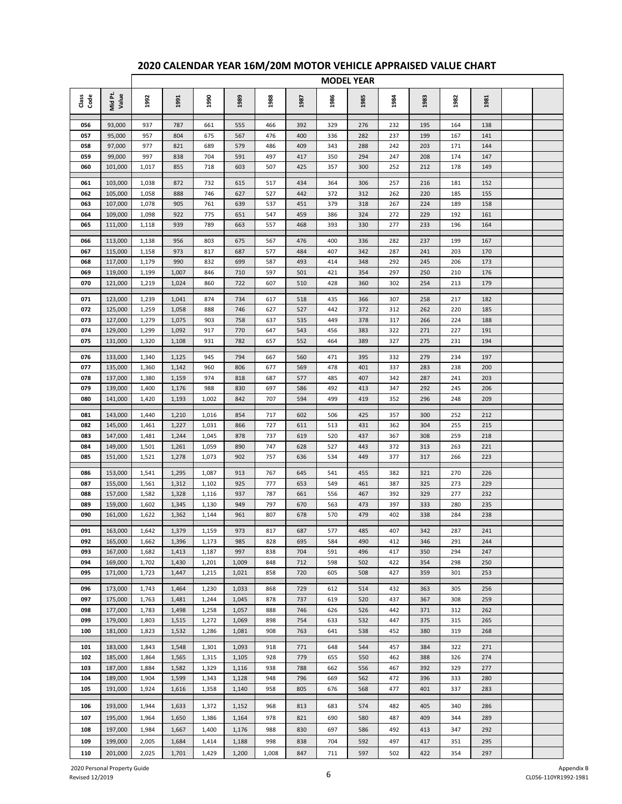|             |                    |                |                |                |            |            |            |            | <b>MODEL YEAR</b> |            |            |            |            |  |
|-------------|--------------------|----------------|----------------|----------------|------------|------------|------------|------------|-------------------|------------|------------|------------|------------|--|
| das<br>Code | Mid Pt.<br>Value   | 1992           | 1991           | 1990           | 1989       | 1988       | 1987       | 1986       | 1985              | 1984       | 1983       | 1982       | 1981       |  |
| 056         | 93,000             | 937            | 787            | 661            | 555        | 466        | 392        | 329        | 276               | 232        | 195        | 164        | 138        |  |
| 057         | 95,000             | 957            | 804            | 675            | 567        | 476        | 400        | 336        | 282               | 237        | 199        | 167        | 141        |  |
| 058         | 97,000             | 977            | 821            | 689            | 579        | 486        | 409        | 343        | 288               | 242        | 203        | 171        | 144        |  |
| 059         | 99,000             | 997            | 838            | 704            | 591        | 497        | 417        | 350        | 294               | 247        | 208        | 174        | 147        |  |
| 060         | 101,000            | 1,017          | 855            | 718            | 603        | 507        | 425        | 357        | 300               | 252        | 212        | 178        | 149        |  |
| 061         | 103,000            | 1,038          | 872            | 732            | 615        | 517        | 434        | 364        | 306               | 257        | 216        | 181        | 152        |  |
| 062         | 105,000            | 1,058          | 888            | 746            | 627        | 527        | 442        | 372        | 312               | 262        | 220        | 185        | 155        |  |
| 063         | 107,000            | 1,078          | 905            | 761            | 639        | 537        | 451        | 379        | 318               | 267        | 224        | 189        | 158        |  |
| 064         | 109,000            | 1,098          | 922            | 775            | 651        | 547        | 459        | 386        | 324               | 272        | 229        | 192        | 161        |  |
| 065         | 111,000            | 1,118          | 939            | 789            | 663        | 557        | 468        | 393        | 330               | 277        | 233        | 196        | 164        |  |
| 066         | 113,000            | 1,138          | 956            | 803            | 675        | 567        | 476        | 400        | 336               | 282        | 237        | 199        | 167        |  |
| 067         | 115,000            | 1,158          | 973            | 817            | 687        | 577        | 484        | 407        | 342               | 287        | 241        | 203        | 170        |  |
| 068         | 117,000            | 1,179          | 990            | 832            | 699        | 587        | 493        | 414        | 348               | 292        | 245        | 206        | 173        |  |
| 069         | 119,000            | 1,199          | 1,007          | 846            | 710        | 597        | 501        | 421        | 354               | 297        | 250        | 210        | 176        |  |
| 070         | 121,000            | 1,219          | 1,024          | 860            | 722        | 607        | 510        | 428        | 360               | 302        | 254        | 213        | 179        |  |
|             |                    |                |                |                |            |            |            |            |                   |            |            |            |            |  |
| 071         | 123,000            | 1,239          | 1,041          | 874            | 734        | 617        | 518        | 435        | 366               | 307        | 258        | 217        | 182        |  |
| 072<br>073  | 125,000<br>127,000 | 1,259<br>1,279 | 1,058<br>1,075 | 888<br>903     | 746<br>758 | 627<br>637 | 527<br>535 | 442<br>449 | 372<br>378        | 312<br>317 | 262<br>266 | 220<br>224 | 185<br>188 |  |
| 074         | 129,000            | 1,299          | 1,092          | 917            | 770        | 647        | 543        | 456        | 383               | 322        | 271        | 227        | 191        |  |
| 075         | 131,000            | 1,320          | 1,108          | 931            | 782        | 657        | 552        | 464        | 389               | 327        | 275        | 231        | 194        |  |
|             |                    |                |                |                |            |            |            |            |                   |            |            |            |            |  |
| 076         | 133,000            | 1,340          | 1,125          | 945            | 794        | 667        | 560        | 471        | 395               | 332        | 279        | 234        | 197        |  |
| 077<br>078  | 135,000<br>137,000 | 1,360<br>1,380 | 1,142<br>1,159 | 960<br>974     | 806<br>818 | 677<br>687 | 569<br>577 | 478<br>485 | 401<br>407        | 337<br>342 | 283<br>287 | 238<br>241 | 200<br>203 |  |
| 079         | 139,000            | 1,400          | 1,176          | 988            | 830        | 697        | 586        | 492        | 413               | 347        | 292        | 245        | 206        |  |
| 080         | 141,000            | 1,420          | 1,193          | 1,002          | 842        | 707        | 594        | 499        | 419               | 352        | 296        | 248        | 209        |  |
|             |                    |                |                |                |            |            |            |            |                   |            |            |            |            |  |
| 081         | 143,000            | 1,440          | 1,210          | 1,016          | 854        | 717        | 602        | 506        | 425               | 357        | 300        | 252        | 212        |  |
| 082         | 145,000            | 1,461          | 1,227          | 1,031          | 866        | 727        | 611        | 513        | 431               | 362        | 304        | 255        | 215        |  |
| 083         | 147,000            | 1,481          | 1,244          | 1,045          | 878        | 737        | 619        | 520        | 437               | 367        | 308        | 259        | 218        |  |
| 084<br>085  | 149,000<br>151,000 | 1,501<br>1,521 | 1,261<br>1,278 | 1,059<br>1,073 | 890<br>902 | 747<br>757 | 628<br>636 | 527<br>534 | 443<br>449        | 372<br>377 | 313<br>317 | 263<br>266 | 221<br>223 |  |
|             |                    |                |                |                |            |            |            |            |                   |            |            |            |            |  |
| 086         | 153,000            | 1,541          | 1,295          | 1,087          | 913        | 767        | 645        | 541        | 455               | 382        | 321        | 270        | 226        |  |
| 087         | 155,000            | 1,561          | 1,312          | 1,102          | 925        | 777        | 653        | 549        | 461               | 387        | 325        | 273        | 229        |  |
| 088         | 157,000            | 1,582          | 1,328          | 1,116          | 937        | 787        | 661        | 556        | 467               | 392        | 329        | 277        | 232        |  |
| 089         | 159,000            | 1,602          | 1,345          | 1,130          | 949        | 797        | 670        | 563        | 473               | 397        | 333        | 280        | 235        |  |
| 090         | 161.000            | 1,622          | 1,362          | 1,144          | 961        | 807        | 678        | 570        | 479               | 402        | 338        | 284        | 238        |  |
| 091         | 163,000            | 1,642          | 1,379          | 1,159          | 973        | 817        | 687        | 577        | 485               | 407        | 342        | 287        | 241        |  |
| 092         | 165,000            | 1,662          | 1,396          | 1,173          | 985        | 828        | 695        | 584        | 490               | 412        | 346        | 291        | 244        |  |
| 093         | 167,000            | 1,682          | 1,413          | 1,187          | 997        | 838        | 704        | 591        | 496               | 417        | 350        | 294        | 247        |  |
| 094         | 169,000            | 1,702          | 1,430          | 1,201          | 1,009      | 848        | 712        | 598        | 502               | 422        | 354        | 298        | 250        |  |
| 095         | 171,000            | 1,723          | 1,447          | 1,215          | 1,021      | 858        | 720        | 605        | 508               | 427        | 359        | 301        | 253        |  |
| 096         | 173,000            | 1,743          | 1,464          | 1,230          | 1,033      | 868        | 729        | 612        | 514               | 432        | 363        | 305        | 256        |  |
| 097         | 175,000            | 1,763          | 1,481          | 1,244          | 1,045      | 878        | 737        | 619        | 520               | 437        | 367        | 308        | 259        |  |
| 098         | 177,000            | 1,783          | 1,498          | 1,258          | 1,057      | 888        | 746        | 626        | 526               | 442        | 371        | 312        | 262        |  |
| 099         | 179,000            | 1,803          | 1,515          | 1,272          | 1,069      | 898        | 754        | 633        | 532               | 447        | 375        | 315        | 265        |  |
| 100         | 181,000            | 1,823          | 1,532          | 1,286          | 1,081      | 908        | 763        | 641        | 538               | 452        | 380        | 319        | 268        |  |
| 101         | 183,000            | 1,843          | 1,548          | 1,301          | 1,093      | 918        | 771        | 648        | 544               | 457        | 384        | 322        | 271        |  |
| 102         | 185,000            | 1,864          | 1,565          | 1,315          | 1,105      | 928        | 779        | 655        | 550               | 462        | 388        | 326        | 274        |  |
| 103         | 187,000            | 1,884          | 1,582          | 1,329          | 1,116      | 938        | 788        | 662        | 556               | 467        | 392        | 329        | 277        |  |
| 104         | 189,000            | 1,904          | 1,599          | 1,343          | 1,128      | 948        | 796        | 669        | 562               | 472        | 396        | 333        | 280        |  |
| 105         | 191,000            | 1,924          | 1,616          | 1,358          | 1,140      | 958        | 805        | 676        | 568               | 477        | 401        | 337        | 283        |  |
| 106         | 193,000            | 1,944          | 1,633          | 1,372          | 1,152      | 968        | 813        | 683        | 574               | 482        | 405        | 340        | 286        |  |
| 107         | 195,000            | 1,964          | 1,650          | 1,386          | 1,164      | 978        | 821        | 690        | 580               | 487        | 409        | 344        | 289        |  |
| 108         | 197,000            | 1,984          | 1,667          | 1,400          | 1,176      | 988        | 830        | 697        | 586               | 492        | 413        | 347        | 292        |  |
| 109         | 199,000            | 2,005          | 1,684          | 1,414          | 1,188      | 998        | 838        | 704        | 592               | 497        | 417        | 351        | 295        |  |
| 110         | 201,000            | 2,025          | 1,701          | 1,429          | 1,200      | 1,008      | 847        | 711        | 597               | 502        | 422        | 354        | 297        |  |
|             |                    |                |                |                |            |            |            |            |                   |            |            |            |            |  |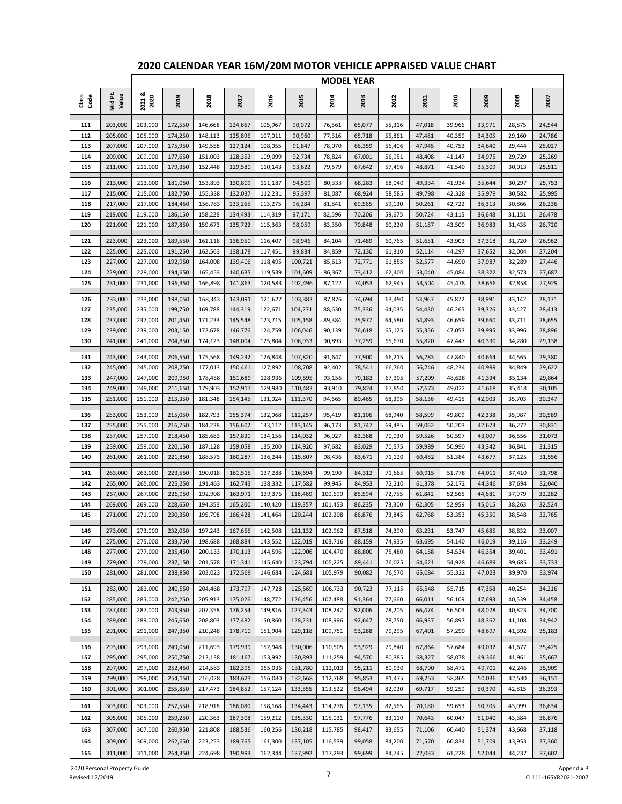|             |                    |                    |                    |                    |                    |                    |                    | <b>MODEL YEAR</b> |                  |                  |                  |                  |                  |                  |                  |
|-------------|--------------------|--------------------|--------------------|--------------------|--------------------|--------------------|--------------------|-------------------|------------------|------------------|------------------|------------------|------------------|------------------|------------------|
| das<br>Code | Mid Pt.<br>Value   | 2021&<br>2020      | 2019               | 2018               | 2017               | 2016               | 2015               | 2014              | 2013             | 2012             | 2011             | 2010             | 2009             | 2008             | 2007             |
| 111         | 203,000            | 203,000            | 172,550            | 146,668            | 124,667            | 105,967            | 90,072             | 76,561            | 65,077           | 55,316           | 47,018           | 39,966           | 33,971           | 28,875           | 24,544           |
| 112         | 205,000            | 205,000            | 174,250            | 148,113            | 125,896            | 107,011            | 90,960             | 77,316            | 65,718           | 55,861           | 47,481           | 40,359           | 34,305           | 29,160           | 24,786           |
| 113         | 207,000            | 207,000            | 175,950            | 149,558            | 127,124            | 108,055            | 91,847             | 78,070            | 66,359           | 56,406           | 47,945           | 40,753           | 34,640           | 29,444           | 25,027           |
| 114         | 209,000            | 209,000            | 177,650            | 151,003            | 128,352            | 109,099            | 92,734             | 78,824            | 67,001           | 56,951           | 48,408           | 41,147           | 34,975           | 29,729           | 25,269           |
| 115         | 211,000            | 211,000            | 179,350            | 152,448            | 129,580            | 110,143            | 93,622             | 79,579            | 67,642           | 57,496           | 48,871           | 41,540           | 35,309           | 30,013           | 25,511           |
| 116         | 213,000            | 213,000            | 181,050            | 153,893            | 130,809            | 111,187            | 94,509             | 80,333            | 68,283           | 58,040           | 49,334           | 41,934           | 35,644           | 30,297           | 25,753           |
| 117         | 215,000            | 215,000            | 182,750            | 155,338            | 132,037            | 112,231            | 95,397             | 81,087            | 68,924           | 58,585           | 49,798           | 42,328           | 35,979           | 30,582           | 25,995           |
| 118         | 217,000            | 217,000            | 184,450            | 156,783            | 133,265            | 113,275            | 96,284             | 81,841            | 69,565           | 59,130           | 50,261           | 42,722           | 36,313           | 30,866           | 26,236           |
| 119<br>120  | 219,000<br>221,000 | 219,000<br>221,000 | 186,150            | 158,228<br>159,673 | 134,493<br>135,722 | 114,319            | 97,171<br>98,059   | 82,596            | 70,206<br>70,848 | 59,675<br>60,220 | 50,724           | 43,115<br>43,509 | 36,648<br>36,983 | 31,151<br>31,435 | 26,478<br>26,720 |
|             |                    |                    | 187,850            |                    |                    | 115,363            |                    | 83,350            |                  |                  | 51,187           |                  |                  |                  |                  |
| 121         | 223,000            | 223,000            | 189,550            | 161,118            | 136,950            | 116,407            | 98,946             | 84,104            | 71,489           | 60,765           | 51,651           | 43,903           | 37,318           | 31,720           | 26,962           |
| 122         | 225,000            | 225,000            | 191,250            | 162,563            | 138,178            | 117,451            | 99,834             | 84,859            | 72,130           | 61,310           | 52,114           | 44,297           | 37,652           | 32,004           | 27,204           |
| 123         | 227,000            | 227,000            | 192,950            | 164,008            | 139,406            | 118,495            | 100,721            | 85,613            | 72,771           | 61,855           | 52,577           | 44,690           | 37,987           | 32,289           | 27,446           |
| 124<br>125  | 229,000<br>231,000 | 229,000<br>231,000 | 194,650<br>196,350 | 165,453<br>166,898 | 140,635<br>141,863 | 119,539<br>120,583 | 101,609<br>102,496 | 86,367<br>87,122  | 73,412<br>74,053 | 62,400<br>62,945 | 53,040<br>53,504 | 45,084<br>45,478 | 38,322<br>38,656 | 32,573<br>32,858 | 27,687<br>27,929 |
|             |                    |                    |                    |                    |                    |                    |                    |                   |                  |                  |                  |                  |                  |                  |                  |
| 126         | 233,000            | 233,000            | 198,050            | 168,343            | 143,091            | 121,627            | 103,383            | 87,876            | 74,694           | 63,490           | 53,967           | 45,872           | 38,991           | 33,142           | 28,171           |
| 127         | 235,000            | 235,000            | 199,750            | 169,788            | 144,319            | 122,671            | 104,271            | 88,630            | 75,336           | 64,035           | 54,430           | 46,265           | 39,326           | 33,427           | 28,413           |
| 128<br>129  | 237,000<br>239,000 | 237,000<br>239,000 | 201,450<br>203,150 | 171,233            | 145,548<br>146,776 | 123,715            | 105,158            | 89,384            | 75,977           | 64,580           | 54,893<br>55,356 | 46,659           | 39,660<br>39.995 | 33,711           | 28,655           |
| 130         | 241,000            | 241,000            | 204,850            | 172,678<br>174,123 | 148,004            | 124,759<br>125,804 | 106,046<br>106,933 | 90,139<br>90,893  | 76,618<br>77,259 | 65,125<br>65,670 | 55,820           | 47,053<br>47,447 | 40,330           | 33,996<br>34,280 | 28,896<br>29,138 |
|             |                    |                    |                    |                    |                    |                    |                    |                   |                  |                  |                  |                  |                  |                  |                  |
| 131         | 243,000            | 243,000            | 206,550            | 175,568            | 149,232            | 126,848            | 107,820            | 91,647            | 77,900           | 66,215           | 56,283           | 47,840           | 40,664           | 34,565           | 29,380           |
| 132<br>133  | 245,000            | 245,000            | 208,250            | 177,013            | 150,461            | 127,892            | 108,708            | 92,402            | 78,541           | 66,760           | 56,746           | 48,234           | 40,999           | 34,849           | 29,622           |
| 134         | 247,000<br>249,000 | 247,000<br>249,000 | 209,950<br>211,650 | 178,458<br>179,903 | 151,689<br>152,917 | 128,936<br>129,980 | 109,595<br>110,483 | 93,156<br>93,910  | 79,183<br>79,824 | 67,305<br>67,850 | 57,209<br>57,673 | 48,628<br>49,022 | 41,334<br>41,668 | 35,134<br>35,418 | 29,864<br>30,105 |
| 135         | 251,000            | 251,000            | 213,350            | 181,348            | 154,145            | 131,024            | 111,370            | 94,665            | 80,465           | 68,395           | 58,136           | 49,415           | 42,003           | 35,703           | 30,347           |
|             |                    |                    |                    |                    |                    |                    |                    |                   |                  |                  |                  |                  |                  |                  |                  |
| 136         | 253,000            | 253,000            | 215,050            | 182,793            | 155,374            | 132,068            | 112,257            | 95,419            | 81,106           | 68,940           | 58,599           | 49,809           | 42,338           | 35,987           | 30,589           |
| 137<br>138  | 255,000<br>257,000 | 255,000<br>257,000 | 216,750<br>218,450 | 184,238<br>185,683 | 156,602<br>157,830 | 133,112<br>134,156 | 113,145<br>114,032 | 96,173<br>96,927  | 81,747<br>82,388 | 69,485<br>70,030 | 59,062<br>59,526 | 50,203<br>50,597 | 42,673<br>43,007 | 36,272<br>36,556 | 30,831<br>31,073 |
| 139         | 259,000            | 259,000            | 220,150            | 187,128            | 159,058            | 135,200            | 114,920            | 97,682            | 83,029           | 70,575           | 59,989           | 50,990           | 43,342           | 36,841           | 31,315           |
| 140         | 261,000            | 261,000            | 221,850            | 188,573            | 160,287            | 136,244            | 115,807            | 98,436            | 83,671           | 71,120           | 60,452           | 51,384           | 43,677           | 37,125           | 31,556           |
|             |                    |                    |                    |                    |                    |                    |                    |                   |                  |                  |                  |                  |                  |                  |                  |
| 141<br>142  | 263,000<br>265,000 | 263,000<br>265,000 | 223,550<br>225,250 | 190,018<br>191,463 | 161,515<br>162,743 | 137,288<br>138,332 | 116,694<br>117,582 | 99,190<br>99,945  | 84,312<br>84,953 | 71,665<br>72,210 | 60,915<br>61,378 | 51,778<br>52,172 | 44,011<br>44,346 | 37,410<br>37,694 | 31,798<br>32,040 |
| 143         | 267,000            | 267,000            | 226,950            | 192,908            | 163,971            | 139,376            | 118,469            | 100,699           | 85,594           | 72,755           | 61,842           | 52,565           | 44,681           | 37,979           | 32,282           |
| 144         | 269,000            | 269,000            | 228,650            | 194,353            | 165,200            | 140,420            | 119,357            | 101,453           | 86,235           | 73,300           | 62,305           | 52,959           | 45,015           | 38,263           | 32,524           |
| 145         | 271,000            | 271,000            | 230,350            | 195,798            | 166,428            | 141,464            | 120,244            | 102,208           | 86,876           | 73,845           | 62,768           | 53,353           | 45,350           | 38,548           | 32,765           |
| 146         | 273,000            | 273,000            | 232,050            | 197,243            | 167,656            | 142,508            | 121,132            | 102,962           | 87,518           | 74,390           | 63,231           | 53,747           | 45,685           |                  | 33,007           |
| 147         | 275,000            | 275,000            | 233,750            | 198,688            | 168,884            | 143,552            | 122,019            | 103,716           | 88,159           | 74,935           | 63,695           | 54,140           | 46,019           | 38,832<br>39,116 | 33,249           |
| 148         | 277,000            | 277,000            | 235,450            | 200,133            | 170,113            | 144,596            | 122,906            | 104,470           | 88,800           | 75,480           | 64,158           | 54,534           | 46,354           | 39,401           | 33,491           |
| 149         | 279,000            | 279,000            | 237,150            | 201,578            | 171,341            | 145,640            | 123,794            | 105,225           | 89,441           | 76,025           | 64,621           | 54,928           | 46,689           | 39,685           | 33,733           |
| 150         | 281,000            | 281,000            | 238,850            | 203,023            | 172,569            | 146,684            | 124,681            | 105,979           | 90,082           | 76,570           | 65,084           | 55,322           | 47,023           | 39,970           | 33,974           |
| 151         | 283,000            | 283,000            | 240,550            | 204,468            | 173,797            | 147,728            | 125,569            | 106,733           | 90,723           | 77,115           | 65,548           | 55,715           | 47,358           | 40,254           | 34,216           |
| 152         | 285,000            | 285,000            | 242,250            | 205,913            | 175,026            | 148,772            | 126,456            | 107,488           | 91,364           | 77,660           | 66,011           | 56,109           | 47,693           | 40,539           | 34,458           |
| 153         | 287,000            | 287,000            | 243,950            | 207,358            | 176,254            | 149,816            | 127,343            | 108,242           | 92,006           | 78,205           | 66,474           | 56,503           | 48,028           | 40,823           | 34,700           |
| 154         | 289,000            | 289,000            | 245,650            | 208,803            | 177,482            | 150,860            | 128,231            | 108,996           | 92,647           | 78,750           | 66,937           | 56,897           | 48,362           | 41,108           | 34,942           |
| 155         | 291,000            | 291,000            | 247,350            | 210,248            | 178,710            | 151,904            | 129,118            | 109,751           | 93,288           | 79,295           | 67,401           | 57,290           | 48,697           | 41,392           | 35,183           |
| 156         | 293,000            | 293,000            | 249,050            | 211,693            | 179,939            | 152,948            | 130,006            | 110,505           | 93,929           | 79,840           | 67,864           | 57,684           | 49,032           | 41,677           | 35,425           |
| 157         | 295,000            | 295,000            | 250,750            | 213,138            | 181,167            | 153,992            | 130,893            | 111,259           | 94,570           | 80,385           | 68,327           | 58,078           | 49,366           | 41,961           | 35,667           |
| 158         | 297,000            | 297,000            | 252,450            | 214,583            | 182,395            | 155,036            | 131,780            | 112,013           | 95,211           | 80,930           | 68,790           | 58,472           | 49,701           | 42,246           | 35,909           |
| 159         | 299,000            | 299,000            | 254,150            | 216,028            | 183,623            | 156,080            | 132,668            | 112,768           | 95,853           | 81,475           | 69,253           | 58,865           | 50,036           | 42,530           | 36,151           |
| 160         | 301,000            | 301,000            | 255,850            | 217,473            | 184,852            | 157,124            | 133,555            | 113,522           | 96,494           | 82,020           | 69,717           | 59,259           | 50,370           | 42,815           | 36,393           |
| 161         | 303,000            | 303,000            | 257,550            | 218,918            | 186,080            | 158,168            | 134,443            | 114,276           | 97,135           | 82,565           | 70,180           | 59,653           | 50,705           | 43,099           | 36,634           |
| 162         | 305,000            | 305,000            | 259,250            | 220,363            | 187,308            | 159,212            | 135,330            | 115,031           | 97,776           | 83,110           | 70,643           | 60,047           | 51,040           | 43,384           | 36,876           |
| 163         | 307,000            | 307,000            | 260,950            | 221,808            | 188,536            | 160,256            | 136,218            | 115,785           | 98,417           | 83,655           | 71,106           | 60,440           | 51,374           | 43,668           | 37,118           |
| 164         | 309,000            | 309,000            | 262,650            | 223,253            | 189,765            | 161,300            | 137,105            | 116,539           | 99,058           | 84,200           | 71,570           | 60,834           | 51,709           | 43,953           | 37,360           |
| 165         | 311,000            | 311,000            | 264,350            | 224,698            | 190,993            | 162,344            | 137,992            | 117,293           | 99,699           | 84,745           | 72,033           | 61,228           | 52,044           | 44,237           | 37,602           |

 2020 Personal Property Guide Provised 12/2019<br>Revised 12/2019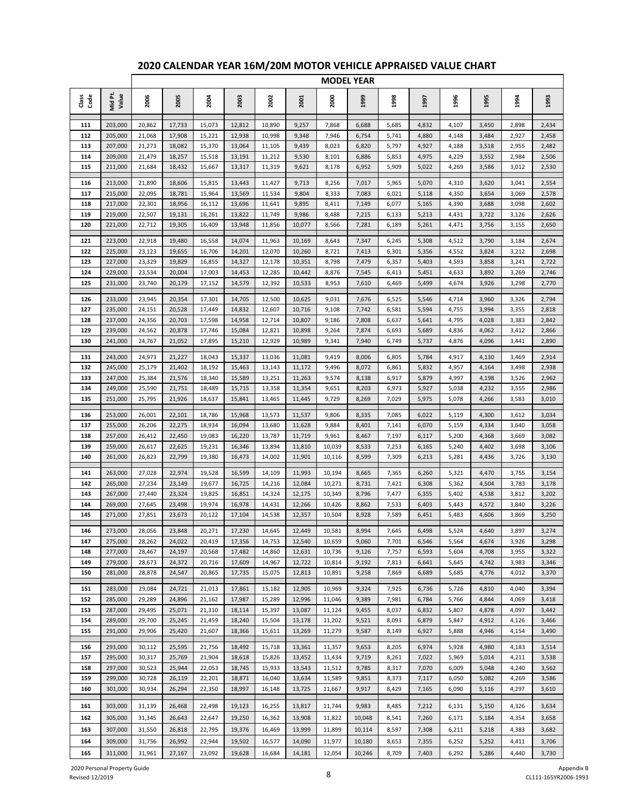|               |                    |                  |                  |                  |                  |                  |                  |                  | <b>MODEL YEAR</b> |                |                |                |                |                |                |
|---------------|--------------------|------------------|------------------|------------------|------------------|------------------|------------------|------------------|-------------------|----------------|----------------|----------------|----------------|----------------|----------------|
| Class<br>Code | Mid Pt.<br>Value   | 2006             | 2005             | 2004             | 2003             | 2002             | 2001             | 2000             | 1999              | 1998           | 1997           | 1996           | 1995           | 1994           | 1993           |
| 111           | 203,000            | 20,862           | 17,733           | 15,073           | 12,812           | 10,890           | 9,257            | 7,868            | 6,688             | 5,685          | 4,832          | 4,107          | 3,450          | 2,898          | 2,434          |
| 112           | 205,000            | 21,068           | 17,908           | 15,221           | 12,938           | 10,998           | 9,348            | 7,946            | 6,754             | 5,741          | 4,880          | 4,148          | 3,484          | 2,927          | 2,458          |
| 113           | 207,000            | 21,273           | 18,082           | 15,370           | 13,064           | 11,105           | 9,439            | 8,023            | 6,820             | 5,797          | 4,927          | 4,188          | 3,518          | 2,955          | 2,482          |
| 114           | 209,000            | 21,479           | 18,257           | 15,518           | 13,191           | 11,212           | 9,530            | 8,101            | 6,886             | 5,853          | 4,975          | 4,229          | 3,552          | 2,984          | 2,506          |
| 115           | 211,000            | 21,684           | 18,432           | 15,667           | 13,317           | 11,319           | 9,621            | 8,178            | 6,952             | 5,909          | 5,022          | 4,269          | 3,586          | 3,012          | 2,530          |
| 116           | 213,000            | 21,890           | 18,606           | 15,815           | 13,443           | 11,427           | 9,713            | 8,256            | 7,017             | 5,965          | 5,070          | 4,310          | 3,620          | 3,041          | 2,554          |
| 117           | 215,000            | 22,095           | 18,781           | 15,964           | 13,569           | 11,534           | 9,804            | 8,333            | 7,083             | 6,021          | 5,118          | 4,350          | 3,654          | 3,069          | 2,578          |
| 118           | 217,000            | 22,301           | 18,956           | 16,112           | 13,696           | 11,641           | 9,895            | 8,411            | 7,149             | 6,077          | 5,165          | 4,390          | 3,688          | 3,098          | 2,602          |
| 119<br>120    | 219,000<br>221,000 | 22,507<br>22,712 | 19,131<br>19,305 | 16,261<br>16,409 | 13,822<br>13,948 | 11,749<br>11,856 | 9,986<br>10,077  | 8,488<br>8,566   | 7,215<br>7,281    | 6,133<br>6,189 | 5,213<br>5,261 | 4,431<br>4,471 | 3,722<br>3,756 | 3,126<br>3,155 | 2,626<br>2,650 |
|               |                    |                  |                  |                  |                  |                  |                  |                  |                   |                |                |                |                |                |                |
| 121           | 223,000            | 22,918           | 19,480           | 16,558           | 14,074           | 11,963           | 10,169           | 8,643            | 7,347             | 6,245          | 5,308          | 4,512          | 3,790          | 3,184          | 2,674          |
| 122           | 225,000            | 23,123           | 19,655           | 16,706           | 14,201           | 12,070           | 10,260           | 8,721            | 7,413             | 6,301          | 5,356          | 4,552          | 3,824          | 3,212          | 2,698          |
| 123<br>124    | 227,000<br>229,000 | 23,329<br>23,534 | 19,829<br>20,004 | 16,855<br>17,003 | 14,327<br>14,453 | 12,178           | 10,351<br>10,442 | 8,798            | 7,479             | 6,357<br>6,413 | 5,403<br>5,451 | 4,593<br>4,633 | 3,858<br>3,892 | 3,241<br>3,269 | 2,722<br>2,746 |
| 125           | 231,000            | 23,740           | 20,179           | 17,152           | 14,579           | 12,285<br>12,392 | 10,533           | 8,876<br>8,953   | 7,545<br>7,610    | 6,469          | 5,499          | 4,674          | 3,926          | 3,298          | 2,770          |
|               |                    |                  |                  |                  |                  |                  |                  |                  |                   |                |                |                |                |                |                |
| 126           | 233,000            | 23,945           | 20,354           | 17,301           | 14,705           | 12,500           | 10,625           | 9,031            | 7,676             | 6,525          | 5,546          | 4,714          | 3,960          | 3,326          | 2,794          |
| 127<br>128    | 235,000<br>237,000 | 24,151<br>24,356 | 20,528<br>20,703 | 17,449<br>17,598 | 14,832<br>14,958 | 12,607<br>12,714 | 10,716<br>10,807 | 9,108<br>9,186   | 7,742<br>7,808    | 6,581<br>6,637 | 5,594<br>5,641 | 4,755<br>4,795 | 3,994<br>4,028 | 3,355<br>3,383 | 2,818<br>2,842 |
| 129           | 239,000            | 24,562           | 20,878           | 17,746           | 15,084           | 12,821           | 10,898           | 9,264            | 7,874             | 6,693          | 5,689          | 4,836          | 4,062          | 3,412          | 2,866          |
| 130           | 241,000            | 24,767           | 21,052           | 17,895           | 15,210           | 12,929           | 10,989           | 9,341            | 7,940             | 6,749          | 5,737          | 4,876          | 4,096          | 3,441          | 2,890          |
| 131           | 243,000            | 24,973           | 21,227           | 18,043           | 15,337           | 13,036           | 11,081           | 9,419            | 8,006             | 6,805          | 5,784          | 4,917          | 4,130          | 3,469          | 2,914          |
| 132           | 245,000            | 25,179           | 21,402           | 18,192           | 15,463           | 13,143           | 11,172           | 9,496            | 8,072             | 6,861          | 5,832          | 4,957          | 4,164          | 3,498          | 2,938          |
| 133           | 247,000            | 25,384           | 21,576           | 18,340           | 15,589           | 13,251           | 11,263           | 9,574            | 8,138             | 6,917          | 5,879          | 4,997          | 4,198          | 3,526          | 2,962          |
| 134           | 249,000            | 25,590           | 21,751           | 18,489           | 15,715           | 13,358           | 11,354           | 9,651            | 8,203             | 6,973          | 5,927          | 5,038          | 4,232          | 3,555          | 2,986          |
| 135           | 251,000            | 25,795           | 21,926           | 18,637           | 15,841           | 13,465           | 11,445           | 9,729            | 8,269             | 7,029          | 5,975          | 5,078          | 4,266          | 3,583          | 3,010          |
| 136           | 253,000            | 26,001           | 22,101           | 18,786           | 15,968           | 13,573           | 11,537           | 9,806            | 8,335             | 7,085          | 6,022          | 5,119          | 4,300          | 3,612          | 3,034          |
| 137           | 255,000            | 26,206           | 22,275           | 18,934           | 16,094           | 13,680           | 11,628           | 9,884            | 8,401             | 7,141          | 6,070          | 5,159          | 4,334          | 3,640          | 3,058          |
| 138           | 257,000            | 26,412           | 22,450           | 19,083           | 16,220           | 13,787           | 11,719           | 9,961            | 8,467             | 7,197          | 6,117          | 5,200          | 4,368          | 3,669          | 3,082          |
| 139           | 259,000            | 26,617           | 22,625           | 19,231           | 16,346           | 13,894           | 11,810           | 10,039           | 8,533             | 7,253          | 6,165          | 5,240          | 4,402          | 3,698          | 3,106          |
| 140           | 261,000            | 26,823           | 22,799           | 19,380           | 16,473           | 14,002           | 11,901           | 10,116           | 8,599             | 7,309          | 6,213          | 5,281          | 4,436          | 3,726          | 3,130          |
| 141           | 263,000            | 27,028           | 22,974           | 19,528           | 16,599           | 14,109           | 11,993           | 10,194           | 8,665             | 7,365          | 6,260          | 5,321          | 4,470          | 3,755          | 3,154          |
| 142           | 265,000            | 27,234           | 23,149           | 19,677           | 16,725           | 14,216           | 12,084           | 10,271           | 8,731             | 7,421          | 6,308          | 5,362          | 4,504          | 3,783          | 3,178          |
| 143           | 267,000            | 27,440           | 23,324           | 19,825           | 16,851           | 14,324           | 12,175           | 10,349           | 8,796             | 7,477          | 6,355          | 5,402          | 4,538          | 3,812          | 3,202          |
| 144           | 269,000            | 27,645           | 23,498           | 19,974           | 16,978           | 14,431           | 12,266           | 10,426           | 8,862             | 7,533          | 6,403          | 5,443          | 4,572          | 3,840          | 3,226          |
| 145           | 271,000            | 27,851           | 23,673           | 20,122           | 17,104           | 14,538           | 12,357           | 10,504           | 8,928             | 7,589          | 6,451          | 5,483          | 4,606          | 3,869          | 3,250          |
| 146           | 273,000            | 28,056           | 23,848           | 20,271           | 17,230           | 14,645           | 12,449           | 10,581           | 8,994             | 7,645          | 6,498          | 5,524          | 4,640          | 3,897          | 3,274          |
| 147           | 275,000            | 28,262           | 24,022           | 20,419           | 17,356           | 14,753           | 12,540           | 10,659           | 9,060             | 7,701          | 6,546          | 5,564          | 4,674          | 3,926          | 3,298          |
| 148           | 277,000            | 28,467           | 24,197           | 20,568           | 17,482           | 14,860           | 12,631           | 10,736           | 9,126             | 7,757          | 6,593          | 5,604          | 4,708          | 3,955          | 3,322          |
| 149<br>150    | 279,000<br>281,000 | 28,673<br>28,878 | 24,372<br>24,547 | 20,716<br>20,865 | 17,609<br>17,735 | 14,967<br>15,075 | 12,722<br>12,813 | 10,814<br>10,891 | 9,192<br>9,258    | 7,813<br>7,869 | 6,641<br>6,689 | 5,645<br>5,685 | 4,742<br>4,776 | 3,983<br>4,012 | 3,346<br>3,370 |
|               |                    |                  |                  |                  |                  |                  |                  |                  |                   |                |                |                |                |                |                |
| 151           | 283,000            | 29,084           | 24,721           | 21,013           | 17,861           | 15,182           | 12,905           | 10,969           | 9,324             | 7,925          | 6,736          | 5,726          | 4,810          | 4,040          | 3,394          |
| 152           | 285,000            | 29,289           | 24,896           | 21,162           | 17,987           | 15,289           | 12,996           | 11,046           | 9,389             | 7,981          | 6,784          | 5,766          | 4,844          | 4,069          | 3,418          |
| 153<br>154    | 287,000<br>289,000 | 29,495<br>29,700 | 25,071<br>25,245 | 21,310<br>21,459 | 18,114<br>18,240 | 15,397<br>15,504 | 13,087<br>13,178 | 11,124<br>11,202 | 9,455<br>9,521    | 8,037<br>8,093 | 6,832<br>6,879 | 5,807<br>5,847 | 4,878<br>4,912 | 4,097<br>4,126 | 3,442<br>3,466 |
| 155           | 291,000            | 29,906           | 25,420           | 21,607           | 18,366           | 15,611           | 13,269           | 11,279           | 9,587             | 8,149          | 6,927          | 5,888          | 4,946          | 4,154          | 3,490          |
|               |                    |                  |                  |                  |                  |                  |                  |                  |                   |                |                |                |                |                |                |
| 156           | 293,000            | 30,112           | 25,595           | 21,756           | 18,492           | 15,718           | 13,361           | 11,357           | 9,653             | 8,205          | 6,974          | 5,928          | 4,980          | 4,183          | 3,514          |
| 157<br>158    | 295,000<br>297,000 | 30,317<br>30,523 | 25,769<br>25,944 | 21,904<br>22,053 | 18,618<br>18,745 | 15,826<br>15,933 | 13,452<br>13,543 | 11,434<br>11,512 | 9,719<br>9,785    | 8,261<br>8,317 | 7,022<br>7,070 | 5,969<br>6,009 | 5,014<br>5,048 | 4,211<br>4,240 | 3,538<br>3,562 |
| 159           | 299,000            | 30,728           | 26,119           | 22,201           | 18,871           | 16,040           | 13,634           | 11,589           | 9,851             | 8,373          | 7,117          | 6,050          | 5,082          | 4,269          | 3,586          |
| 160           | 301,000            | 30,934           | 26,294           | 22,350           | 18,997           | 16,148           | 13,725           | 11,667           | 9,917             | 8,429          | 7,165          | 6,090          | 5,116          | 4,297          | 3,610          |
|               |                    |                  |                  |                  |                  |                  |                  |                  |                   |                |                |                |                |                |                |
| 161           | 303,000            | 31,139           | 26,468           | 22,498           | 19,123           | 16,255           | 13,817           | 11,744           | 9,983             | 8,485          | 7,212          | 6,131          | 5,150          | 4,326          | 3,634          |
| 162           | 305,000            | 31,345           | 26,643           | 22,647           | 19,250           | 16,362           | 13,908           | 11,822           | 10,048            | 8,541          | 7,260          | 6,171          | 5,184          | 4,354          | 3,658          |
| 163           | 307,000            | 31,550           | 26,818           | 22,795           | 19,376           | 16,469           | 13,999           | 11,899           | 10,114            | 8,597          | 7,308          | 6,211          | 5,218          | 4,383          | 3,682          |
| 164           | 309,000            | 31,756           | 26,992           | 22,944           | 19,502           | 16,577           | 14,090           | 11,977           | 10,180            | 8,653          | 7,355          | 6,252          | 5,252          | 4,411          | 3,706          |
| 165           | 311,000            | 31,961           | 27,167           | 23,092           | 19,628           | 16,684           | 14,181           | 12,054           | 10,246            | 8,709          | 7,403          | 6,292          | 5,286          | 4,440          | 3,730          |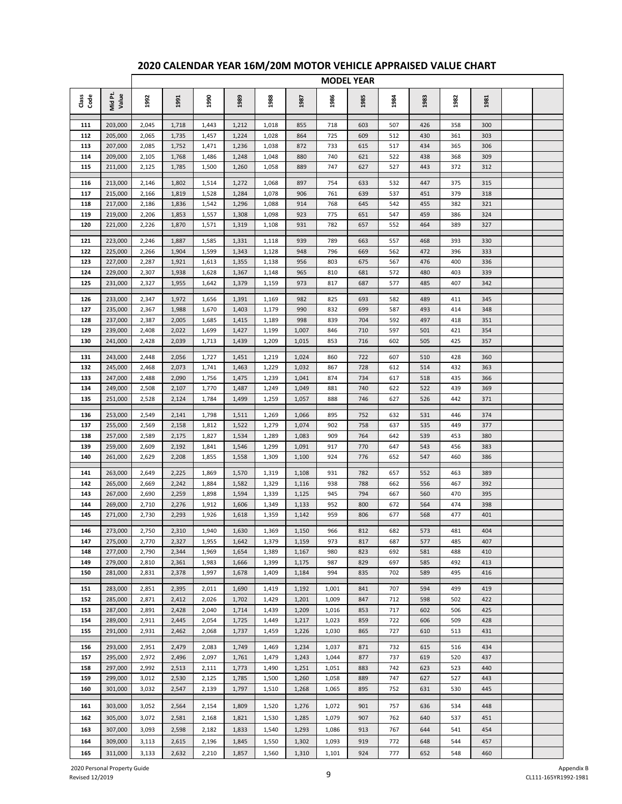|              |                    |                |                |                |                |                |                |                | <b>MODEL YEAR</b> |            |            |            |            |  |
|--------------|--------------------|----------------|----------------|----------------|----------------|----------------|----------------|----------------|-------------------|------------|------------|------------|------------|--|
| Cass<br>Code | Mid Pt.<br>Value   | 1992           | 1991           | 1990           | 1989           | 1988           | 1987           | 1986           | 1985              | 1984       | 1983       | 1982       | 1981       |  |
| 111          | 203,000            | 2,045          | 1,718          | 1,443          | 1,212          | 1,018          | 855            | 718            | 603               | 507        | 426        | 358        | 300        |  |
| 112          | 205,000            | 2,065          | 1,735          | 1,457          | 1,224          | 1,028          | 864            | 725            | 609               | 512        | 430        | 361        | 303        |  |
| 113          | 207,000            | 2,085          | 1,752          | 1,471          | 1,236          | 1,038          | 872            | 733            | 615               | 517        | 434        | 365        | 306        |  |
| 114          | 209,000            | 2,105          | 1,768          | 1,486          | 1,248          | 1,048          | 880            | 740            | 621               | 522        | 438        | 368        | 309        |  |
| 115          | 211,000            | 2,125          | 1,785          | 1,500          | 1,260          | 1,058          | 889            | 747            | 627               | 527        | 443        | 372        | 312        |  |
| 116          | 213,000            | 2,146          | 1,802          | 1,514          | 1,272          | 1,068          | 897            | 754            | 633               | 532        | 447        | 375        | 315        |  |
| 117          | 215,000            | 2,166          | 1,819          | 1,528          | 1,284          | 1,078          | 906            | 761            | 639               | 537        | 451        | 379        | 318        |  |
| 118          | 217,000            | 2,186          | 1,836          | 1,542          | 1,296          | 1,088          | 914            | 768            | 645               | 542        | 455        | 382        | 321        |  |
| 119          | 219,000            | 2,206          | 1,853          | 1,557          | 1,308          | 1,098          | 923            | 775            | 651               | 547        | 459        | 386        | 324        |  |
| 120          | 221,000            | 2,226          | 1,870          | 1,571          | 1,319          | 1,108          | 931            | 782            | 657               | 552        | 464        | 389        | 327        |  |
| 121          | 223,000            | 2,246          | 1,887          | 1,585          | 1,331          | 1,118          | 939            | 789            | 663               | 557        | 468        | 393        | 330        |  |
| 122          | 225,000            | 2,266          | 1,904          | 1,599          | 1,343          | 1,128          | 948            | 796            | 669               | 562        | 472        | 396        | 333        |  |
| 123          | 227,000            | 2,287          | 1,921          | 1,613          | 1,355          | 1,138          | 956            | 803            | 675               | 567        | 476        | 400        | 336        |  |
| 124          | 229,000            | 2,307          | 1,938          | 1,628          | 1,367          | 1,148          | 965            | 810            | 681               | 572        | 480        | 403        | 339        |  |
| 125          | 231,000            | 2,327          | 1,955          | 1,642          | 1,379          | 1,159          | 973            | 817            | 687               | 577        | 485        | 407        | 342        |  |
| 126          | 233,000            | 2,347          | 1,972          | 1,656          | 1,391          | 1,169          | 982            | 825            | 693               | 582        | 489        | 411        | 345        |  |
| 127          | 235,000            | 2,367          | 1,988          | 1,670          | 1,403          | 1,179          | 990            | 832            | 699               | 587        | 493        | 414        | 348        |  |
| 128          | 237,000            | 2,387          | 2,005          | 1,685          | 1,415          | 1,189          | 998            | 839            | 704               | 592        | 497        | 418        | 351        |  |
| 129          | 239,000            | 2,408          | 2,022          | 1,699          | 1,427          | 1,199          | 1,007          | 846            | 710               | 597        | 501        | 421        | 354        |  |
| 130          | 241,000            | 2,428          | 2,039          | 1,713          | 1,439          | 1,209          | 1,015          | 853            | 716               | 602        | 505        | 425        | 357        |  |
| 131          | 243,000            | 2,448          | 2,056          | 1,727          | 1,451          | 1,219          | 1,024          | 860            | 722               | 607        | 510        | 428        | 360        |  |
| 132          | 245,000            | 2,468          | 2,073          | 1,741          | 1,463          | 1,229          | 1,032          | 867            | 728               | 612        | 514        | 432        | 363        |  |
| 133          | 247,000            | 2,488          | 2,090          | 1,756          | 1,475          | 1,239          | 1,041          | 874            | 734               | 617        | 518        | 435        | 366        |  |
| 134          | 249,000            | 2,508          | 2,107          | 1,770          | 1,487          | 1,249          | 1,049          | 881            | 740               | 622        | 522        | 439        | 369        |  |
| 135          | 251,000            | 2,528          | 2,124          | 1,784          | 1,499          | 1,259          | 1,057          | 888            | 746               | 627        | 526        | 442        | 371        |  |
| 136          | 253,000            | 2,549          | 2,141          | 1,798          | 1,511          | 1,269          | 1,066          | 895            | 752               | 632        | 531        | 446        | 374        |  |
| 137          | 255,000            | 2,569          | 2,158          | 1,812          | 1,522          | 1,279          | 1,074          | 902            | 758               | 637        | 535        | 449        | 377        |  |
| 138          | 257,000            | 2,589          | 2,175          | 1,827          | 1,534          | 1,289          | 1,083          | 909            | 764               | 642        | 539        | 453        | 380        |  |
| 139          | 259,000            | 2,609          | 2,192          | 1,841          | 1,546          | 1,299          | 1,091          | 917            | 770               | 647        | 543        | 456        | 383        |  |
| 140          | 261,000            | 2,629          | 2,208          | 1,855          | 1,558          | 1,309          | 1,100          | 924            | 776               | 652        | 547        | 460        | 386        |  |
| 141          | 263,000            | 2,649          | 2,225          | 1,869          | 1,570          | 1,319          | 1,108          | 931            | 782               | 657        | 552        | 463        | 389        |  |
| 142          | 265,000            | 2,669          | 2,242          | 1,884          | 1,582          | 1,329          | 1,116          | 938            | 788               | 662        | 556        | 467        | 392        |  |
| 143          | 267,000            | 2,690          | 2,259          | 1,898          | 1,594          | 1,339          | 1,125          | 945            | 794               | 667        | 560        | 470        | 395        |  |
| 144          | 269,000            | 2,710          | 2,276          | 1,912          | 1,606          | 1,349          | 1,133          | 952            | 800               | 672        | 564        | 474        | 398        |  |
| 145          | 271,000            | 2,730          | 2,293          | 1,926          | 1,618          | 1,359          | 1,142          | 959            | 806               | 677        | 568        | 477        | 401        |  |
| 146          | 273,000            | 2,750          | 2,310          | 1,940          | 1,630          | 1,369          | 1,150          | 966            | 812               | 682        | 573        | 481        | 404        |  |
| 147          | 275,000            | 2,770          | 2,327          | 1,955          | 1,642          | 1,379          | 1,159          | 973            | 817               | 687        | 577        | 485        | 407        |  |
| 148          | 277,000            | 2,790          | 2,344          | 1,969          | 1,654          | 1,389          | 1,167          | 980            | 823               | 692        | 581        | 488        | 410        |  |
| 149<br>150   | 279,000<br>281,000 | 2,810<br>2,831 | 2,361          | 1,983<br>1,997 | 1,666<br>1,678 | 1,399<br>1,409 | 1,175<br>1,184 | 987<br>994     | 829<br>835        | 697<br>702 | 585<br>589 | 492<br>495 | 413<br>416 |  |
|              |                    |                | 2,378          |                |                |                |                |                |                   |            |            |            |            |  |
| 151          | 283,000            | 2,851          | 2,395          | 2,011          | 1,690          | 1,419          | 1,192          | 1,001          | 841               | 707        | 594        | 499        | 419        |  |
| 152          | 285,000            | 2,871          | 2,412          | 2,026          | 1,702          | 1,429          | 1,201          | 1,009          | 847               | 712        | 598        | 502        | 422        |  |
| 153          | 287,000            | 2,891          | 2,428          | 2,040          | 1,714          | 1,439          | 1,209          | 1,016          | 853               | 717        | 602        | 506        | 425        |  |
| 154<br>155   | 289,000<br>291,000 | 2,911<br>2,931 | 2,445<br>2,462 | 2,054<br>2,068 | 1,725<br>1,737 | 1,449<br>1,459 | 1,217<br>1,226 | 1,023<br>1,030 | 859<br>865        | 722<br>727 | 606<br>610 | 509<br>513 | 428<br>431 |  |
|              |                    |                |                |                |                |                |                |                |                   |            |            |            |            |  |
| 156          | 293,000            | 2,951          | 2,479          | 2,083          | 1,749          | 1,469          | 1,234          | 1,037          | 871               | 732        | 615        | 516        | 434        |  |
| 157          | 295,000            | 2,972          | 2,496          | 2,097          | 1,761          | 1,479          | 1,243          | 1,044          | 877               | 737        | 619        | 520        | 437        |  |
| 158          | 297,000            | 2,992          | 2,513          | 2,111          | 1,773          | 1,490          | 1,251          | 1,051          | 883               | 742        | 623        | 523        | 440        |  |
| 159<br>160   | 299,000<br>301,000 | 3,012<br>3,032 | 2,530<br>2,547 | 2,125<br>2,139 | 1,785<br>1,797 | 1,500<br>1,510 | 1,260<br>1,268 | 1,058<br>1,065 | 889<br>895        | 747<br>752 | 627<br>631 | 527<br>530 | 443<br>445 |  |
|              |                    |                |                |                |                |                |                |                |                   |            |            |            |            |  |
| 161          | 303,000            | 3,052          | 2,564          | 2,154          | 1,809          | 1,520          | 1,276          | 1,072          | 901               | 757        | 636        | 534        | 448        |  |
| 162          | 305,000            | 3,072          | 2,581          | 2,168          | 1,821          | 1,530          | 1,285          | 1,079          | 907               | 762        | 640        | 537        | 451        |  |
| 163          | 307,000            | 3,093          | 2,598          | 2,182          | 1,833          | 1,540          | 1,293          | 1,086          | 913               | 767        | 644        | 541        | 454        |  |
| 164          | 309,000            | 3,113          | 2,615          | 2,196          | 1,845          | 1,550          | 1,302          | 1,093          | 919               | 772        | 648        | 544        | 457        |  |
| 165          | 311,000            | 3,133          | 2,632          | 2,210          | 1,857          | 1,560          | 1,310          | 1,101          | 924               | 777        | 652        | 548        | 460        |  |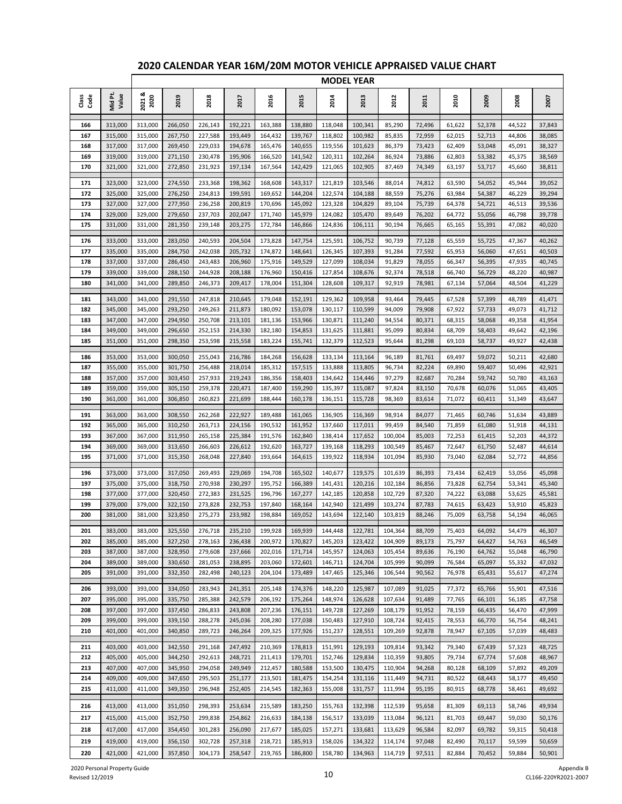| 2021&<br>Mid Pt.<br>Value<br>2020<br>2016<br>2013<br><b>2010</b><br>das<br>Code<br>2019<br>2018<br>2015<br>2014<br>2017<br>2012<br>2011<br>2009<br>2008<br>2007<br>313,000<br>313,000<br>266,050<br>226,143<br>192,221<br>163,388<br>138,880<br>118,048<br>100,341<br>85,290<br>72,496<br>52,378<br>44,522<br>37,843<br>166<br>61,622<br>167<br>315,000<br>315,000<br>267,750<br>227,588<br>193,449<br>139,767<br>118,802<br>100,982<br>85,835<br>72,959<br>62,015<br>52,713<br>44,806<br>38,085<br>164,432<br>168<br>317,000<br>317,000<br>269,450<br>229,033<br>194,678<br>140,655<br>119,556<br>101,623<br>86,379<br>73,423<br>53,048<br>45,091<br>38,327<br>165,476<br>62,409<br>319,000<br>319,000<br>271,150<br>230,478<br>195,906<br>141,542<br>120,311<br>102,264<br>86,924<br>73,886<br>53,382<br>45,375<br>38,569<br>169<br>166,520<br>62,803<br>170<br>321,000<br>321,000<br>272,850<br>231,923<br>197,134<br>167,564<br>142,429<br>121,065<br>102,905<br>87,469<br>74,349<br>63,197<br>53,717<br>45,660<br>38,811<br>171<br>323,000<br>323,000<br>274,550<br>233,368<br>198,362<br>168,608<br>143,317<br>121,819<br>103,546<br>88,014<br>74,812<br>63,590<br>54,052<br>45,944<br>39,052<br>172<br>325,000<br>325,000<br>276,250<br>234,813<br>199,591<br>169,652<br>144,204<br>122,574<br>104,188<br>88,559<br>75,276<br>63,984<br>54,387<br>46,229<br>39,294<br>173<br>327,000<br>327,000<br>277,950<br>236,258<br>200,819<br>170,696<br>145,092<br>123,328<br>104,829<br>89,104<br>75,739<br>64,378<br>54,721<br>46,513<br>39,536<br>174<br>329,000<br>329,000<br>279,650<br>237,703<br>202,047<br>171,740<br>145,979<br>124,082<br>105,470<br>89,649<br>76,202<br>64,772<br>55,056<br>46,798<br>39,778<br>175<br>331,000<br>203,275<br>55,391<br>40,020<br>331,000<br>281,350<br>239,148<br>172,784<br>146,866<br>124,836<br>106,111<br>90,194<br>76,665<br>65,165<br>47,082<br>176<br>333,000<br>333,000<br>283,050<br>240,593<br>204,504<br>173,828<br>147,754<br>125,591<br>106,752<br>90,739<br>77,128<br>65,559<br>55,725<br>47,367<br>40,262<br>177<br>335,000<br>335,000<br>284,750<br>242,038<br>205,732<br>174,872<br>148,641<br>126,345<br>107,393<br>91,284<br>77,592<br>65,953<br>56,060<br>47,651<br>40,503<br>178<br>337,000<br>337,000<br>286,450<br>243,483<br>206,960<br>175,916<br>149,529<br>127,099<br>108,034<br>91,829<br>78,055<br>66,347<br>56,395<br>47,935<br>40,745<br>179<br>339,000<br>339,000<br>288,150<br>244,928<br>208,188<br>176,960<br>150,416<br>127,854<br>108,676<br>92,374<br>78,518<br>66,740<br>56,729<br>48,220<br>40,987<br>92.919<br>41,229<br>180<br>341,000<br>341,000<br>289,850<br>246,373<br>209,417<br>178,004<br>151,304<br>128,608<br>109,317<br>78,981<br>67,134<br>57,064<br>48.504<br>343,000<br>343,000<br>291,550<br>247,818<br>210,645<br>179,048<br>152,191<br>129,362<br>109,958<br>93,464<br>79,445<br>67,528<br>57,399<br>48,789<br>41,471<br>181<br>182<br>345,000<br>345,000<br>293,250<br>249,263<br>211,873<br>180,092<br>153,078<br>130,117<br>110,599<br>94,009<br>79,908<br>67,922<br>57,733<br>49,073<br>41,712<br>183<br>347,000<br>347,000<br>294,950<br>250,708<br>213,101<br>181,136<br>153,966<br>130,871<br>111,240<br>94,554<br>80,371<br>68,315<br>58,068<br>49,358<br>41,954<br>184<br>349,000<br>349,000<br>296,650<br>252,153<br>214,330<br>182,180<br>154,853<br>131,625<br>95,099<br>80,834<br>68,709<br>58,403<br>49,642<br>42,196<br>111,881<br>185<br>351,000<br>351,000<br>298,350<br>253,598<br>215,558<br>183,224<br>155,741<br>132,379<br>112,523<br>95,644<br>81,298<br>69,103<br>58,737<br>49,927<br>42,438<br>186<br>353,000<br>353,000<br>300,050<br>255,043<br>216,786<br>156,628<br>133,134<br>96,189<br>81,761<br>59,072<br>50,211<br>42,680<br>184,268<br>113,164<br>69,497<br>355,000<br>157,515<br>42,921<br>187<br>355,000<br>301,750<br>256,488<br>218,014<br>185,312<br>133,888<br>113,805<br>96,734<br>82,224<br>69,890<br>59,407<br>50,496<br>188<br>357,000<br>357,000<br>303,450<br>257,933<br>219,243<br>158,403<br>97,279<br>70,284<br>59,742<br>50,780<br>43,163<br>186,356<br>134,642<br>114,446<br>82,687<br>189<br>359,000<br>359,000<br>305,150<br>259,378<br>220,471<br>187,400<br>159,290<br>135,397<br>115,087<br>97,824<br>83,150<br>70,678<br>60,076<br>51,065<br>43,405<br>190<br>361,000<br>361,000<br>306,850<br>260,823<br>221,699<br>160,178<br>136,151<br>115,728<br>98,369<br>83,614<br>71,072<br>60,411<br>51,349<br>43,647<br>188,444<br>262,268<br>222,927<br>161,065<br>136,905<br>98,914<br>60,746<br>43,889<br>191<br>363,000<br>363,000<br>308,550<br>189,488<br>116,369<br>84,077<br>71,465<br>51,634<br>192<br>365,000<br>263,713<br>190,532<br>161,952<br>71,859<br>51,918<br>365,000<br>310,250<br>224,156<br>137,660<br>117,011<br>99,459<br>84,540<br>61,080<br>44,131<br>193<br>311,950<br>72,253<br>52,203<br>44,372<br>367,000<br>367,000<br>265,158<br>225,384<br>191,576<br>162,840<br>138,414<br>117,652<br>100,004<br>85,003<br>61,415<br>194<br>369,000<br>369,000<br>226,612<br>139,168<br>100,549<br>72,647<br>52,487<br>313,650<br>266,603<br>192,620<br>163,727<br>118,293<br>85,467<br>61,750<br>44,614<br>195<br>371,000<br>371,000<br>315,350<br>268,048<br>227,840<br>193,664<br>164,615<br>139,922<br>118,934<br>101,094<br>85,930<br>73,040<br>62,084<br>52,772<br>44,856<br>373,000<br>373,000<br>269,493<br>229,069<br>194,708<br>165,502<br>119,575<br>62,419<br>53,056<br>45,098<br>196<br>317,050<br>140,677<br>101,639<br>86,393<br>73,434<br>197<br>375,000<br>375,000<br>270,938<br>230,297<br>62,754<br>53,341<br>45,340<br>318,750<br>195,752<br>166,389<br>141,431<br>120,216<br>102,184<br>86,856<br>73,828<br>198<br>377,000<br>377,000<br>320,450<br>272,383<br>231,525<br>196,796<br>167,277<br>142,185<br>120,858<br>102,729<br>87,320<br>74,222<br>63,088<br>53,625<br>45,581<br>199<br>379,000<br>379,000<br>322,150<br>273,828<br>232,753<br>197,840<br>168,164<br>142,940<br>121,499<br>103,274<br>87,783<br>74,615<br>63,423<br>53,910<br>45,823<br>200<br>381,000<br>381,000<br>323,850<br>275,273<br>233,982<br>198,884<br>169,052<br>143,694<br>122,140<br>103,819<br>88,246<br>75,009<br>63,758<br>54,194<br>46,065<br>276,718<br>201<br>383,000<br>383,000<br>325,550<br>235,210<br>199,928<br>169,939<br>144,448<br>122,781<br>104,364<br>88,709<br>75,403<br>64,092<br>54,479<br>46,307<br>46,549<br>202<br>385,000<br>385,000<br>327,250<br>278,163<br>236,438<br>200,972<br>170,827<br>145,203<br>123,422<br>104,909<br>89,173<br>75,797<br>64,427<br>54,763<br>387,000<br>328,950<br>105,454<br>46,790<br>203<br>387,000<br>279,608<br>237,666<br>202,016<br>171,714<br>145,957<br>124,063<br>89,636<br>76,190<br>64,762<br>55,048<br>204<br>389,000<br>389,000<br>330,650<br>281,053<br>238,895<br>203,060<br>172,601<br>146,711<br>124,704<br>105,999<br>90,099<br>76,584<br>65,097<br>55,332<br>47,032<br>205<br>391,000<br>391,000<br>332,350<br>282,498<br>240,123<br>204,104<br>173,489<br>147,465<br>125,346<br>106,544<br>90,562<br>76,978<br>65,431<br>55,617<br>47,274<br>47,516<br>206<br>393,000<br>393,000<br>334,050<br>283,943<br>241,351<br>205,148<br>174,376<br>148,220<br>125,987<br>107,089<br>91,025<br>77,372<br>65,766<br>55,901<br>395,000<br>395,000<br>335,750<br>285,388<br>242,579<br>206,192<br>175,264<br>148,974<br>126,628<br>107,634<br>91,489<br>77,765<br>56,185<br>47,758<br>207<br>66,101<br>208<br>397,000<br>397,000<br>337,450<br>286,833<br>243,808<br>207,236<br>176,151<br>149,728<br>127,269<br>108,179<br>91,952<br>78,159<br>56,470<br>47,999<br>66,435<br>399,000<br>339,150<br>288,278<br>208,280<br>177,038<br>127,910<br>78,553<br>66,770<br>48,241<br>209<br>399,000<br>245,036<br>150,483<br>108,724<br>92,415<br>56,754<br>210<br>401,000<br>401,000<br>340,850<br>289,723<br>246,264<br>209,325<br>177,926<br>151,237<br>128,551<br>109,269<br>92,878<br>78,947<br>67,105<br>57,039<br>48,483<br>211<br>403,000<br>403,000<br>342,550<br>291,168<br>247,492<br>210,369<br>178,813<br>151,991<br>129,193<br>109,814<br>93,342<br>79,340<br>67,439<br>57,323<br>48,725<br>212<br>405,000<br>405,000<br>344,250<br>292,613<br>248,721<br>211,413<br>179,701<br>152,746<br>129,834<br>110,359<br>93,805<br>79,734<br>67,774<br>57,608<br>48,967<br>345,950<br>49,209<br>213<br>407,000<br>407,000<br>294,058<br>249,949<br>212,457<br>180,588<br>153,500<br>130,475<br>110,904<br>94,268<br>80,128<br>68,109<br>57,892<br>214<br>409,000<br>347,650<br>213,501<br>49,450<br>409,000<br>295,503<br>251,177<br>181,475<br>154,254<br>131,116<br>111,449<br>94,731<br>80,522<br>68,443<br>58,177<br>215<br>296,948<br>214,545<br>80,915<br>49,692<br>411,000<br>411,000<br>349,350<br>252,405<br>182,363<br>155,008<br>131,757<br>111,994<br>95,195<br>68,778<br>58,461<br>216<br>413,000<br>413,000<br>351,050<br>298,393<br>253,634<br>215,589<br>183,250<br>155,763<br>132,398<br>112,539<br>95,658<br>81,309<br>58,746<br>49,934<br>69,113<br>217<br>415,000<br>415,000<br>352,750<br>299,838<br>254,862<br>216,633<br>184,138<br>156,517<br>133,039<br>113,084<br>96,121<br>81,703<br>59,030<br>50,176<br>69,447<br>417,000<br>354,450<br>217,677<br>185,025<br>133,681<br>82,097<br>50,418<br>218<br>417,000<br>301,283<br>256,090<br>157,271<br>113,629<br>96,584<br>69,782<br>59,315<br>419,000<br>219<br>419,000<br>356,150<br>302,728<br>257,318<br>218,721<br>185,913<br>158,026<br>134,322<br>114,174<br>97,048<br>82,490<br>70,117<br>59,599<br>50,659<br>304,173<br>186,800<br>114,719<br>82,884<br>70,452<br>50,901<br>220<br>421,000<br>421,000<br>357,850<br>258,547<br>219,765<br>158,780<br>134,963<br>97,511<br>59,884 |  |  |  |  | <b>MODEL YEAR</b> |  |  |  |  |
|-------------------------------------------------------------------------------------------------------------------------------------------------------------------------------------------------------------------------------------------------------------------------------------------------------------------------------------------------------------------------------------------------------------------------------------------------------------------------------------------------------------------------------------------------------------------------------------------------------------------------------------------------------------------------------------------------------------------------------------------------------------------------------------------------------------------------------------------------------------------------------------------------------------------------------------------------------------------------------------------------------------------------------------------------------------------------------------------------------------------------------------------------------------------------------------------------------------------------------------------------------------------------------------------------------------------------------------------------------------------------------------------------------------------------------------------------------------------------------------------------------------------------------------------------------------------------------------------------------------------------------------------------------------------------------------------------------------------------------------------------------------------------------------------------------------------------------------------------------------------------------------------------------------------------------------------------------------------------------------------------------------------------------------------------------------------------------------------------------------------------------------------------------------------------------------------------------------------------------------------------------------------------------------------------------------------------------------------------------------------------------------------------------------------------------------------------------------------------------------------------------------------------------------------------------------------------------------------------------------------------------------------------------------------------------------------------------------------------------------------------------------------------------------------------------------------------------------------------------------------------------------------------------------------------------------------------------------------------------------------------------------------------------------------------------------------------------------------------------------------------------------------------------------------------------------------------------------------------------------------------------------------------------------------------------------------------------------------------------------------------------------------------------------------------------------------------------------------------------------------------------------------------------------------------------------------------------------------------------------------------------------------------------------------------------------------------------------------------------------------------------------------------------------------------------------------------------------------------------------------------------------------------------------------------------------------------------------------------------------------------------------------------------------------------------------------------------------------------------------------------------------------------------------------------------------------------------------------------------------------------------------------------------------------------------------------------------------------------------------------------------------------------------------------------------------------------------------------------------------------------------------------------------------------------------------------------------------------------------------------------------------------------------------------------------------------------------------------------------------------------------------------------------------------------------------------------------------------------------------------------------------------------------------------------------------------------------------------------------------------------------------------------------------------------------------------------------------------------------------------------------------------------------------------------------------------------------------------------------------------------------------------------------------------------------------------------------------------------------------------------------------------------------------------------------------------------------------------------------------------------------------------------------------------------------------------------------------------------------------------------------------------------------------------------------------------------------------------------------------------------------------------------------------------------------------------------------------------------------------------------------------------------------------------------------------------------------------------------------------------------------------------------------------------------------------------------------------------------------------------------------------------------------------------------------------------------------------------------------------------------------------------------------------------------------------------------------------------------------------------------------------------------------------------------------------------------------------------------------------------------------------------------------------------------------------------------------------------------------------------------------------------------------------------------------------------------------------------------------------------------------------------------------------------------------------------------------------------------------------------------------------------------------------------------------------------------------------------------------------------------------------------------------------------------------------------------------------------------------------------------------------------------------------------------------------------------------------------------------------------------------------------------------------------------------------------------------------------------------------------------------------------------------------------------------------------------------------------------------------------------------------------------------------------------------------------------------------------------------------------------------------------------------------------------------------------------------------------------------------------------------------------------------------------------------------------------------------------------------------------------------------------------------------------------------------------------------------------------------------------------------------------------------------------------------------------------------------------------------------------------------------------------------------------------------------------------------------------------------------------------------------------------------------------------------------------------------------------------------------------------------------------------------------------------------------------------------------------------------------------------------------------------------------------------------------------------------------------------------------------------------------------------------------------------------------------------------------------------------------------------------------------------------------------------------------------------------------------------------------------------------------------------------------------------------------------------------------------------------------------------------------------------------------------------------------------------------------------------------------------------------------------------------------------------------------------------------------------------------------------------------------------------------------------------------------------------------------------------------------------------------------------------------------------------------------------------------------------------------------------------------------------------------------------------------------------------------------------------------------------------------------------------------------------------------------------------------|--|--|--|--|-------------------|--|--|--|--|
|                                                                                                                                                                                                                                                                                                                                                                                                                                                                                                                                                                                                                                                                                                                                                                                                                                                                                                                                                                                                                                                                                                                                                                                                                                                                                                                                                                                                                                                                                                                                                                                                                                                                                                                                                                                                                                                                                                                                                                                                                                                                                                                                                                                                                                                                                                                                                                                                                                                                                                                                                                                                                                                                                                                                                                                                                                                                                                                                                                                                                                                                                                                                                                                                                                                                                                                                                                                                                                                                                                                                                                                                                                                                                                                                                                                                                                                                                                                                                                                                                                                                                                                                                                                                                                                                                                                                                                                                                                                                                                                                                                                                                                                                                                                                                                                                                                                                                                                                                                                                                                                                                                                                                                                                                                                                                                                                                                                                                                                                                                                                                                                                                                                                                                                                                                                                                                                                                                                                                                                                                                                                                                                                                                                                                                                                                                                                                                                                                                                                                                                                                                                                                                                                                                                                                                                                                                                                                                                                                                                                                                                                                                                                                                                                                                                                                                                                                                                                                                                                                                                                                                                                                                                                                                                                                                                                                                                                                                                                                                                                                                                                                                                                                                                                                                                                                                                                                                                                                                                                                                                                                                                                                                                                                                                                                                                                                                                                                                                                                                                                                                                                                                                                                                                                                                                                                                                                                                                                                                                                                                                                                                                                                                                                                                       |  |  |  |  |                   |  |  |  |  |
|                                                                                                                                                                                                                                                                                                                                                                                                                                                                                                                                                                                                                                                                                                                                                                                                                                                                                                                                                                                                                                                                                                                                                                                                                                                                                                                                                                                                                                                                                                                                                                                                                                                                                                                                                                                                                                                                                                                                                                                                                                                                                                                                                                                                                                                                                                                                                                                                                                                                                                                                                                                                                                                                                                                                                                                                                                                                                                                                                                                                                                                                                                                                                                                                                                                                                                                                                                                                                                                                                                                                                                                                                                                                                                                                                                                                                                                                                                                                                                                                                                                                                                                                                                                                                                                                                                                                                                                                                                                                                                                                                                                                                                                                                                                                                                                                                                                                                                                                                                                                                                                                                                                                                                                                                                                                                                                                                                                                                                                                                                                                                                                                                                                                                                                                                                                                                                                                                                                                                                                                                                                                                                                                                                                                                                                                                                                                                                                                                                                                                                                                                                                                                                                                                                                                                                                                                                                                                                                                                                                                                                                                                                                                                                                                                                                                                                                                                                                                                                                                                                                                                                                                                                                                                                                                                                                                                                                                                                                                                                                                                                                                                                                                                                                                                                                                                                                                                                                                                                                                                                                                                                                                                                                                                                                                                                                                                                                                                                                                                                                                                                                                                                                                                                                                                                                                                                                                                                                                                                                                                                                                                                                                                                                                                                       |  |  |  |  |                   |  |  |  |  |
|                                                                                                                                                                                                                                                                                                                                                                                                                                                                                                                                                                                                                                                                                                                                                                                                                                                                                                                                                                                                                                                                                                                                                                                                                                                                                                                                                                                                                                                                                                                                                                                                                                                                                                                                                                                                                                                                                                                                                                                                                                                                                                                                                                                                                                                                                                                                                                                                                                                                                                                                                                                                                                                                                                                                                                                                                                                                                                                                                                                                                                                                                                                                                                                                                                                                                                                                                                                                                                                                                                                                                                                                                                                                                                                                                                                                                                                                                                                                                                                                                                                                                                                                                                                                                                                                                                                                                                                                                                                                                                                                                                                                                                                                                                                                                                                                                                                                                                                                                                                                                                                                                                                                                                                                                                                                                                                                                                                                                                                                                                                                                                                                                                                                                                                                                                                                                                                                                                                                                                                                                                                                                                                                                                                                                                                                                                                                                                                                                                                                                                                                                                                                                                                                                                                                                                                                                                                                                                                                                                                                                                                                                                                                                                                                                                                                                                                                                                                                                                                                                                                                                                                                                                                                                                                                                                                                                                                                                                                                                                                                                                                                                                                                                                                                                                                                                                                                                                                                                                                                                                                                                                                                                                                                                                                                                                                                                                                                                                                                                                                                                                                                                                                                                                                                                                                                                                                                                                                                                                                                                                                                                                                                                                                                                                       |  |  |  |  |                   |  |  |  |  |
|                                                                                                                                                                                                                                                                                                                                                                                                                                                                                                                                                                                                                                                                                                                                                                                                                                                                                                                                                                                                                                                                                                                                                                                                                                                                                                                                                                                                                                                                                                                                                                                                                                                                                                                                                                                                                                                                                                                                                                                                                                                                                                                                                                                                                                                                                                                                                                                                                                                                                                                                                                                                                                                                                                                                                                                                                                                                                                                                                                                                                                                                                                                                                                                                                                                                                                                                                                                                                                                                                                                                                                                                                                                                                                                                                                                                                                                                                                                                                                                                                                                                                                                                                                                                                                                                                                                                                                                                                                                                                                                                                                                                                                                                                                                                                                                                                                                                                                                                                                                                                                                                                                                                                                                                                                                                                                                                                                                                                                                                                                                                                                                                                                                                                                                                                                                                                                                                                                                                                                                                                                                                                                                                                                                                                                                                                                                                                                                                                                                                                                                                                                                                                                                                                                                                                                                                                                                                                                                                                                                                                                                                                                                                                                                                                                                                                                                                                                                                                                                                                                                                                                                                                                                                                                                                                                                                                                                                                                                                                                                                                                                                                                                                                                                                                                                                                                                                                                                                                                                                                                                                                                                                                                                                                                                                                                                                                                                                                                                                                                                                                                                                                                                                                                                                                                                                                                                                                                                                                                                                                                                                                                                                                                                                                                       |  |  |  |  |                   |  |  |  |  |
|                                                                                                                                                                                                                                                                                                                                                                                                                                                                                                                                                                                                                                                                                                                                                                                                                                                                                                                                                                                                                                                                                                                                                                                                                                                                                                                                                                                                                                                                                                                                                                                                                                                                                                                                                                                                                                                                                                                                                                                                                                                                                                                                                                                                                                                                                                                                                                                                                                                                                                                                                                                                                                                                                                                                                                                                                                                                                                                                                                                                                                                                                                                                                                                                                                                                                                                                                                                                                                                                                                                                                                                                                                                                                                                                                                                                                                                                                                                                                                                                                                                                                                                                                                                                                                                                                                                                                                                                                                                                                                                                                                                                                                                                                                                                                                                                                                                                                                                                                                                                                                                                                                                                                                                                                                                                                                                                                                                                                                                                                                                                                                                                                                                                                                                                                                                                                                                                                                                                                                                                                                                                                                                                                                                                                                                                                                                                                                                                                                                                                                                                                                                                                                                                                                                                                                                                                                                                                                                                                                                                                                                                                                                                                                                                                                                                                                                                                                                                                                                                                                                                                                                                                                                                                                                                                                                                                                                                                                                                                                                                                                                                                                                                                                                                                                                                                                                                                                                                                                                                                                                                                                                                                                                                                                                                                                                                                                                                                                                                                                                                                                                                                                                                                                                                                                                                                                                                                                                                                                                                                                                                                                                                                                                                                                       |  |  |  |  |                   |  |  |  |  |
|                                                                                                                                                                                                                                                                                                                                                                                                                                                                                                                                                                                                                                                                                                                                                                                                                                                                                                                                                                                                                                                                                                                                                                                                                                                                                                                                                                                                                                                                                                                                                                                                                                                                                                                                                                                                                                                                                                                                                                                                                                                                                                                                                                                                                                                                                                                                                                                                                                                                                                                                                                                                                                                                                                                                                                                                                                                                                                                                                                                                                                                                                                                                                                                                                                                                                                                                                                                                                                                                                                                                                                                                                                                                                                                                                                                                                                                                                                                                                                                                                                                                                                                                                                                                                                                                                                                                                                                                                                                                                                                                                                                                                                                                                                                                                                                                                                                                                                                                                                                                                                                                                                                                                                                                                                                                                                                                                                                                                                                                                                                                                                                                                                                                                                                                                                                                                                                                                                                                                                                                                                                                                                                                                                                                                                                                                                                                                                                                                                                                                                                                                                                                                                                                                                                                                                                                                                                                                                                                                                                                                                                                                                                                                                                                                                                                                                                                                                                                                                                                                                                                                                                                                                                                                                                                                                                                                                                                                                                                                                                                                                                                                                                                                                                                                                                                                                                                                                                                                                                                                                                                                                                                                                                                                                                                                                                                                                                                                                                                                                                                                                                                                                                                                                                                                                                                                                                                                                                                                                                                                                                                                                                                                                                                                                       |  |  |  |  |                   |  |  |  |  |
|                                                                                                                                                                                                                                                                                                                                                                                                                                                                                                                                                                                                                                                                                                                                                                                                                                                                                                                                                                                                                                                                                                                                                                                                                                                                                                                                                                                                                                                                                                                                                                                                                                                                                                                                                                                                                                                                                                                                                                                                                                                                                                                                                                                                                                                                                                                                                                                                                                                                                                                                                                                                                                                                                                                                                                                                                                                                                                                                                                                                                                                                                                                                                                                                                                                                                                                                                                                                                                                                                                                                                                                                                                                                                                                                                                                                                                                                                                                                                                                                                                                                                                                                                                                                                                                                                                                                                                                                                                                                                                                                                                                                                                                                                                                                                                                                                                                                                                                                                                                                                                                                                                                                                                                                                                                                                                                                                                                                                                                                                                                                                                                                                                                                                                                                                                                                                                                                                                                                                                                                                                                                                                                                                                                                                                                                                                                                                                                                                                                                                                                                                                                                                                                                                                                                                                                                                                                                                                                                                                                                                                                                                                                                                                                                                                                                                                                                                                                                                                                                                                                                                                                                                                                                                                                                                                                                                                                                                                                                                                                                                                                                                                                                                                                                                                                                                                                                                                                                                                                                                                                                                                                                                                                                                                                                                                                                                                                                                                                                                                                                                                                                                                                                                                                                                                                                                                                                                                                                                                                                                                                                                                                                                                                                                                       |  |  |  |  |                   |  |  |  |  |
|                                                                                                                                                                                                                                                                                                                                                                                                                                                                                                                                                                                                                                                                                                                                                                                                                                                                                                                                                                                                                                                                                                                                                                                                                                                                                                                                                                                                                                                                                                                                                                                                                                                                                                                                                                                                                                                                                                                                                                                                                                                                                                                                                                                                                                                                                                                                                                                                                                                                                                                                                                                                                                                                                                                                                                                                                                                                                                                                                                                                                                                                                                                                                                                                                                                                                                                                                                                                                                                                                                                                                                                                                                                                                                                                                                                                                                                                                                                                                                                                                                                                                                                                                                                                                                                                                                                                                                                                                                                                                                                                                                                                                                                                                                                                                                                                                                                                                                                                                                                                                                                                                                                                                                                                                                                                                                                                                                                                                                                                                                                                                                                                                                                                                                                                                                                                                                                                                                                                                                                                                                                                                                                                                                                                                                                                                                                                                                                                                                                                                                                                                                                                                                                                                                                                                                                                                                                                                                                                                                                                                                                                                                                                                                                                                                                                                                                                                                                                                                                                                                                                                                                                                                                                                                                                                                                                                                                                                                                                                                                                                                                                                                                                                                                                                                                                                                                                                                                                                                                                                                                                                                                                                                                                                                                                                                                                                                                                                                                                                                                                                                                                                                                                                                                                                                                                                                                                                                                                                                                                                                                                                                                                                                                                                                       |  |  |  |  |                   |  |  |  |  |
|                                                                                                                                                                                                                                                                                                                                                                                                                                                                                                                                                                                                                                                                                                                                                                                                                                                                                                                                                                                                                                                                                                                                                                                                                                                                                                                                                                                                                                                                                                                                                                                                                                                                                                                                                                                                                                                                                                                                                                                                                                                                                                                                                                                                                                                                                                                                                                                                                                                                                                                                                                                                                                                                                                                                                                                                                                                                                                                                                                                                                                                                                                                                                                                                                                                                                                                                                                                                                                                                                                                                                                                                                                                                                                                                                                                                                                                                                                                                                                                                                                                                                                                                                                                                                                                                                                                                                                                                                                                                                                                                                                                                                                                                                                                                                                                                                                                                                                                                                                                                                                                                                                                                                                                                                                                                                                                                                                                                                                                                                                                                                                                                                                                                                                                                                                                                                                                                                                                                                                                                                                                                                                                                                                                                                                                                                                                                                                                                                                                                                                                                                                                                                                                                                                                                                                                                                                                                                                                                                                                                                                                                                                                                                                                                                                                                                                                                                                                                                                                                                                                                                                                                                                                                                                                                                                                                                                                                                                                                                                                                                                                                                                                                                                                                                                                                                                                                                                                                                                                                                                                                                                                                                                                                                                                                                                                                                                                                                                                                                                                                                                                                                                                                                                                                                                                                                                                                                                                                                                                                                                                                                                                                                                                                                                       |  |  |  |  |                   |  |  |  |  |
|                                                                                                                                                                                                                                                                                                                                                                                                                                                                                                                                                                                                                                                                                                                                                                                                                                                                                                                                                                                                                                                                                                                                                                                                                                                                                                                                                                                                                                                                                                                                                                                                                                                                                                                                                                                                                                                                                                                                                                                                                                                                                                                                                                                                                                                                                                                                                                                                                                                                                                                                                                                                                                                                                                                                                                                                                                                                                                                                                                                                                                                                                                                                                                                                                                                                                                                                                                                                                                                                                                                                                                                                                                                                                                                                                                                                                                                                                                                                                                                                                                                                                                                                                                                                                                                                                                                                                                                                                                                                                                                                                                                                                                                                                                                                                                                                                                                                                                                                                                                                                                                                                                                                                                                                                                                                                                                                                                                                                                                                                                                                                                                                                                                                                                                                                                                                                                                                                                                                                                                                                                                                                                                                                                                                                                                                                                                                                                                                                                                                                                                                                                                                                                                                                                                                                                                                                                                                                                                                                                                                                                                                                                                                                                                                                                                                                                                                                                                                                                                                                                                                                                                                                                                                                                                                                                                                                                                                                                                                                                                                                                                                                                                                                                                                                                                                                                                                                                                                                                                                                                                                                                                                                                                                                                                                                                                                                                                                                                                                                                                                                                                                                                                                                                                                                                                                                                                                                                                                                                                                                                                                                                                                                                                                                                       |  |  |  |  |                   |  |  |  |  |
|                                                                                                                                                                                                                                                                                                                                                                                                                                                                                                                                                                                                                                                                                                                                                                                                                                                                                                                                                                                                                                                                                                                                                                                                                                                                                                                                                                                                                                                                                                                                                                                                                                                                                                                                                                                                                                                                                                                                                                                                                                                                                                                                                                                                                                                                                                                                                                                                                                                                                                                                                                                                                                                                                                                                                                                                                                                                                                                                                                                                                                                                                                                                                                                                                                                                                                                                                                                                                                                                                                                                                                                                                                                                                                                                                                                                                                                                                                                                                                                                                                                                                                                                                                                                                                                                                                                                                                                                                                                                                                                                                                                                                                                                                                                                                                                                                                                                                                                                                                                                                                                                                                                                                                                                                                                                                                                                                                                                                                                                                                                                                                                                                                                                                                                                                                                                                                                                                                                                                                                                                                                                                                                                                                                                                                                                                                                                                                                                                                                                                                                                                                                                                                                                                                                                                                                                                                                                                                                                                                                                                                                                                                                                                                                                                                                                                                                                                                                                                                                                                                                                                                                                                                                                                                                                                                                                                                                                                                                                                                                                                                                                                                                                                                                                                                                                                                                                                                                                                                                                                                                                                                                                                                                                                                                                                                                                                                                                                                                                                                                                                                                                                                                                                                                                                                                                                                                                                                                                                                                                                                                                                                                                                                                                                                       |  |  |  |  |                   |  |  |  |  |
|                                                                                                                                                                                                                                                                                                                                                                                                                                                                                                                                                                                                                                                                                                                                                                                                                                                                                                                                                                                                                                                                                                                                                                                                                                                                                                                                                                                                                                                                                                                                                                                                                                                                                                                                                                                                                                                                                                                                                                                                                                                                                                                                                                                                                                                                                                                                                                                                                                                                                                                                                                                                                                                                                                                                                                                                                                                                                                                                                                                                                                                                                                                                                                                                                                                                                                                                                                                                                                                                                                                                                                                                                                                                                                                                                                                                                                                                                                                                                                                                                                                                                                                                                                                                                                                                                                                                                                                                                                                                                                                                                                                                                                                                                                                                                                                                                                                                                                                                                                                                                                                                                                                                                                                                                                                                                                                                                                                                                                                                                                                                                                                                                                                                                                                                                                                                                                                                                                                                                                                                                                                                                                                                                                                                                                                                                                                                                                                                                                                                                                                                                                                                                                                                                                                                                                                                                                                                                                                                                                                                                                                                                                                                                                                                                                                                                                                                                                                                                                                                                                                                                                                                                                                                                                                                                                                                                                                                                                                                                                                                                                                                                                                                                                                                                                                                                                                                                                                                                                                                                                                                                                                                                                                                                                                                                                                                                                                                                                                                                                                                                                                                                                                                                                                                                                                                                                                                                                                                                                                                                                                                                                                                                                                                                                       |  |  |  |  |                   |  |  |  |  |
|                                                                                                                                                                                                                                                                                                                                                                                                                                                                                                                                                                                                                                                                                                                                                                                                                                                                                                                                                                                                                                                                                                                                                                                                                                                                                                                                                                                                                                                                                                                                                                                                                                                                                                                                                                                                                                                                                                                                                                                                                                                                                                                                                                                                                                                                                                                                                                                                                                                                                                                                                                                                                                                                                                                                                                                                                                                                                                                                                                                                                                                                                                                                                                                                                                                                                                                                                                                                                                                                                                                                                                                                                                                                                                                                                                                                                                                                                                                                                                                                                                                                                                                                                                                                                                                                                                                                                                                                                                                                                                                                                                                                                                                                                                                                                                                                                                                                                                                                                                                                                                                                                                                                                                                                                                                                                                                                                                                                                                                                                                                                                                                                                                                                                                                                                                                                                                                                                                                                                                                                                                                                                                                                                                                                                                                                                                                                                                                                                                                                                                                                                                                                                                                                                                                                                                                                                                                                                                                                                                                                                                                                                                                                                                                                                                                                                                                                                                                                                                                                                                                                                                                                                                                                                                                                                                                                                                                                                                                                                                                                                                                                                                                                                                                                                                                                                                                                                                                                                                                                                                                                                                                                                                                                                                                                                                                                                                                                                                                                                                                                                                                                                                                                                                                                                                                                                                                                                                                                                                                                                                                                                                                                                                                                                                       |  |  |  |  |                   |  |  |  |  |
|                                                                                                                                                                                                                                                                                                                                                                                                                                                                                                                                                                                                                                                                                                                                                                                                                                                                                                                                                                                                                                                                                                                                                                                                                                                                                                                                                                                                                                                                                                                                                                                                                                                                                                                                                                                                                                                                                                                                                                                                                                                                                                                                                                                                                                                                                                                                                                                                                                                                                                                                                                                                                                                                                                                                                                                                                                                                                                                                                                                                                                                                                                                                                                                                                                                                                                                                                                                                                                                                                                                                                                                                                                                                                                                                                                                                                                                                                                                                                                                                                                                                                                                                                                                                                                                                                                                                                                                                                                                                                                                                                                                                                                                                                                                                                                                                                                                                                                                                                                                                                                                                                                                                                                                                                                                                                                                                                                                                                                                                                                                                                                                                                                                                                                                                                                                                                                                                                                                                                                                                                                                                                                                                                                                                                                                                                                                                                                                                                                                                                                                                                                                                                                                                                                                                                                                                                                                                                                                                                                                                                                                                                                                                                                                                                                                                                                                                                                                                                                                                                                                                                                                                                                                                                                                                                                                                                                                                                                                                                                                                                                                                                                                                                                                                                                                                                                                                                                                                                                                                                                                                                                                                                                                                                                                                                                                                                                                                                                                                                                                                                                                                                                                                                                                                                                                                                                                                                                                                                                                                                                                                                                                                                                                                                                       |  |  |  |  |                   |  |  |  |  |
|                                                                                                                                                                                                                                                                                                                                                                                                                                                                                                                                                                                                                                                                                                                                                                                                                                                                                                                                                                                                                                                                                                                                                                                                                                                                                                                                                                                                                                                                                                                                                                                                                                                                                                                                                                                                                                                                                                                                                                                                                                                                                                                                                                                                                                                                                                                                                                                                                                                                                                                                                                                                                                                                                                                                                                                                                                                                                                                                                                                                                                                                                                                                                                                                                                                                                                                                                                                                                                                                                                                                                                                                                                                                                                                                                                                                                                                                                                                                                                                                                                                                                                                                                                                                                                                                                                                                                                                                                                                                                                                                                                                                                                                                                                                                                                                                                                                                                                                                                                                                                                                                                                                                                                                                                                                                                                                                                                                                                                                                                                                                                                                                                                                                                                                                                                                                                                                                                                                                                                                                                                                                                                                                                                                                                                                                                                                                                                                                                                                                                                                                                                                                                                                                                                                                                                                                                                                                                                                                                                                                                                                                                                                                                                                                                                                                                                                                                                                                                                                                                                                                                                                                                                                                                                                                                                                                                                                                                                                                                                                                                                                                                                                                                                                                                                                                                                                                                                                                                                                                                                                                                                                                                                                                                                                                                                                                                                                                                                                                                                                                                                                                                                                                                                                                                                                                                                                                                                                                                                                                                                                                                                                                                                                                                                       |  |  |  |  |                   |  |  |  |  |
|                                                                                                                                                                                                                                                                                                                                                                                                                                                                                                                                                                                                                                                                                                                                                                                                                                                                                                                                                                                                                                                                                                                                                                                                                                                                                                                                                                                                                                                                                                                                                                                                                                                                                                                                                                                                                                                                                                                                                                                                                                                                                                                                                                                                                                                                                                                                                                                                                                                                                                                                                                                                                                                                                                                                                                                                                                                                                                                                                                                                                                                                                                                                                                                                                                                                                                                                                                                                                                                                                                                                                                                                                                                                                                                                                                                                                                                                                                                                                                                                                                                                                                                                                                                                                                                                                                                                                                                                                                                                                                                                                                                                                                                                                                                                                                                                                                                                                                                                                                                                                                                                                                                                                                                                                                                                                                                                                                                                                                                                                                                                                                                                                                                                                                                                                                                                                                                                                                                                                                                                                                                                                                                                                                                                                                                                                                                                                                                                                                                                                                                                                                                                                                                                                                                                                                                                                                                                                                                                                                                                                                                                                                                                                                                                                                                                                                                                                                                                                                                                                                                                                                                                                                                                                                                                                                                                                                                                                                                                                                                                                                                                                                                                                                                                                                                                                                                                                                                                                                                                                                                                                                                                                                                                                                                                                                                                                                                                                                                                                                                                                                                                                                                                                                                                                                                                                                                                                                                                                                                                                                                                                                                                                                                                                                       |  |  |  |  |                   |  |  |  |  |
|                                                                                                                                                                                                                                                                                                                                                                                                                                                                                                                                                                                                                                                                                                                                                                                                                                                                                                                                                                                                                                                                                                                                                                                                                                                                                                                                                                                                                                                                                                                                                                                                                                                                                                                                                                                                                                                                                                                                                                                                                                                                                                                                                                                                                                                                                                                                                                                                                                                                                                                                                                                                                                                                                                                                                                                                                                                                                                                                                                                                                                                                                                                                                                                                                                                                                                                                                                                                                                                                                                                                                                                                                                                                                                                                                                                                                                                                                                                                                                                                                                                                                                                                                                                                                                                                                                                                                                                                                                                                                                                                                                                                                                                                                                                                                                                                                                                                                                                                                                                                                                                                                                                                                                                                                                                                                                                                                                                                                                                                                                                                                                                                                                                                                                                                                                                                                                                                                                                                                                                                                                                                                                                                                                                                                                                                                                                                                                                                                                                                                                                                                                                                                                                                                                                                                                                                                                                                                                                                                                                                                                                                                                                                                                                                                                                                                                                                                                                                                                                                                                                                                                                                                                                                                                                                                                                                                                                                                                                                                                                                                                                                                                                                                                                                                                                                                                                                                                                                                                                                                                                                                                                                                                                                                                                                                                                                                                                                                                                                                                                                                                                                                                                                                                                                                                                                                                                                                                                                                                                                                                                                                                                                                                                                                                       |  |  |  |  |                   |  |  |  |  |
|                                                                                                                                                                                                                                                                                                                                                                                                                                                                                                                                                                                                                                                                                                                                                                                                                                                                                                                                                                                                                                                                                                                                                                                                                                                                                                                                                                                                                                                                                                                                                                                                                                                                                                                                                                                                                                                                                                                                                                                                                                                                                                                                                                                                                                                                                                                                                                                                                                                                                                                                                                                                                                                                                                                                                                                                                                                                                                                                                                                                                                                                                                                                                                                                                                                                                                                                                                                                                                                                                                                                                                                                                                                                                                                                                                                                                                                                                                                                                                                                                                                                                                                                                                                                                                                                                                                                                                                                                                                                                                                                                                                                                                                                                                                                                                                                                                                                                                                                                                                                                                                                                                                                                                                                                                                                                                                                                                                                                                                                                                                                                                                                                                                                                                                                                                                                                                                                                                                                                                                                                                                                                                                                                                                                                                                                                                                                                                                                                                                                                                                                                                                                                                                                                                                                                                                                                                                                                                                                                                                                                                                                                                                                                                                                                                                                                                                                                                                                                                                                                                                                                                                                                                                                                                                                                                                                                                                                                                                                                                                                                                                                                                                                                                                                                                                                                                                                                                                                                                                                                                                                                                                                                                                                                                                                                                                                                                                                                                                                                                                                                                                                                                                                                                                                                                                                                                                                                                                                                                                                                                                                                                                                                                                                                                       |  |  |  |  |                   |  |  |  |  |
|                                                                                                                                                                                                                                                                                                                                                                                                                                                                                                                                                                                                                                                                                                                                                                                                                                                                                                                                                                                                                                                                                                                                                                                                                                                                                                                                                                                                                                                                                                                                                                                                                                                                                                                                                                                                                                                                                                                                                                                                                                                                                                                                                                                                                                                                                                                                                                                                                                                                                                                                                                                                                                                                                                                                                                                                                                                                                                                                                                                                                                                                                                                                                                                                                                                                                                                                                                                                                                                                                                                                                                                                                                                                                                                                                                                                                                                                                                                                                                                                                                                                                                                                                                                                                                                                                                                                                                                                                                                                                                                                                                                                                                                                                                                                                                                                                                                                                                                                                                                                                                                                                                                                                                                                                                                                                                                                                                                                                                                                                                                                                                                                                                                                                                                                                                                                                                                                                                                                                                                                                                                                                                                                                                                                                                                                                                                                                                                                                                                                                                                                                                                                                                                                                                                                                                                                                                                                                                                                                                                                                                                                                                                                                                                                                                                                                                                                                                                                                                                                                                                                                                                                                                                                                                                                                                                                                                                                                                                                                                                                                                                                                                                                                                                                                                                                                                                                                                                                                                                                                                                                                                                                                                                                                                                                                                                                                                                                                                                                                                                                                                                                                                                                                                                                                                                                                                                                                                                                                                                                                                                                                                                                                                                                                                       |  |  |  |  |                   |  |  |  |  |
|                                                                                                                                                                                                                                                                                                                                                                                                                                                                                                                                                                                                                                                                                                                                                                                                                                                                                                                                                                                                                                                                                                                                                                                                                                                                                                                                                                                                                                                                                                                                                                                                                                                                                                                                                                                                                                                                                                                                                                                                                                                                                                                                                                                                                                                                                                                                                                                                                                                                                                                                                                                                                                                                                                                                                                                                                                                                                                                                                                                                                                                                                                                                                                                                                                                                                                                                                                                                                                                                                                                                                                                                                                                                                                                                                                                                                                                                                                                                                                                                                                                                                                                                                                                                                                                                                                                                                                                                                                                                                                                                                                                                                                                                                                                                                                                                                                                                                                                                                                                                                                                                                                                                                                                                                                                                                                                                                                                                                                                                                                                                                                                                                                                                                                                                                                                                                                                                                                                                                                                                                                                                                                                                                                                                                                                                                                                                                                                                                                                                                                                                                                                                                                                                                                                                                                                                                                                                                                                                                                                                                                                                                                                                                                                                                                                                                                                                                                                                                                                                                                                                                                                                                                                                                                                                                                                                                                                                                                                                                                                                                                                                                                                                                                                                                                                                                                                                                                                                                                                                                                                                                                                                                                                                                                                                                                                                                                                                                                                                                                                                                                                                                                                                                                                                                                                                                                                                                                                                                                                                                                                                                                                                                                                                                                       |  |  |  |  |                   |  |  |  |  |
|                                                                                                                                                                                                                                                                                                                                                                                                                                                                                                                                                                                                                                                                                                                                                                                                                                                                                                                                                                                                                                                                                                                                                                                                                                                                                                                                                                                                                                                                                                                                                                                                                                                                                                                                                                                                                                                                                                                                                                                                                                                                                                                                                                                                                                                                                                                                                                                                                                                                                                                                                                                                                                                                                                                                                                                                                                                                                                                                                                                                                                                                                                                                                                                                                                                                                                                                                                                                                                                                                                                                                                                                                                                                                                                                                                                                                                                                                                                                                                                                                                                                                                                                                                                                                                                                                                                                                                                                                                                                                                                                                                                                                                                                                                                                                                                                                                                                                                                                                                                                                                                                                                                                                                                                                                                                                                                                                                                                                                                                                                                                                                                                                                                                                                                                                                                                                                                                                                                                                                                                                                                                                                                                                                                                                                                                                                                                                                                                                                                                                                                                                                                                                                                                                                                                                                                                                                                                                                                                                                                                                                                                                                                                                                                                                                                                                                                                                                                                                                                                                                                                                                                                                                                                                                                                                                                                                                                                                                                                                                                                                                                                                                                                                                                                                                                                                                                                                                                                                                                                                                                                                                                                                                                                                                                                                                                                                                                                                                                                                                                                                                                                                                                                                                                                                                                                                                                                                                                                                                                                                                                                                                                                                                                                                                       |  |  |  |  |                   |  |  |  |  |
|                                                                                                                                                                                                                                                                                                                                                                                                                                                                                                                                                                                                                                                                                                                                                                                                                                                                                                                                                                                                                                                                                                                                                                                                                                                                                                                                                                                                                                                                                                                                                                                                                                                                                                                                                                                                                                                                                                                                                                                                                                                                                                                                                                                                                                                                                                                                                                                                                                                                                                                                                                                                                                                                                                                                                                                                                                                                                                                                                                                                                                                                                                                                                                                                                                                                                                                                                                                                                                                                                                                                                                                                                                                                                                                                                                                                                                                                                                                                                                                                                                                                                                                                                                                                                                                                                                                                                                                                                                                                                                                                                                                                                                                                                                                                                                                                                                                                                                                                                                                                                                                                                                                                                                                                                                                                                                                                                                                                                                                                                                                                                                                                                                                                                                                                                                                                                                                                                                                                                                                                                                                                                                                                                                                                                                                                                                                                                                                                                                                                                                                                                                                                                                                                                                                                                                                                                                                                                                                                                                                                                                                                                                                                                                                                                                                                                                                                                                                                                                                                                                                                                                                                                                                                                                                                                                                                                                                                                                                                                                                                                                                                                                                                                                                                                                                                                                                                                                                                                                                                                                                                                                                                                                                                                                                                                                                                                                                                                                                                                                                                                                                                                                                                                                                                                                                                                                                                                                                                                                                                                                                                                                                                                                                                                                       |  |  |  |  |                   |  |  |  |  |
|                                                                                                                                                                                                                                                                                                                                                                                                                                                                                                                                                                                                                                                                                                                                                                                                                                                                                                                                                                                                                                                                                                                                                                                                                                                                                                                                                                                                                                                                                                                                                                                                                                                                                                                                                                                                                                                                                                                                                                                                                                                                                                                                                                                                                                                                                                                                                                                                                                                                                                                                                                                                                                                                                                                                                                                                                                                                                                                                                                                                                                                                                                                                                                                                                                                                                                                                                                                                                                                                                                                                                                                                                                                                                                                                                                                                                                                                                                                                                                                                                                                                                                                                                                                                                                                                                                                                                                                                                                                                                                                                                                                                                                                                                                                                                                                                                                                                                                                                                                                                                                                                                                                                                                                                                                                                                                                                                                                                                                                                                                                                                                                                                                                                                                                                                                                                                                                                                                                                                                                                                                                                                                                                                                                                                                                                                                                                                                                                                                                                                                                                                                                                                                                                                                                                                                                                                                                                                                                                                                                                                                                                                                                                                                                                                                                                                                                                                                                                                                                                                                                                                                                                                                                                                                                                                                                                                                                                                                                                                                                                                                                                                                                                                                                                                                                                                                                                                                                                                                                                                                                                                                                                                                                                                                                                                                                                                                                                                                                                                                                                                                                                                                                                                                                                                                                                                                                                                                                                                                                                                                                                                                                                                                                                                                       |  |  |  |  |                   |  |  |  |  |
|                                                                                                                                                                                                                                                                                                                                                                                                                                                                                                                                                                                                                                                                                                                                                                                                                                                                                                                                                                                                                                                                                                                                                                                                                                                                                                                                                                                                                                                                                                                                                                                                                                                                                                                                                                                                                                                                                                                                                                                                                                                                                                                                                                                                                                                                                                                                                                                                                                                                                                                                                                                                                                                                                                                                                                                                                                                                                                                                                                                                                                                                                                                                                                                                                                                                                                                                                                                                                                                                                                                                                                                                                                                                                                                                                                                                                                                                                                                                                                                                                                                                                                                                                                                                                                                                                                                                                                                                                                                                                                                                                                                                                                                                                                                                                                                                                                                                                                                                                                                                                                                                                                                                                                                                                                                                                                                                                                                                                                                                                                                                                                                                                                                                                                                                                                                                                                                                                                                                                                                                                                                                                                                                                                                                                                                                                                                                                                                                                                                                                                                                                                                                                                                                                                                                                                                                                                                                                                                                                                                                                                                                                                                                                                                                                                                                                                                                                                                                                                                                                                                                                                                                                                                                                                                                                                                                                                                                                                                                                                                                                                                                                                                                                                                                                                                                                                                                                                                                                                                                                                                                                                                                                                                                                                                                                                                                                                                                                                                                                                                                                                                                                                                                                                                                                                                                                                                                                                                                                                                                                                                                                                                                                                                                                                       |  |  |  |  |                   |  |  |  |  |
|                                                                                                                                                                                                                                                                                                                                                                                                                                                                                                                                                                                                                                                                                                                                                                                                                                                                                                                                                                                                                                                                                                                                                                                                                                                                                                                                                                                                                                                                                                                                                                                                                                                                                                                                                                                                                                                                                                                                                                                                                                                                                                                                                                                                                                                                                                                                                                                                                                                                                                                                                                                                                                                                                                                                                                                                                                                                                                                                                                                                                                                                                                                                                                                                                                                                                                                                                                                                                                                                                                                                                                                                                                                                                                                                                                                                                                                                                                                                                                                                                                                                                                                                                                                                                                                                                                                                                                                                                                                                                                                                                                                                                                                                                                                                                                                                                                                                                                                                                                                                                                                                                                                                                                                                                                                                                                                                                                                                                                                                                                                                                                                                                                                                                                                                                                                                                                                                                                                                                                                                                                                                                                                                                                                                                                                                                                                                                                                                                                                                                                                                                                                                                                                                                                                                                                                                                                                                                                                                                                                                                                                                                                                                                                                                                                                                                                                                                                                                                                                                                                                                                                                                                                                                                                                                                                                                                                                                                                                                                                                                                                                                                                                                                                                                                                                                                                                                                                                                                                                                                                                                                                                                                                                                                                                                                                                                                                                                                                                                                                                                                                                                                                                                                                                                                                                                                                                                                                                                                                                                                                                                                                                                                                                                                                       |  |  |  |  |                   |  |  |  |  |
|                                                                                                                                                                                                                                                                                                                                                                                                                                                                                                                                                                                                                                                                                                                                                                                                                                                                                                                                                                                                                                                                                                                                                                                                                                                                                                                                                                                                                                                                                                                                                                                                                                                                                                                                                                                                                                                                                                                                                                                                                                                                                                                                                                                                                                                                                                                                                                                                                                                                                                                                                                                                                                                                                                                                                                                                                                                                                                                                                                                                                                                                                                                                                                                                                                                                                                                                                                                                                                                                                                                                                                                                                                                                                                                                                                                                                                                                                                                                                                                                                                                                                                                                                                                                                                                                                                                                                                                                                                                                                                                                                                                                                                                                                                                                                                                                                                                                                                                                                                                                                                                                                                                                                                                                                                                                                                                                                                                                                                                                                                                                                                                                                                                                                                                                                                                                                                                                                                                                                                                                                                                                                                                                                                                                                                                                                                                                                                                                                                                                                                                                                                                                                                                                                                                                                                                                                                                                                                                                                                                                                                                                                                                                                                                                                                                                                                                                                                                                                                                                                                                                                                                                                                                                                                                                                                                                                                                                                                                                                                                                                                                                                                                                                                                                                                                                                                                                                                                                                                                                                                                                                                                                                                                                                                                                                                                                                                                                                                                                                                                                                                                                                                                                                                                                                                                                                                                                                                                                                                                                                                                                                                                                                                                                                                       |  |  |  |  |                   |  |  |  |  |
|                                                                                                                                                                                                                                                                                                                                                                                                                                                                                                                                                                                                                                                                                                                                                                                                                                                                                                                                                                                                                                                                                                                                                                                                                                                                                                                                                                                                                                                                                                                                                                                                                                                                                                                                                                                                                                                                                                                                                                                                                                                                                                                                                                                                                                                                                                                                                                                                                                                                                                                                                                                                                                                                                                                                                                                                                                                                                                                                                                                                                                                                                                                                                                                                                                                                                                                                                                                                                                                                                                                                                                                                                                                                                                                                                                                                                                                                                                                                                                                                                                                                                                                                                                                                                                                                                                                                                                                                                                                                                                                                                                                                                                                                                                                                                                                                                                                                                                                                                                                                                                                                                                                                                                                                                                                                                                                                                                                                                                                                                                                                                                                                                                                                                                                                                                                                                                                                                                                                                                                                                                                                                                                                                                                                                                                                                                                                                                                                                                                                                                                                                                                                                                                                                                                                                                                                                                                                                                                                                                                                                                                                                                                                                                                                                                                                                                                                                                                                                                                                                                                                                                                                                                                                                                                                                                                                                                                                                                                                                                                                                                                                                                                                                                                                                                                                                                                                                                                                                                                                                                                                                                                                                                                                                                                                                                                                                                                                                                                                                                                                                                                                                                                                                                                                                                                                                                                                                                                                                                                                                                                                                                                                                                                                                                       |  |  |  |  |                   |  |  |  |  |
|                                                                                                                                                                                                                                                                                                                                                                                                                                                                                                                                                                                                                                                                                                                                                                                                                                                                                                                                                                                                                                                                                                                                                                                                                                                                                                                                                                                                                                                                                                                                                                                                                                                                                                                                                                                                                                                                                                                                                                                                                                                                                                                                                                                                                                                                                                                                                                                                                                                                                                                                                                                                                                                                                                                                                                                                                                                                                                                                                                                                                                                                                                                                                                                                                                                                                                                                                                                                                                                                                                                                                                                                                                                                                                                                                                                                                                                                                                                                                                                                                                                                                                                                                                                                                                                                                                                                                                                                                                                                                                                                                                                                                                                                                                                                                                                                                                                                                                                                                                                                                                                                                                                                                                                                                                                                                                                                                                                                                                                                                                                                                                                                                                                                                                                                                                                                                                                                                                                                                                                                                                                                                                                                                                                                                                                                                                                                                                                                                                                                                                                                                                                                                                                                                                                                                                                                                                                                                                                                                                                                                                                                                                                                                                                                                                                                                                                                                                                                                                                                                                                                                                                                                                                                                                                                                                                                                                                                                                                                                                                                                                                                                                                                                                                                                                                                                                                                                                                                                                                                                                                                                                                                                                                                                                                                                                                                                                                                                                                                                                                                                                                                                                                                                                                                                                                                                                                                                                                                                                                                                                                                                                                                                                                                                                       |  |  |  |  |                   |  |  |  |  |
|                                                                                                                                                                                                                                                                                                                                                                                                                                                                                                                                                                                                                                                                                                                                                                                                                                                                                                                                                                                                                                                                                                                                                                                                                                                                                                                                                                                                                                                                                                                                                                                                                                                                                                                                                                                                                                                                                                                                                                                                                                                                                                                                                                                                                                                                                                                                                                                                                                                                                                                                                                                                                                                                                                                                                                                                                                                                                                                                                                                                                                                                                                                                                                                                                                                                                                                                                                                                                                                                                                                                                                                                                                                                                                                                                                                                                                                                                                                                                                                                                                                                                                                                                                                                                                                                                                                                                                                                                                                                                                                                                                                                                                                                                                                                                                                                                                                                                                                                                                                                                                                                                                                                                                                                                                                                                                                                                                                                                                                                                                                                                                                                                                                                                                                                                                                                                                                                                                                                                                                                                                                                                                                                                                                                                                                                                                                                                                                                                                                                                                                                                                                                                                                                                                                                                                                                                                                                                                                                                                                                                                                                                                                                                                                                                                                                                                                                                                                                                                                                                                                                                                                                                                                                                                                                                                                                                                                                                                                                                                                                                                                                                                                                                                                                                                                                                                                                                                                                                                                                                                                                                                                                                                                                                                                                                                                                                                                                                                                                                                                                                                                                                                                                                                                                                                                                                                                                                                                                                                                                                                                                                                                                                                                                                                       |  |  |  |  |                   |  |  |  |  |
|                                                                                                                                                                                                                                                                                                                                                                                                                                                                                                                                                                                                                                                                                                                                                                                                                                                                                                                                                                                                                                                                                                                                                                                                                                                                                                                                                                                                                                                                                                                                                                                                                                                                                                                                                                                                                                                                                                                                                                                                                                                                                                                                                                                                                                                                                                                                                                                                                                                                                                                                                                                                                                                                                                                                                                                                                                                                                                                                                                                                                                                                                                                                                                                                                                                                                                                                                                                                                                                                                                                                                                                                                                                                                                                                                                                                                                                                                                                                                                                                                                                                                                                                                                                                                                                                                                                                                                                                                                                                                                                                                                                                                                                                                                                                                                                                                                                                                                                                                                                                                                                                                                                                                                                                                                                                                                                                                                                                                                                                                                                                                                                                                                                                                                                                                                                                                                                                                                                                                                                                                                                                                                                                                                                                                                                                                                                                                                                                                                                                                                                                                                                                                                                                                                                                                                                                                                                                                                                                                                                                                                                                                                                                                                                                                                                                                                                                                                                                                                                                                                                                                                                                                                                                                                                                                                                                                                                                                                                                                                                                                                                                                                                                                                                                                                                                                                                                                                                                                                                                                                                                                                                                                                                                                                                                                                                                                                                                                                                                                                                                                                                                                                                                                                                                                                                                                                                                                                                                                                                                                                                                                                                                                                                                                                       |  |  |  |  |                   |  |  |  |  |
|                                                                                                                                                                                                                                                                                                                                                                                                                                                                                                                                                                                                                                                                                                                                                                                                                                                                                                                                                                                                                                                                                                                                                                                                                                                                                                                                                                                                                                                                                                                                                                                                                                                                                                                                                                                                                                                                                                                                                                                                                                                                                                                                                                                                                                                                                                                                                                                                                                                                                                                                                                                                                                                                                                                                                                                                                                                                                                                                                                                                                                                                                                                                                                                                                                                                                                                                                                                                                                                                                                                                                                                                                                                                                                                                                                                                                                                                                                                                                                                                                                                                                                                                                                                                                                                                                                                                                                                                                                                                                                                                                                                                                                                                                                                                                                                                                                                                                                                                                                                                                                                                                                                                                                                                                                                                                                                                                                                                                                                                                                                                                                                                                                                                                                                                                                                                                                                                                                                                                                                                                                                                                                                                                                                                                                                                                                                                                                                                                                                                                                                                                                                                                                                                                                                                                                                                                                                                                                                                                                                                                                                                                                                                                                                                                                                                                                                                                                                                                                                                                                                                                                                                                                                                                                                                                                                                                                                                                                                                                                                                                                                                                                                                                                                                                                                                                                                                                                                                                                                                                                                                                                                                                                                                                                                                                                                                                                                                                                                                                                                                                                                                                                                                                                                                                                                                                                                                                                                                                                                                                                                                                                                                                                                                                                       |  |  |  |  |                   |  |  |  |  |
|                                                                                                                                                                                                                                                                                                                                                                                                                                                                                                                                                                                                                                                                                                                                                                                                                                                                                                                                                                                                                                                                                                                                                                                                                                                                                                                                                                                                                                                                                                                                                                                                                                                                                                                                                                                                                                                                                                                                                                                                                                                                                                                                                                                                                                                                                                                                                                                                                                                                                                                                                                                                                                                                                                                                                                                                                                                                                                                                                                                                                                                                                                                                                                                                                                                                                                                                                                                                                                                                                                                                                                                                                                                                                                                                                                                                                                                                                                                                                                                                                                                                                                                                                                                                                                                                                                                                                                                                                                                                                                                                                                                                                                                                                                                                                                                                                                                                                                                                                                                                                                                                                                                                                                                                                                                                                                                                                                                                                                                                                                                                                                                                                                                                                                                                                                                                                                                                                                                                                                                                                                                                                                                                                                                                                                                                                                                                                                                                                                                                                                                                                                                                                                                                                                                                                                                                                                                                                                                                                                                                                                                                                                                                                                                                                                                                                                                                                                                                                                                                                                                                                                                                                                                                                                                                                                                                                                                                                                                                                                                                                                                                                                                                                                                                                                                                                                                                                                                                                                                                                                                                                                                                                                                                                                                                                                                                                                                                                                                                                                                                                                                                                                                                                                                                                                                                                                                                                                                                                                                                                                                                                                                                                                                                                                       |  |  |  |  |                   |  |  |  |  |
|                                                                                                                                                                                                                                                                                                                                                                                                                                                                                                                                                                                                                                                                                                                                                                                                                                                                                                                                                                                                                                                                                                                                                                                                                                                                                                                                                                                                                                                                                                                                                                                                                                                                                                                                                                                                                                                                                                                                                                                                                                                                                                                                                                                                                                                                                                                                                                                                                                                                                                                                                                                                                                                                                                                                                                                                                                                                                                                                                                                                                                                                                                                                                                                                                                                                                                                                                                                                                                                                                                                                                                                                                                                                                                                                                                                                                                                                                                                                                                                                                                                                                                                                                                                                                                                                                                                                                                                                                                                                                                                                                                                                                                                                                                                                                                                                                                                                                                                                                                                                                                                                                                                                                                                                                                                                                                                                                                                                                                                                                                                                                                                                                                                                                                                                                                                                                                                                                                                                                                                                                                                                                                                                                                                                                                                                                                                                                                                                                                                                                                                                                                                                                                                                                                                                                                                                                                                                                                                                                                                                                                                                                                                                                                                                                                                                                                                                                                                                                                                                                                                                                                                                                                                                                                                                                                                                                                                                                                                                                                                                                                                                                                                                                                                                                                                                                                                                                                                                                                                                                                                                                                                                                                                                                                                                                                                                                                                                                                                                                                                                                                                                                                                                                                                                                                                                                                                                                                                                                                                                                                                                                                                                                                                                                                       |  |  |  |  |                   |  |  |  |  |
|                                                                                                                                                                                                                                                                                                                                                                                                                                                                                                                                                                                                                                                                                                                                                                                                                                                                                                                                                                                                                                                                                                                                                                                                                                                                                                                                                                                                                                                                                                                                                                                                                                                                                                                                                                                                                                                                                                                                                                                                                                                                                                                                                                                                                                                                                                                                                                                                                                                                                                                                                                                                                                                                                                                                                                                                                                                                                                                                                                                                                                                                                                                                                                                                                                                                                                                                                                                                                                                                                                                                                                                                                                                                                                                                                                                                                                                                                                                                                                                                                                                                                                                                                                                                                                                                                                                                                                                                                                                                                                                                                                                                                                                                                                                                                                                                                                                                                                                                                                                                                                                                                                                                                                                                                                                                                                                                                                                                                                                                                                                                                                                                                                                                                                                                                                                                                                                                                                                                                                                                                                                                                                                                                                                                                                                                                                                                                                                                                                                                                                                                                                                                                                                                                                                                                                                                                                                                                                                                                                                                                                                                                                                                                                                                                                                                                                                                                                                                                                                                                                                                                                                                                                                                                                                                                                                                                                                                                                                                                                                                                                                                                                                                                                                                                                                                                                                                                                                                                                                                                                                                                                                                                                                                                                                                                                                                                                                                                                                                                                                                                                                                                                                                                                                                                                                                                                                                                                                                                                                                                                                                                                                                                                                                                                       |  |  |  |  |                   |  |  |  |  |
|                                                                                                                                                                                                                                                                                                                                                                                                                                                                                                                                                                                                                                                                                                                                                                                                                                                                                                                                                                                                                                                                                                                                                                                                                                                                                                                                                                                                                                                                                                                                                                                                                                                                                                                                                                                                                                                                                                                                                                                                                                                                                                                                                                                                                                                                                                                                                                                                                                                                                                                                                                                                                                                                                                                                                                                                                                                                                                                                                                                                                                                                                                                                                                                                                                                                                                                                                                                                                                                                                                                                                                                                                                                                                                                                                                                                                                                                                                                                                                                                                                                                                                                                                                                                                                                                                                                                                                                                                                                                                                                                                                                                                                                                                                                                                                                                                                                                                                                                                                                                                                                                                                                                                                                                                                                                                                                                                                                                                                                                                                                                                                                                                                                                                                                                                                                                                                                                                                                                                                                                                                                                                                                                                                                                                                                                                                                                                                                                                                                                                                                                                                                                                                                                                                                                                                                                                                                                                                                                                                                                                                                                                                                                                                                                                                                                                                                                                                                                                                                                                                                                                                                                                                                                                                                                                                                                                                                                                                                                                                                                                                                                                                                                                                                                                                                                                                                                                                                                                                                                                                                                                                                                                                                                                                                                                                                                                                                                                                                                                                                                                                                                                                                                                                                                                                                                                                                                                                                                                                                                                                                                                                                                                                                                                                       |  |  |  |  |                   |  |  |  |  |
|                                                                                                                                                                                                                                                                                                                                                                                                                                                                                                                                                                                                                                                                                                                                                                                                                                                                                                                                                                                                                                                                                                                                                                                                                                                                                                                                                                                                                                                                                                                                                                                                                                                                                                                                                                                                                                                                                                                                                                                                                                                                                                                                                                                                                                                                                                                                                                                                                                                                                                                                                                                                                                                                                                                                                                                                                                                                                                                                                                                                                                                                                                                                                                                                                                                                                                                                                                                                                                                                                                                                                                                                                                                                                                                                                                                                                                                                                                                                                                                                                                                                                                                                                                                                                                                                                                                                                                                                                                                                                                                                                                                                                                                                                                                                                                                                                                                                                                                                                                                                                                                                                                                                                                                                                                                                                                                                                                                                                                                                                                                                                                                                                                                                                                                                                                                                                                                                                                                                                                                                                                                                                                                                                                                                                                                                                                                                                                                                                                                                                                                                                                                                                                                                                                                                                                                                                                                                                                                                                                                                                                                                                                                                                                                                                                                                                                                                                                                                                                                                                                                                                                                                                                                                                                                                                                                                                                                                                                                                                                                                                                                                                                                                                                                                                                                                                                                                                                                                                                                                                                                                                                                                                                                                                                                                                                                                                                                                                                                                                                                                                                                                                                                                                                                                                                                                                                                                                                                                                                                                                                                                                                                                                                                                                                       |  |  |  |  |                   |  |  |  |  |
|                                                                                                                                                                                                                                                                                                                                                                                                                                                                                                                                                                                                                                                                                                                                                                                                                                                                                                                                                                                                                                                                                                                                                                                                                                                                                                                                                                                                                                                                                                                                                                                                                                                                                                                                                                                                                                                                                                                                                                                                                                                                                                                                                                                                                                                                                                                                                                                                                                                                                                                                                                                                                                                                                                                                                                                                                                                                                                                                                                                                                                                                                                                                                                                                                                                                                                                                                                                                                                                                                                                                                                                                                                                                                                                                                                                                                                                                                                                                                                                                                                                                                                                                                                                                                                                                                                                                                                                                                                                                                                                                                                                                                                                                                                                                                                                                                                                                                                                                                                                                                                                                                                                                                                                                                                                                                                                                                                                                                                                                                                                                                                                                                                                                                                                                                                                                                                                                                                                                                                                                                                                                                                                                                                                                                                                                                                                                                                                                                                                                                                                                                                                                                                                                                                                                                                                                                                                                                                                                                                                                                                                                                                                                                                                                                                                                                                                                                                                                                                                                                                                                                                                                                                                                                                                                                                                                                                                                                                                                                                                                                                                                                                                                                                                                                                                                                                                                                                                                                                                                                                                                                                                                                                                                                                                                                                                                                                                                                                                                                                                                                                                                                                                                                                                                                                                                                                                                                                                                                                                                                                                                                                                                                                                                                                       |  |  |  |  |                   |  |  |  |  |
|                                                                                                                                                                                                                                                                                                                                                                                                                                                                                                                                                                                                                                                                                                                                                                                                                                                                                                                                                                                                                                                                                                                                                                                                                                                                                                                                                                                                                                                                                                                                                                                                                                                                                                                                                                                                                                                                                                                                                                                                                                                                                                                                                                                                                                                                                                                                                                                                                                                                                                                                                                                                                                                                                                                                                                                                                                                                                                                                                                                                                                                                                                                                                                                                                                                                                                                                                                                                                                                                                                                                                                                                                                                                                                                                                                                                                                                                                                                                                                                                                                                                                                                                                                                                                                                                                                                                                                                                                                                                                                                                                                                                                                                                                                                                                                                                                                                                                                                                                                                                                                                                                                                                                                                                                                                                                                                                                                                                                                                                                                                                                                                                                                                                                                                                                                                                                                                                                                                                                                                                                                                                                                                                                                                                                                                                                                                                                                                                                                                                                                                                                                                                                                                                                                                                                                                                                                                                                                                                                                                                                                                                                                                                                                                                                                                                                                                                                                                                                                                                                                                                                                                                                                                                                                                                                                                                                                                                                                                                                                                                                                                                                                                                                                                                                                                                                                                                                                                                                                                                                                                                                                                                                                                                                                                                                                                                                                                                                                                                                                                                                                                                                                                                                                                                                                                                                                                                                                                                                                                                                                                                                                                                                                                                                                       |  |  |  |  |                   |  |  |  |  |
|                                                                                                                                                                                                                                                                                                                                                                                                                                                                                                                                                                                                                                                                                                                                                                                                                                                                                                                                                                                                                                                                                                                                                                                                                                                                                                                                                                                                                                                                                                                                                                                                                                                                                                                                                                                                                                                                                                                                                                                                                                                                                                                                                                                                                                                                                                                                                                                                                                                                                                                                                                                                                                                                                                                                                                                                                                                                                                                                                                                                                                                                                                                                                                                                                                                                                                                                                                                                                                                                                                                                                                                                                                                                                                                                                                                                                                                                                                                                                                                                                                                                                                                                                                                                                                                                                                                                                                                                                                                                                                                                                                                                                                                                                                                                                                                                                                                                                                                                                                                                                                                                                                                                                                                                                                                                                                                                                                                                                                                                                                                                                                                                                                                                                                                                                                                                                                                                                                                                                                                                                                                                                                                                                                                                                                                                                                                                                                                                                                                                                                                                                                                                                                                                                                                                                                                                                                                                                                                                                                                                                                                                                                                                                                                                                                                                                                                                                                                                                                                                                                                                                                                                                                                                                                                                                                                                                                                                                                                                                                                                                                                                                                                                                                                                                                                                                                                                                                                                                                                                                                                                                                                                                                                                                                                                                                                                                                                                                                                                                                                                                                                                                                                                                                                                                                                                                                                                                                                                                                                                                                                                                                                                                                                                                                       |  |  |  |  |                   |  |  |  |  |
|                                                                                                                                                                                                                                                                                                                                                                                                                                                                                                                                                                                                                                                                                                                                                                                                                                                                                                                                                                                                                                                                                                                                                                                                                                                                                                                                                                                                                                                                                                                                                                                                                                                                                                                                                                                                                                                                                                                                                                                                                                                                                                                                                                                                                                                                                                                                                                                                                                                                                                                                                                                                                                                                                                                                                                                                                                                                                                                                                                                                                                                                                                                                                                                                                                                                                                                                                                                                                                                                                                                                                                                                                                                                                                                                                                                                                                                                                                                                                                                                                                                                                                                                                                                                                                                                                                                                                                                                                                                                                                                                                                                                                                                                                                                                                                                                                                                                                                                                                                                                                                                                                                                                                                                                                                                                                                                                                                                                                                                                                                                                                                                                                                                                                                                                                                                                                                                                                                                                                                                                                                                                                                                                                                                                                                                                                                                                                                                                                                                                                                                                                                                                                                                                                                                                                                                                                                                                                                                                                                                                                                                                                                                                                                                                                                                                                                                                                                                                                                                                                                                                                                                                                                                                                                                                                                                                                                                                                                                                                                                                                                                                                                                                                                                                                                                                                                                                                                                                                                                                                                                                                                                                                                                                                                                                                                                                                                                                                                                                                                                                                                                                                                                                                                                                                                                                                                                                                                                                                                                                                                                                                                                                                                                                                                       |  |  |  |  |                   |  |  |  |  |
|                                                                                                                                                                                                                                                                                                                                                                                                                                                                                                                                                                                                                                                                                                                                                                                                                                                                                                                                                                                                                                                                                                                                                                                                                                                                                                                                                                                                                                                                                                                                                                                                                                                                                                                                                                                                                                                                                                                                                                                                                                                                                                                                                                                                                                                                                                                                                                                                                                                                                                                                                                                                                                                                                                                                                                                                                                                                                                                                                                                                                                                                                                                                                                                                                                                                                                                                                                                                                                                                                                                                                                                                                                                                                                                                                                                                                                                                                                                                                                                                                                                                                                                                                                                                                                                                                                                                                                                                                                                                                                                                                                                                                                                                                                                                                                                                                                                                                                                                                                                                                                                                                                                                                                                                                                                                                                                                                                                                                                                                                                                                                                                                                                                                                                                                                                                                                                                                                                                                                                                                                                                                                                                                                                                                                                                                                                                                                                                                                                                                                                                                                                                                                                                                                                                                                                                                                                                                                                                                                                                                                                                                                                                                                                                                                                                                                                                                                                                                                                                                                                                                                                                                                                                                                                                                                                                                                                                                                                                                                                                                                                                                                                                                                                                                                                                                                                                                                                                                                                                                                                                                                                                                                                                                                                                                                                                                                                                                                                                                                                                                                                                                                                                                                                                                                                                                                                                                                                                                                                                                                                                                                                                                                                                                                                       |  |  |  |  |                   |  |  |  |  |
|                                                                                                                                                                                                                                                                                                                                                                                                                                                                                                                                                                                                                                                                                                                                                                                                                                                                                                                                                                                                                                                                                                                                                                                                                                                                                                                                                                                                                                                                                                                                                                                                                                                                                                                                                                                                                                                                                                                                                                                                                                                                                                                                                                                                                                                                                                                                                                                                                                                                                                                                                                                                                                                                                                                                                                                                                                                                                                                                                                                                                                                                                                                                                                                                                                                                                                                                                                                                                                                                                                                                                                                                                                                                                                                                                                                                                                                                                                                                                                                                                                                                                                                                                                                                                                                                                                                                                                                                                                                                                                                                                                                                                                                                                                                                                                                                                                                                                                                                                                                                                                                                                                                                                                                                                                                                                                                                                                                                                                                                                                                                                                                                                                                                                                                                                                                                                                                                                                                                                                                                                                                                                                                                                                                                                                                                                                                                                                                                                                                                                                                                                                                                                                                                                                                                                                                                                                                                                                                                                                                                                                                                                                                                                                                                                                                                                                                                                                                                                                                                                                                                                                                                                                                                                                                                                                                                                                                                                                                                                                                                                                                                                                                                                                                                                                                                                                                                                                                                                                                                                                                                                                                                                                                                                                                                                                                                                                                                                                                                                                                                                                                                                                                                                                                                                                                                                                                                                                                                                                                                                                                                                                                                                                                                                                       |  |  |  |  |                   |  |  |  |  |
|                                                                                                                                                                                                                                                                                                                                                                                                                                                                                                                                                                                                                                                                                                                                                                                                                                                                                                                                                                                                                                                                                                                                                                                                                                                                                                                                                                                                                                                                                                                                                                                                                                                                                                                                                                                                                                                                                                                                                                                                                                                                                                                                                                                                                                                                                                                                                                                                                                                                                                                                                                                                                                                                                                                                                                                                                                                                                                                                                                                                                                                                                                                                                                                                                                                                                                                                                                                                                                                                                                                                                                                                                                                                                                                                                                                                                                                                                                                                                                                                                                                                                                                                                                                                                                                                                                                                                                                                                                                                                                                                                                                                                                                                                                                                                                                                                                                                                                                                                                                                                                                                                                                                                                                                                                                                                                                                                                                                                                                                                                                                                                                                                                                                                                                                                                                                                                                                                                                                                                                                                                                                                                                                                                                                                                                                                                                                                                                                                                                                                                                                                                                                                                                                                                                                                                                                                                                                                                                                                                                                                                                                                                                                                                                                                                                                                                                                                                                                                                                                                                                                                                                                                                                                                                                                                                                                                                                                                                                                                                                                                                                                                                                                                                                                                                                                                                                                                                                                                                                                                                                                                                                                                                                                                                                                                                                                                                                                                                                                                                                                                                                                                                                                                                                                                                                                                                                                                                                                                                                                                                                                                                                                                                                                                                       |  |  |  |  |                   |  |  |  |  |
|                                                                                                                                                                                                                                                                                                                                                                                                                                                                                                                                                                                                                                                                                                                                                                                                                                                                                                                                                                                                                                                                                                                                                                                                                                                                                                                                                                                                                                                                                                                                                                                                                                                                                                                                                                                                                                                                                                                                                                                                                                                                                                                                                                                                                                                                                                                                                                                                                                                                                                                                                                                                                                                                                                                                                                                                                                                                                                                                                                                                                                                                                                                                                                                                                                                                                                                                                                                                                                                                                                                                                                                                                                                                                                                                                                                                                                                                                                                                                                                                                                                                                                                                                                                                                                                                                                                                                                                                                                                                                                                                                                                                                                                                                                                                                                                                                                                                                                                                                                                                                                                                                                                                                                                                                                                                                                                                                                                                                                                                                                                                                                                                                                                                                                                                                                                                                                                                                                                                                                                                                                                                                                                                                                                                                                                                                                                                                                                                                                                                                                                                                                                                                                                                                                                                                                                                                                                                                                                                                                                                                                                                                                                                                                                                                                                                                                                                                                                                                                                                                                                                                                                                                                                                                                                                                                                                                                                                                                                                                                                                                                                                                                                                                                                                                                                                                                                                                                                                                                                                                                                                                                                                                                                                                                                                                                                                                                                                                                                                                                                                                                                                                                                                                                                                                                                                                                                                                                                                                                                                                                                                                                                                                                                                                                       |  |  |  |  |                   |  |  |  |  |
|                                                                                                                                                                                                                                                                                                                                                                                                                                                                                                                                                                                                                                                                                                                                                                                                                                                                                                                                                                                                                                                                                                                                                                                                                                                                                                                                                                                                                                                                                                                                                                                                                                                                                                                                                                                                                                                                                                                                                                                                                                                                                                                                                                                                                                                                                                                                                                                                                                                                                                                                                                                                                                                                                                                                                                                                                                                                                                                                                                                                                                                                                                                                                                                                                                                                                                                                                                                                                                                                                                                                                                                                                                                                                                                                                                                                                                                                                                                                                                                                                                                                                                                                                                                                                                                                                                                                                                                                                                                                                                                                                                                                                                                                                                                                                                                                                                                                                                                                                                                                                                                                                                                                                                                                                                                                                                                                                                                                                                                                                                                                                                                                                                                                                                                                                                                                                                                                                                                                                                                                                                                                                                                                                                                                                                                                                                                                                                                                                                                                                                                                                                                                                                                                                                                                                                                                                                                                                                                                                                                                                                                                                                                                                                                                                                                                                                                                                                                                                                                                                                                                                                                                                                                                                                                                                                                                                                                                                                                                                                                                                                                                                                                                                                                                                                                                                                                                                                                                                                                                                                                                                                                                                                                                                                                                                                                                                                                                                                                                                                                                                                                                                                                                                                                                                                                                                                                                                                                                                                                                                                                                                                                                                                                                                                       |  |  |  |  |                   |  |  |  |  |
|                                                                                                                                                                                                                                                                                                                                                                                                                                                                                                                                                                                                                                                                                                                                                                                                                                                                                                                                                                                                                                                                                                                                                                                                                                                                                                                                                                                                                                                                                                                                                                                                                                                                                                                                                                                                                                                                                                                                                                                                                                                                                                                                                                                                                                                                                                                                                                                                                                                                                                                                                                                                                                                                                                                                                                                                                                                                                                                                                                                                                                                                                                                                                                                                                                                                                                                                                                                                                                                                                                                                                                                                                                                                                                                                                                                                                                                                                                                                                                                                                                                                                                                                                                                                                                                                                                                                                                                                                                                                                                                                                                                                                                                                                                                                                                                                                                                                                                                                                                                                                                                                                                                                                                                                                                                                                                                                                                                                                                                                                                                                                                                                                                                                                                                                                                                                                                                                                                                                                                                                                                                                                                                                                                                                                                                                                                                                                                                                                                                                                                                                                                                                                                                                                                                                                                                                                                                                                                                                                                                                                                                                                                                                                                                                                                                                                                                                                                                                                                                                                                                                                                                                                                                                                                                                                                                                                                                                                                                                                                                                                                                                                                                                                                                                                                                                                                                                                                                                                                                                                                                                                                                                                                                                                                                                                                                                                                                                                                                                                                                                                                                                                                                                                                                                                                                                                                                                                                                                                                                                                                                                                                                                                                                                                                       |  |  |  |  |                   |  |  |  |  |
|                                                                                                                                                                                                                                                                                                                                                                                                                                                                                                                                                                                                                                                                                                                                                                                                                                                                                                                                                                                                                                                                                                                                                                                                                                                                                                                                                                                                                                                                                                                                                                                                                                                                                                                                                                                                                                                                                                                                                                                                                                                                                                                                                                                                                                                                                                                                                                                                                                                                                                                                                                                                                                                                                                                                                                                                                                                                                                                                                                                                                                                                                                                                                                                                                                                                                                                                                                                                                                                                                                                                                                                                                                                                                                                                                                                                                                                                                                                                                                                                                                                                                                                                                                                                                                                                                                                                                                                                                                                                                                                                                                                                                                                                                                                                                                                                                                                                                                                                                                                                                                                                                                                                                                                                                                                                                                                                                                                                                                                                                                                                                                                                                                                                                                                                                                                                                                                                                                                                                                                                                                                                                                                                                                                                                                                                                                                                                                                                                                                                                                                                                                                                                                                                                                                                                                                                                                                                                                                                                                                                                                                                                                                                                                                                                                                                                                                                                                                                                                                                                                                                                                                                                                                                                                                                                                                                                                                                                                                                                                                                                                                                                                                                                                                                                                                                                                                                                                                                                                                                                                                                                                                                                                                                                                                                                                                                                                                                                                                                                                                                                                                                                                                                                                                                                                                                                                                                                                                                                                                                                                                                                                                                                                                                                                       |  |  |  |  |                   |  |  |  |  |
|                                                                                                                                                                                                                                                                                                                                                                                                                                                                                                                                                                                                                                                                                                                                                                                                                                                                                                                                                                                                                                                                                                                                                                                                                                                                                                                                                                                                                                                                                                                                                                                                                                                                                                                                                                                                                                                                                                                                                                                                                                                                                                                                                                                                                                                                                                                                                                                                                                                                                                                                                                                                                                                                                                                                                                                                                                                                                                                                                                                                                                                                                                                                                                                                                                                                                                                                                                                                                                                                                                                                                                                                                                                                                                                                                                                                                                                                                                                                                                                                                                                                                                                                                                                                                                                                                                                                                                                                                                                                                                                                                                                                                                                                                                                                                                                                                                                                                                                                                                                                                                                                                                                                                                                                                                                                                                                                                                                                                                                                                                                                                                                                                                                                                                                                                                                                                                                                                                                                                                                                                                                                                                                                                                                                                                                                                                                                                                                                                                                                                                                                                                                                                                                                                                                                                                                                                                                                                                                                                                                                                                                                                                                                                                                                                                                                                                                                                                                                                                                                                                                                                                                                                                                                                                                                                                                                                                                                                                                                                                                                                                                                                                                                                                                                                                                                                                                                                                                                                                                                                                                                                                                                                                                                                                                                                                                                                                                                                                                                                                                                                                                                                                                                                                                                                                                                                                                                                                                                                                                                                                                                                                                                                                                                                                       |  |  |  |  |                   |  |  |  |  |
|                                                                                                                                                                                                                                                                                                                                                                                                                                                                                                                                                                                                                                                                                                                                                                                                                                                                                                                                                                                                                                                                                                                                                                                                                                                                                                                                                                                                                                                                                                                                                                                                                                                                                                                                                                                                                                                                                                                                                                                                                                                                                                                                                                                                                                                                                                                                                                                                                                                                                                                                                                                                                                                                                                                                                                                                                                                                                                                                                                                                                                                                                                                                                                                                                                                                                                                                                                                                                                                                                                                                                                                                                                                                                                                                                                                                                                                                                                                                                                                                                                                                                                                                                                                                                                                                                                                                                                                                                                                                                                                                                                                                                                                                                                                                                                                                                                                                                                                                                                                                                                                                                                                                                                                                                                                                                                                                                                                                                                                                                                                                                                                                                                                                                                                                                                                                                                                                                                                                                                                                                                                                                                                                                                                                                                                                                                                                                                                                                                                                                                                                                                                                                                                                                                                                                                                                                                                                                                                                                                                                                                                                                                                                                                                                                                                                                                                                                                                                                                                                                                                                                                                                                                                                                                                                                                                                                                                                                                                                                                                                                                                                                                                                                                                                                                                                                                                                                                                                                                                                                                                                                                                                                                                                                                                                                                                                                                                                                                                                                                                                                                                                                                                                                                                                                                                                                                                                                                                                                                                                                                                                                                                                                                                                                                       |  |  |  |  |                   |  |  |  |  |
|                                                                                                                                                                                                                                                                                                                                                                                                                                                                                                                                                                                                                                                                                                                                                                                                                                                                                                                                                                                                                                                                                                                                                                                                                                                                                                                                                                                                                                                                                                                                                                                                                                                                                                                                                                                                                                                                                                                                                                                                                                                                                                                                                                                                                                                                                                                                                                                                                                                                                                                                                                                                                                                                                                                                                                                                                                                                                                                                                                                                                                                                                                                                                                                                                                                                                                                                                                                                                                                                                                                                                                                                                                                                                                                                                                                                                                                                                                                                                                                                                                                                                                                                                                                                                                                                                                                                                                                                                                                                                                                                                                                                                                                                                                                                                                                                                                                                                                                                                                                                                                                                                                                                                                                                                                                                                                                                                                                                                                                                                                                                                                                                                                                                                                                                                                                                                                                                                                                                                                                                                                                                                                                                                                                                                                                                                                                                                                                                                                                                                                                                                                                                                                                                                                                                                                                                                                                                                                                                                                                                                                                                                                                                                                                                                                                                                                                                                                                                                                                                                                                                                                                                                                                                                                                                                                                                                                                                                                                                                                                                                                                                                                                                                                                                                                                                                                                                                                                                                                                                                                                                                                                                                                                                                                                                                                                                                                                                                                                                                                                                                                                                                                                                                                                                                                                                                                                                                                                                                                                                                                                                                                                                                                                                                                       |  |  |  |  |                   |  |  |  |  |
|                                                                                                                                                                                                                                                                                                                                                                                                                                                                                                                                                                                                                                                                                                                                                                                                                                                                                                                                                                                                                                                                                                                                                                                                                                                                                                                                                                                                                                                                                                                                                                                                                                                                                                                                                                                                                                                                                                                                                                                                                                                                                                                                                                                                                                                                                                                                                                                                                                                                                                                                                                                                                                                                                                                                                                                                                                                                                                                                                                                                                                                                                                                                                                                                                                                                                                                                                                                                                                                                                                                                                                                                                                                                                                                                                                                                                                                                                                                                                                                                                                                                                                                                                                                                                                                                                                                                                                                                                                                                                                                                                                                                                                                                                                                                                                                                                                                                                                                                                                                                                                                                                                                                                                                                                                                                                                                                                                                                                                                                                                                                                                                                                                                                                                                                                                                                                                                                                                                                                                                                                                                                                                                                                                                                                                                                                                                                                                                                                                                                                                                                                                                                                                                                                                                                                                                                                                                                                                                                                                                                                                                                                                                                                                                                                                                                                                                                                                                                                                                                                                                                                                                                                                                                                                                                                                                                                                                                                                                                                                                                                                                                                                                                                                                                                                                                                                                                                                                                                                                                                                                                                                                                                                                                                                                                                                                                                                                                                                                                                                                                                                                                                                                                                                                                                                                                                                                                                                                                                                                                                                                                                                                                                                                                                                       |  |  |  |  |                   |  |  |  |  |
|                                                                                                                                                                                                                                                                                                                                                                                                                                                                                                                                                                                                                                                                                                                                                                                                                                                                                                                                                                                                                                                                                                                                                                                                                                                                                                                                                                                                                                                                                                                                                                                                                                                                                                                                                                                                                                                                                                                                                                                                                                                                                                                                                                                                                                                                                                                                                                                                                                                                                                                                                                                                                                                                                                                                                                                                                                                                                                                                                                                                                                                                                                                                                                                                                                                                                                                                                                                                                                                                                                                                                                                                                                                                                                                                                                                                                                                                                                                                                                                                                                                                                                                                                                                                                                                                                                                                                                                                                                                                                                                                                                                                                                                                                                                                                                                                                                                                                                                                                                                                                                                                                                                                                                                                                                                                                                                                                                                                                                                                                                                                                                                                                                                                                                                                                                                                                                                                                                                                                                                                                                                                                                                                                                                                                                                                                                                                                                                                                                                                                                                                                                                                                                                                                                                                                                                                                                                                                                                                                                                                                                                                                                                                                                                                                                                                                                                                                                                                                                                                                                                                                                                                                                                                                                                                                                                                                                                                                                                                                                                                                                                                                                                                                                                                                                                                                                                                                                                                                                                                                                                                                                                                                                                                                                                                                                                                                                                                                                                                                                                                                                                                                                                                                                                                                                                                                                                                                                                                                                                                                                                                                                                                                                                                                                       |  |  |  |  |                   |  |  |  |  |
|                                                                                                                                                                                                                                                                                                                                                                                                                                                                                                                                                                                                                                                                                                                                                                                                                                                                                                                                                                                                                                                                                                                                                                                                                                                                                                                                                                                                                                                                                                                                                                                                                                                                                                                                                                                                                                                                                                                                                                                                                                                                                                                                                                                                                                                                                                                                                                                                                                                                                                                                                                                                                                                                                                                                                                                                                                                                                                                                                                                                                                                                                                                                                                                                                                                                                                                                                                                                                                                                                                                                                                                                                                                                                                                                                                                                                                                                                                                                                                                                                                                                                                                                                                                                                                                                                                                                                                                                                                                                                                                                                                                                                                                                                                                                                                                                                                                                                                                                                                                                                                                                                                                                                                                                                                                                                                                                                                                                                                                                                                                                                                                                                                                                                                                                                                                                                                                                                                                                                                                                                                                                                                                                                                                                                                                                                                                                                                                                                                                                                                                                                                                                                                                                                                                                                                                                                                                                                                                                                                                                                                                                                                                                                                                                                                                                                                                                                                                                                                                                                                                                                                                                                                                                                                                                                                                                                                                                                                                                                                                                                                                                                                                                                                                                                                                                                                                                                                                                                                                                                                                                                                                                                                                                                                                                                                                                                                                                                                                                                                                                                                                                                                                                                                                                                                                                                                                                                                                                                                                                                                                                                                                                                                                                                                       |  |  |  |  |                   |  |  |  |  |
|                                                                                                                                                                                                                                                                                                                                                                                                                                                                                                                                                                                                                                                                                                                                                                                                                                                                                                                                                                                                                                                                                                                                                                                                                                                                                                                                                                                                                                                                                                                                                                                                                                                                                                                                                                                                                                                                                                                                                                                                                                                                                                                                                                                                                                                                                                                                                                                                                                                                                                                                                                                                                                                                                                                                                                                                                                                                                                                                                                                                                                                                                                                                                                                                                                                                                                                                                                                                                                                                                                                                                                                                                                                                                                                                                                                                                                                                                                                                                                                                                                                                                                                                                                                                                                                                                                                                                                                                                                                                                                                                                                                                                                                                                                                                                                                                                                                                                                                                                                                                                                                                                                                                                                                                                                                                                                                                                                                                                                                                                                                                                                                                                                                                                                                                                                                                                                                                                                                                                                                                                                                                                                                                                                                                                                                                                                                                                                                                                                                                                                                                                                                                                                                                                                                                                                                                                                                                                                                                                                                                                                                                                                                                                                                                                                                                                                                                                                                                                                                                                                                                                                                                                                                                                                                                                                                                                                                                                                                                                                                                                                                                                                                                                                                                                                                                                                                                                                                                                                                                                                                                                                                                                                                                                                                                                                                                                                                                                                                                                                                                                                                                                                                                                                                                                                                                                                                                                                                                                                                                                                                                                                                                                                                                                                       |  |  |  |  |                   |  |  |  |  |
|                                                                                                                                                                                                                                                                                                                                                                                                                                                                                                                                                                                                                                                                                                                                                                                                                                                                                                                                                                                                                                                                                                                                                                                                                                                                                                                                                                                                                                                                                                                                                                                                                                                                                                                                                                                                                                                                                                                                                                                                                                                                                                                                                                                                                                                                                                                                                                                                                                                                                                                                                                                                                                                                                                                                                                                                                                                                                                                                                                                                                                                                                                                                                                                                                                                                                                                                                                                                                                                                                                                                                                                                                                                                                                                                                                                                                                                                                                                                                                                                                                                                                                                                                                                                                                                                                                                                                                                                                                                                                                                                                                                                                                                                                                                                                                                                                                                                                                                                                                                                                                                                                                                                                                                                                                                                                                                                                                                                                                                                                                                                                                                                                                                                                                                                                                                                                                                                                                                                                                                                                                                                                                                                                                                                                                                                                                                                                                                                                                                                                                                                                                                                                                                                                                                                                                                                                                                                                                                                                                                                                                                                                                                                                                                                                                                                                                                                                                                                                                                                                                                                                                                                                                                                                                                                                                                                                                                                                                                                                                                                                                                                                                                                                                                                                                                                                                                                                                                                                                                                                                                                                                                                                                                                                                                                                                                                                                                                                                                                                                                                                                                                                                                                                                                                                                                                                                                                                                                                                                                                                                                                                                                                                                                                                                       |  |  |  |  |                   |  |  |  |  |
|                                                                                                                                                                                                                                                                                                                                                                                                                                                                                                                                                                                                                                                                                                                                                                                                                                                                                                                                                                                                                                                                                                                                                                                                                                                                                                                                                                                                                                                                                                                                                                                                                                                                                                                                                                                                                                                                                                                                                                                                                                                                                                                                                                                                                                                                                                                                                                                                                                                                                                                                                                                                                                                                                                                                                                                                                                                                                                                                                                                                                                                                                                                                                                                                                                                                                                                                                                                                                                                                                                                                                                                                                                                                                                                                                                                                                                                                                                                                                                                                                                                                                                                                                                                                                                                                                                                                                                                                                                                                                                                                                                                                                                                                                                                                                                                                                                                                                                                                                                                                                                                                                                                                                                                                                                                                                                                                                                                                                                                                                                                                                                                                                                                                                                                                                                                                                                                                                                                                                                                                                                                                                                                                                                                                                                                                                                                                                                                                                                                                                                                                                                                                                                                                                                                                                                                                                                                                                                                                                                                                                                                                                                                                                                                                                                                                                                                                                                                                                                                                                                                                                                                                                                                                                                                                                                                                                                                                                                                                                                                                                                                                                                                                                                                                                                                                                                                                                                                                                                                                                                                                                                                                                                                                                                                                                                                                                                                                                                                                                                                                                                                                                                                                                                                                                                                                                                                                                                                                                                                                                                                                                                                                                                                                                                       |  |  |  |  |                   |  |  |  |  |
|                                                                                                                                                                                                                                                                                                                                                                                                                                                                                                                                                                                                                                                                                                                                                                                                                                                                                                                                                                                                                                                                                                                                                                                                                                                                                                                                                                                                                                                                                                                                                                                                                                                                                                                                                                                                                                                                                                                                                                                                                                                                                                                                                                                                                                                                                                                                                                                                                                                                                                                                                                                                                                                                                                                                                                                                                                                                                                                                                                                                                                                                                                                                                                                                                                                                                                                                                                                                                                                                                                                                                                                                                                                                                                                                                                                                                                                                                                                                                                                                                                                                                                                                                                                                                                                                                                                                                                                                                                                                                                                                                                                                                                                                                                                                                                                                                                                                                                                                                                                                                                                                                                                                                                                                                                                                                                                                                                                                                                                                                                                                                                                                                                                                                                                                                                                                                                                                                                                                                                                                                                                                                                                                                                                                                                                                                                                                                                                                                                                                                                                                                                                                                                                                                                                                                                                                                                                                                                                                                                                                                                                                                                                                                                                                                                                                                                                                                                                                                                                                                                                                                                                                                                                                                                                                                                                                                                                                                                                                                                                                                                                                                                                                                                                                                                                                                                                                                                                                                                                                                                                                                                                                                                                                                                                                                                                                                                                                                                                                                                                                                                                                                                                                                                                                                                                                                                                                                                                                                                                                                                                                                                                                                                                                                                       |  |  |  |  |                   |  |  |  |  |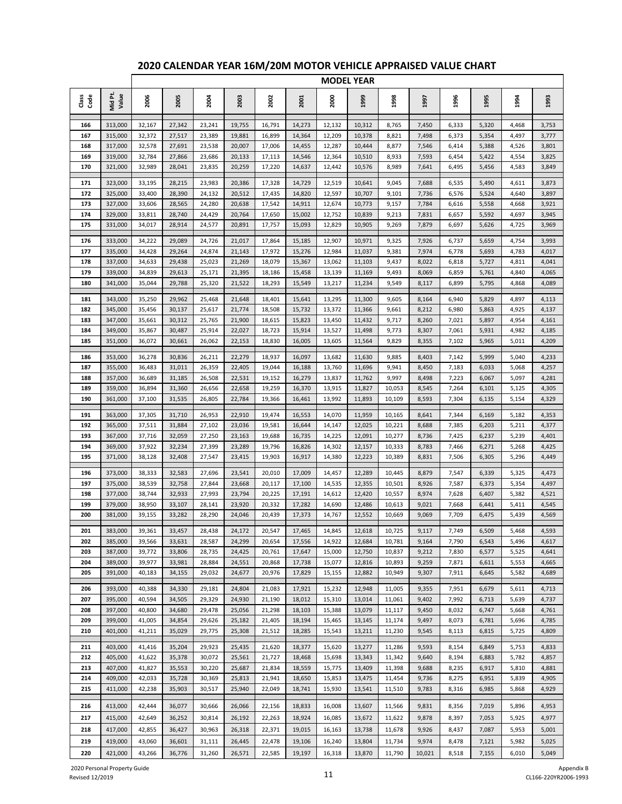|               |                    |                  |                  |                  |                  |                  |                  |                  | <b>MODEL YEAR</b> |                  |                |                |                |                |                |
|---------------|--------------------|------------------|------------------|------------------|------------------|------------------|------------------|------------------|-------------------|------------------|----------------|----------------|----------------|----------------|----------------|
| Class<br>Code | Mid Pt.<br>Value   | 2006             | 2005             | 2004             | 2003             | 2002             | 2001             | 2000             | 1999              | 1998             | 1997           | 1996           | 1995           | 1994           | 1993           |
| 166           | 313,000            | 32,167           | 27,342           | 23,241           | 19,755           | 16,791           | 14,273           | 12,132           | 10,312            | 8,765            | 7,450          | 6,333          | 5,320          | 4,468          | 3,753          |
| 167           | 315,000            | 32,372           | 27,517           | 23,389           | 19,881           | 16,899           | 14,364           | 12,209           | 10,378            | 8,821            | 7,498          | 6,373          | 5,354          | 4,497          | 3,777          |
| 168           | 317,000            | 32,578           | 27,691           | 23,538           | 20,007           | 17,006           | 14,455           | 12,287           | 10,444            | 8,877            | 7,546          | 6,414          | 5,388          | 4,526          | 3,801          |
| 169           | 319,000            | 32,784           | 27,866           | 23,686           | 20,133           | 17,113           | 14,546           | 12,364           | 10,510            | 8,933            | 7,593          | 6,454          | 5,422          | 4,554          | 3,825          |
| 170           | 321,000            | 32,989           | 28,041           | 23,835           | 20,259           | 17,220           | 14,637           | 12,442           | 10,576            | 8,989            | 7,641          | 6,495          | 5,456          | 4,583          | 3,849          |
| 171           | 323,000            | 33,195           | 28,215           | 23,983           | 20,386           | 17,328           | 14,729           | 12,519           | 10,641            | 9,045            | 7,688          | 6,535          | 5,490          | 4,611          | 3,873          |
| 172           | 325,000            | 33,400           | 28,390           | 24,132           | 20,512           | 17,435           | 14,820           | 12,597           | 10,707            | 9,101            | 7,736          | 6,576          | 5,524          | 4,640          | 3,897          |
| 173           | 327,000            | 33,606           | 28,565           | 24,280           | 20,638           | 17,542           | 14,911           | 12,674           | 10,773            | 9,157            | 7,784          | 6,616          | 5,558          | 4,668          | 3,921          |
| 174<br>175    | 329,000<br>331,000 | 33,811<br>34,017 | 28,740<br>28,914 | 24,429<br>24,577 | 20,764<br>20,891 | 17,650<br>17,757 | 15,002<br>15,093 | 12,752<br>12,829 | 10,839<br>10,905  | 9,213<br>9,269   | 7,831<br>7,879 | 6,657<br>6,697 | 5,592<br>5,626 | 4,697<br>4,725 | 3,945<br>3,969 |
|               |                    |                  |                  |                  |                  |                  |                  |                  |                   |                  |                |                |                |                |                |
| 176           | 333,000            | 34,222           | 29,089           | 24,726           | 21,017           | 17,864           | 15,185           | 12,907           | 10,971            | 9,325            | 7,926          | 6,737          | 5,659          | 4,754          | 3,993          |
| 177           | 335,000            | 34,428           | 29,264           | 24,874           | 21,143           | 17,972           | 15,276           | 12,984           | 11,037            | 9,381            | 7,974          | 6,778          | 5,693          | 4,783          | 4,017          |
| 178<br>179    | 337,000<br>339,000 | 34,633<br>34,839 | 29,438<br>29,613 | 25,023<br>25,171 | 21,269<br>21,395 | 18,079<br>18,186 | 15,367<br>15,458 | 13,062<br>13,139 | 11,103<br>11,169  | 9,437<br>9,493   | 8,022<br>8,069 | 6,818<br>6,859 | 5,727<br>5,761 | 4,811<br>4,840 | 4,041<br>4,065 |
| 180           | 341,000            | 35,044           | 29,788           | 25,320           | 21,522           | 18,293           | 15,549           | 13,217           | 11,234            | 9,549            | 8,117          | 6,899          | 5,795          | 4,868          | 4,089          |
|               |                    |                  |                  |                  |                  |                  |                  |                  |                   |                  |                |                |                |                |                |
| 181           | 343,000            | 35,250           | 29,962           | 25,468           | 21,648           | 18,401           | 15,641           | 13,295           | 11,300            | 9,605            | 8,164          | 6,940          | 5,829          | 4,897          | 4,113          |
| 182<br>183    | 345,000<br>347,000 | 35,456<br>35,661 | 30,137<br>30,312 | 25,617<br>25,765 | 21,774<br>21,900 | 18,508<br>18,615 | 15,732<br>15,823 | 13,372<br>13,450 | 11,366<br>11,432  | 9,661<br>9,717   | 8,212<br>8,260 | 6,980<br>7,021 | 5,863<br>5,897 | 4,925<br>4,954 | 4,137<br>4,161 |
| 184           | 349,000            | 35,867           | 30,487           | 25,914           | 22,027           | 18,723           | 15,914           | 13,527           | 11,498            | 9,773            | 8,307          | 7,061          | 5,931          | 4,982          | 4,185          |
| 185           | 351,000            | 36,072           | 30,661           | 26.062           | 22,153           | 18,830           | 16,005           | 13,605           | 11,564            | 9,829            | 8,355          | 7,102          | 5,965          | 5,011          | 4,209          |
|               | 353,000            | 36,278           | 30,836           | 26,211           | 22,279           | 18,937           | 16,097           | 13,682           | 11,630            |                  |                |                |                | 5,040          | 4,233          |
| 186<br>187    | 355,000            | 36,483           | 31,011           | 26,359           | 22,405           | 19,044           | 16,188           | 13,760           | 11,696            | 9,885<br>9,941   | 8,403<br>8,450 | 7,142<br>7,183 | 5,999<br>6,033 | 5,068          | 4,257          |
| 188           | 357,000            | 36,689           | 31,185           | 26,508           | 22,531           | 19,152           | 16,279           | 13,837           | 11,762            | 9,997            | 8,498          | 7,223          | 6,067          | 5,097          | 4,281          |
| 189           | 359,000            | 36,894           | 31,360           | 26,656           | 22,658           | 19,259           | 16,370           | 13,915           | 11,827            | 10,053           | 8,545          | 7,264          | 6,101          | 5,125          | 4,305          |
| 190           | 361,000            | 37,100           | 31,535           | 26,805           | 22,784           | 19,366           | 16,461           | 13,992           | 11,893            | 10,109           | 8,593          | 7,304          | 6,135          | 5,154          | 4,329          |
| 191           | 363,000            | 37,305           | 31,710           | 26,953           | 22,910           | 19,474           | 16,553           | 14,070           | 11,959            | 10,165           | 8,641          | 7,344          | 6,169          | 5,182          | 4,353          |
| 192           | 365,000            | 37,511           | 31,884           | 27,102           | 23,036           | 19,581           | 16,644           | 14,147           | 12,025            | 10,221           | 8,688          | 7,385          | 6,203          | 5,211          | 4,377          |
| 193           | 367,000            | 37,716           | 32,059           | 27,250           | 23,163           | 19,688           | 16,735           | 14,225           | 12,091            | 10,277           | 8,736          | 7,425          | 6,237          | 5,239          | 4,401          |
| 194           | 369,000            | 37,922           | 32,234           | 27,399           | 23,289           | 19,796           | 16,826           | 14,302           | 12,157            | 10,333           | 8,783          | 7,466          | 6,271          | 5,268          | 4,425          |
| 195           | 371,000            | 38,128           | 32,408           | 27,547           | 23,415           | 19,903           | 16,917           | 14,380           | 12,223            | 10,389           | 8,831          | 7,506          | 6,305          | 5,296          | 4,449          |
| 196           | 373,000            | 38,333           | 32,583           | 27,696           | 23,541           | 20,010           | 17,009           | 14,457           | 12,289            | 10,445           | 8,879          | 7,547          | 6,339          | 5,325          | 4,473          |
| 197           | 375,000            | 38,539           | 32,758           | 27,844           | 23,668           | 20,117           | 17,100           | 14,535           | 12,355            | 10,501           | 8,926          | 7,587          | 6,373          | 5,354          | 4,497          |
| 198           | 377,000            | 38,744           | 32,933           | 27,993           | 23,794           | 20,225           | 17,191           | 14,612           | 12,420            | 10,557           | 8,974          | 7,628          | 6,407          | 5,382          | 4,521          |
| 199           | 379,000            | 38,950           | 33,107           | 28,141           | 23,920           | 20,332           | 17,282           | 14,690           | 12,486            | 10,613           | 9,021          | 7,668          | 6,441          | 5,411          | 4,545          |
| 200           | 381,000            | 39,155           | 33,282           | 28,290           | 24,046           | 20,439           | 17,373           | 14,767           | 12,552            | 10,669           | 9,069          | 7,709          | 6,475          | 5,439          | 4,569          |
| 201           | 383,000            | 39,361           | 33,457           | 28,438           | 24,172           | 20,547           | 17,465           | 14,845           | 12,618            | 10,725           | 9,117          | 7,749          | 6,509          | 5,468          | 4,593          |
| 202           | 385,000            | 39,566           | 33,631           | 28,587           | 24,299           | 20,654           | 17,556           | 14,922           | 12,684            | 10,781           | 9,164          | 7,790          | 6,543          | 5,496          | 4,617          |
| 203           | 387,000<br>389,000 | 39,772           | 33,806           | 28,735           | 24,425           | 20,761           | 17,647           | 15,000           | 12,750            | 10,837           | 9,212          | 7,830          | 6,577          | 5,525          | 4,641          |
| 204<br>205    | 391,000            | 39,977<br>40,183 | 33,981<br>34,155 | 28,884<br>29,032 | 24,551<br>24,677 | 20,868<br>20,976 | 17,738<br>17,829 | 15,077<br>15,155 | 12,816<br>12,882  | 10,893<br>10,949 | 9,259<br>9,307 | 7,871<br>7,911 | 6,611<br>6,645 | 5,553<br>5,582 | 4,665<br>4,689 |
|               |                    |                  |                  |                  |                  |                  |                  |                  |                   |                  |                |                |                |                |                |
| 206           | 393,000            | 40,388           | 34,330           | 29,181           | 24,804           | 21,083           | 17,921           | 15,232           | 12,948            | 11,005           | 9,355          | 7,951          | 6,679          | 5,611          | 4,713          |
| 207<br>208    | 395,000<br>397,000 | 40,594<br>40,800 | 34,505           | 29,329<br>29,478 | 24,930<br>25,056 | 21,190           | 18,012           | 15,310<br>15,388 | 13,014            | 11,061           | 9,402<br>9,450 | 7,992          | 6,713<br>6,747 | 5,639<br>5,668 | 4,737<br>4,761 |
| 209           | 399,000            | 41,005           | 34,680<br>34,854 | 29,626           | 25,182           | 21,298<br>21,405 | 18,103<br>18,194 | 15,465           | 13,079<br>13,145  | 11,117<br>11,174 | 9,497          | 8,032<br>8,073 | 6,781          | 5,696          | 4,785          |
| 210           | 401,000            | 41,211           | 35,029           | 29,775           | 25,308           | 21,512           | 18,285           | 15,543           | 13,211            | 11,230           | 9,545          | 8,113          | 6,815          | 5,725          | 4,809          |
|               |                    |                  |                  |                  |                  |                  |                  |                  |                   |                  |                |                |                |                |                |
| 211<br>212    | 403,000<br>405,000 | 41,416<br>41,622 | 35,204<br>35,378 | 29,923<br>30,072 | 25,435<br>25,561 | 21,620<br>21,727 | 18,377<br>18,468 | 15,620<br>15,698 | 13,277<br>13,343  | 11,286<br>11,342 | 9,593<br>9,640 | 8,154<br>8,194 | 6,849<br>6,883 | 5,753<br>5,782 | 4,833<br>4,857 |
| 213           | 407,000            | 41,827           | 35,553           | 30,220           | 25,687           | 21,834           | 18,559           | 15,775           | 13,409            | 11,398           | 9,688          | 8,235          | 6,917          | 5,810          | 4,881          |
| 214           | 409,000            | 42,033           | 35,728           | 30,369           | 25,813           | 21,941           | 18,650           | 15,853           | 13,475            | 11,454           | 9,736          | 8,275          | 6,951          | 5,839          | 4,905          |
| 215           | 411,000            | 42,238           | 35,903           | 30,517           | 25,940           | 22,049           | 18,741           | 15,930           | 13,541            | 11,510           | 9,783          | 8,316          | 6,985          | 5,868          | 4,929          |
| 216           | 413,000            | 42,444           |                  | 30,666           | 26,066           | 22,156           | 18,833           | 16,008           | 13,607            |                  | 9,831          |                | 7,019          | 5,896          |                |
| 217           | 415,000            | 42,649           | 36,077           | 30,814           | 26,192           | 22,263           |                  | 16,085           | 13,672            | 11,566<br>11,622 | 9,878          | 8,356<br>8,397 |                |                | 4,953<br>4,977 |
| 218           | 417,000            |                  | 36,252           | 30,963           | 26,318           | 22,371           | 18,924<br>19,015 |                  |                   |                  | 9,926          | 8,437          | 7,053<br>7,087 | 5,925          | 5,001          |
| 219           | 419,000            | 42,855<br>43,060 | 36,427<br>36,601 | 31,111           | 26,445           | 22,478           | 19,106           | 16,163<br>16,240 | 13,738<br>13,804  | 11,678<br>11,734 | 9,974          | 8,478          | 7,121          | 5,953<br>5,982 | 5,025          |
| 220           | 421,000            | 43,266           | 36,776           | 31,260           | 26,571           | 22,585           | 19,197           | 16,318           | 13,870            | 11,790           | 10,021         | 8,518          | 7,155          | 6,010          | 5,049          |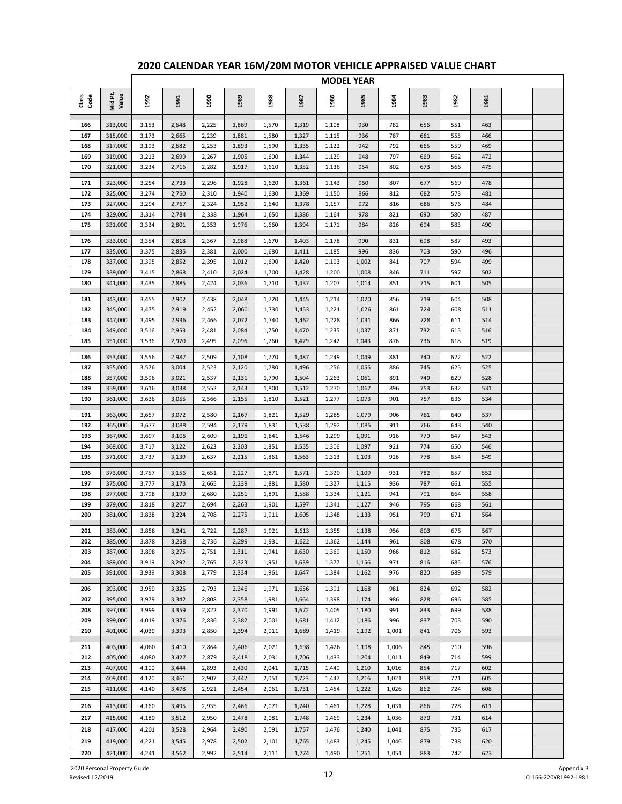|              |                  |       |       |       |       |       |       |       | <b>MODEL YEAR</b> |       |      |      |      |  |
|--------------|------------------|-------|-------|-------|-------|-------|-------|-------|-------------------|-------|------|------|------|--|
| Cass<br>Code | Mid Pt.<br>Value | 1992  | 1991  | 1990  | 1989  | 1988  | 1987  | 1986  | 1985              | 1984  | 1983 | 1982 | 1981 |  |
| 166          | 313,000          | 3,153 | 2,648 | 2,225 | 1,869 | 1,570 | 1,319 | 1,108 | 930               | 782   | 656  | 551  | 463  |  |
| 167          | 315,000          | 3,173 | 2,665 | 2,239 | 1,881 | 1,580 | 1,327 | 1,115 | 936               | 787   | 661  | 555  | 466  |  |
| 168          | 317,000          | 3,193 | 2,682 | 2,253 | 1,893 | 1,590 | 1,335 | 1,122 | 942               | 792   | 665  | 559  | 469  |  |
| 169          | 319,000          | 3,213 | 2,699 | 2,267 | 1,905 | 1,600 | 1,344 | 1,129 | 948               | 797   | 669  | 562  | 472  |  |
| 170          | 321,000          | 3,234 | 2,716 | 2,282 | 1,917 | 1,610 | 1,352 | 1,136 | 954               | 802   | 673  | 566  | 475  |  |
| 171          | 323,000          | 3,254 | 2,733 | 2,296 | 1,928 | 1,620 | 1,361 | 1,143 | 960               | 807   | 677  | 569  | 478  |  |
| 172          | 325,000          | 3,274 | 2,750 | 2,310 | 1,940 | 1,630 | 1,369 | 1,150 | 966               | 812   | 682  | 573  | 481  |  |
| 173          | 327,000          | 3,294 | 2,767 | 2,324 | 1,952 | 1,640 | 1,378 | 1,157 | 972               | 816   | 686  | 576  | 484  |  |
| 174          | 329,000          | 3,314 | 2,784 | 2,338 | 1,964 | 1,650 | 1,386 | 1,164 | 978               | 821   | 690  | 580  | 487  |  |
| 175          | 331,000          | 3,334 | 2,801 | 2,353 | 1,976 | 1,660 | 1,394 | 1,171 | 984               | 826   | 694  | 583  | 490  |  |
| 176          | 333,000          | 3,354 | 2,818 | 2,367 | 1,988 | 1,670 | 1,403 | 1,178 | 990               | 831   | 698  | 587  | 493  |  |
| 177          | 335,000          | 3,375 | 2,835 | 2,381 | 2,000 | 1,680 | 1,411 | 1,185 | 996               | 836   | 703  | 590  | 496  |  |
| 178          | 337,000          | 3,395 | 2,852 | 2,395 | 2,012 | 1,690 | 1,420 | 1,193 | 1,002             | 841   | 707  | 594  | 499  |  |
| 179          | 339,000          | 3,415 | 2,868 | 2,410 | 2,024 | 1,700 | 1,428 | 1,200 | 1,008             | 846   | 711  | 597  | 502  |  |
| 180          | 341,000          | 3,435 | 2,885 | 2,424 | 2,036 | 1,710 | 1,437 | 1,207 | 1,014             | 851   | 715  | 601  | 505  |  |
| 181          | 343,000          | 3,455 | 2,902 | 2,438 | 2,048 | 1,720 | 1,445 | 1,214 | 1,020             | 856   | 719  | 604  | 508  |  |
| 182          | 345,000          | 3,475 | 2,919 | 2,452 | 2,060 | 1,730 | 1,453 | 1,221 | 1,026             | 861   | 724  | 608  | 511  |  |
| 183          | 347,000          | 3,495 | 2,936 | 2,466 | 2,072 | 1,740 | 1,462 | 1,228 | 1,031             | 866   | 728  | 611  | 514  |  |
| 184          | 349,000          | 3,516 | 2,953 | 2,481 | 2,084 | 1,750 | 1,470 | 1,235 | 1,037             | 871   | 732  | 615  | 516  |  |
| 185          | 351,000          | 3,536 | 2,970 | 2,495 | 2,096 | 1,760 | 1,479 | 1,242 | 1,043             | 876   | 736  | 618  | 519  |  |
| 186          | 353,000          | 3,556 | 2,987 | 2,509 | 2,108 | 1,770 | 1,487 | 1,249 | 1,049             | 881   | 740  | 622  | 522  |  |
| 187          | 355,000          | 3,576 | 3,004 | 2,523 | 2,120 | 1,780 | 1,496 | 1,256 | 1,055             | 886   | 745  | 625  | 525  |  |
| 188          | 357,000          | 3,596 | 3,021 | 2,537 | 2,131 | 1,790 | 1,504 | 1,263 | 1,061             | 891   | 749  | 629  | 528  |  |
| 189          | 359,000          | 3,616 | 3,038 | 2,552 | 2,143 | 1,800 | 1,512 | 1,270 | 1,067             | 896   | 753  | 632  | 531  |  |
| 190          | 361,000          | 3,636 | 3,055 | 2,566 | 2,155 | 1,810 | 1,521 | 1,277 | 1,073             | 901   | 757  | 636  | 534  |  |
| 191          | 363,000          | 3,657 | 3,072 | 2,580 | 2,167 | 1,821 | 1,529 | 1,285 | 1,079             | 906   | 761  | 640  | 537  |  |
| 192          | 365,000          | 3,677 | 3,088 | 2,594 | 2,179 | 1,831 | 1,538 | 1,292 | 1,085             | 911   | 766  | 643  | 540  |  |
| 193          | 367,000          | 3,697 | 3,105 | 2,609 | 2,191 | 1,841 | 1,546 | 1,299 | 1,091             | 916   | 770  | 647  | 543  |  |
| 194          | 369,000          | 3,717 | 3,122 | 2,623 | 2,203 | 1,851 | 1,555 | 1,306 | 1,097             | 921   | 774  | 650  | 546  |  |
| 195          | 371,000          | 3,737 | 3,139 | 2,637 | 2,215 | 1,861 | 1,563 | 1,313 | 1,103             | 926   | 778  | 654  | 549  |  |
| 196          | 373,000          | 3,757 | 3,156 | 2,651 | 2,227 | 1,871 | 1,571 | 1,320 | 1,109             | 931   | 782  | 657  | 552  |  |
| 197          | 375,000          | 3,777 | 3,173 | 2,665 | 2,239 | 1,881 | 1,580 | 1,327 | 1,115             | 936   | 787  | 661  | 555  |  |
| 198          | 377,000          | 3,798 | 3,190 | 2,680 | 2,251 | 1,891 | 1,588 | 1,334 | 1,121             | 941   | 791  | 664  | 558  |  |
| 199          | 379,000          | 3,818 | 3,207 | 2,694 | 2,263 | 1,901 | 1,597 | 1,341 | 1,127             | 946   | 795  | 668  | 561  |  |
| 200          | 381,000          | 3,838 | 3,224 | 2,708 | 2,275 | 1,911 | 1,605 | 1,348 | 1,133             | 951   | 799  | 671  | 564  |  |
| 201          | 383,000          | 3,858 | 3,241 | 2,722 | 2,287 | 1,921 | 1,613 | 1,355 | 1,138             | 956   | 803  | 675  | 567  |  |
| 202          | 385,000          | 3,878 | 3,258 | 2,736 | 2,299 | 1,931 | 1,622 | 1,362 | 1,144             | 961   | 808  | 678  | 570  |  |
| 203          | 387,000          | 3,898 | 3,275 | 2,751 | 2,311 | 1,941 | 1,630 | 1,369 | 1,150             | 966   | 812  | 682  | 573  |  |
| 204          | 389,000          | 3,919 | 3,292 | 2,765 | 2,323 | 1,951 | 1,639 | 1,377 | 1,156             | 971   | 816  | 685  | 576  |  |
| 205          | 391,000          | 3,939 | 3,308 | 2,779 | 2,334 | 1,961 | 1,647 | 1,384 | 1,162             | 976   | 820  | 689  | 579  |  |
| 206          | 393,000          | 3,959 | 3,325 | 2,793 | 2,346 | 1,971 | 1,656 | 1,391 | 1,168             | 981   | 824  | 692  | 582  |  |
| 207          | 395,000          | 3,979 | 3,342 | 2,808 | 2,358 | 1,981 | 1,664 | 1,398 | 1,174             | 986   | 828  | 696  | 585  |  |
| 208          | 397,000          | 3,999 | 3,359 | 2,822 | 2,370 | 1,991 | 1,672 | 1,405 | 1,180             | 991   | 833  | 699  | 588  |  |
| 209          | 399,000          | 4,019 | 3,376 | 2,836 | 2,382 | 2,001 | 1,681 | 1,412 | 1,186             | 996   | 837  | 703  | 590  |  |
| 210          | 401,000          | 4,039 | 3,393 | 2,850 | 2,394 | 2,011 | 1,689 | 1,419 | 1,192             | 1,001 | 841  | 706  | 593  |  |
| 211          | 403,000          | 4,060 | 3,410 | 2,864 | 2,406 | 2,021 | 1,698 | 1,426 | 1,198             | 1,006 | 845  | 710  | 596  |  |
| 212          | 405,000          | 4,080 | 3,427 | 2,879 | 2,418 | 2,031 | 1,706 | 1,433 | 1,204             | 1,011 | 849  | 714  | 599  |  |
| 213          | 407,000          | 4,100 | 3,444 | 2,893 | 2,430 | 2,041 | 1,715 | 1,440 | 1,210             | 1,016 | 854  | 717  | 602  |  |
| 214          | 409,000          | 4,120 | 3,461 | 2,907 | 2,442 | 2,051 | 1,723 | 1,447 | 1,216             | 1,021 | 858  | 721  | 605  |  |
| 215          | 411,000          | 4,140 | 3,478 | 2,921 | 2,454 | 2,061 | 1,731 | 1,454 | 1,222             | 1,026 | 862  | 724  | 608  |  |
| 216          | 413,000          | 4,160 | 3,495 | 2,935 | 2,466 | 2,071 | 1,740 | 1,461 | 1,228             | 1,031 | 866  | 728  | 611  |  |
| 217          | 415,000          | 4,180 | 3,512 | 2,950 | 2,478 | 2,081 | 1,748 | 1,469 | 1,234             | 1,036 | 870  | 731  | 614  |  |
| 218          | 417,000          | 4,201 | 3,528 | 2,964 | 2,490 | 2,091 | 1,757 | 1,476 | 1,240             | 1,041 | 875  | 735  | 617  |  |
| 219          | 419,000          | 4,221 | 3,545 | 2,978 | 2,502 | 2,101 | 1,765 | 1,483 | 1,245             | 1,046 | 879  | 738  | 620  |  |
| 220          | 421,000          | 4,241 | 3,562 | 2,992 | 2,514 | 2,111 | 1,774 | 1,490 | 1,251             | 1,051 | 883  | 742  | 623  |  |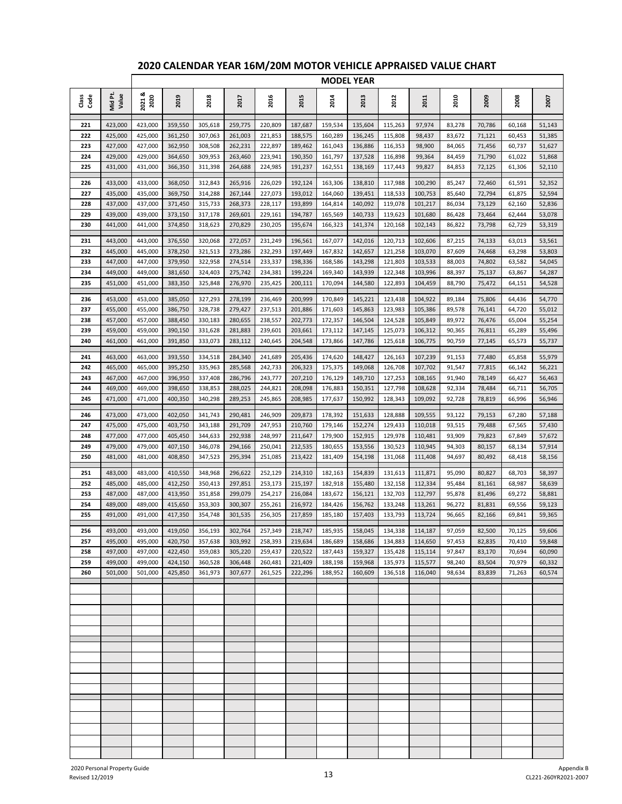|              |                    | <b>MODEL YEAR</b>  |                    |                    |                    |                    |                    |                    |                    |                    |                    |                  |                  |                  |                  |
|--------------|--------------------|--------------------|--------------------|--------------------|--------------------|--------------------|--------------------|--------------------|--------------------|--------------------|--------------------|------------------|------------------|------------------|------------------|
| Cass<br>Code | Mid Pt.<br>Value   | 2021&<br>2020      | 2019               | 2018               | 2017               | 2016               | 2015               | 2014               | 2013               | 2012               | 2011               | 2010             | 2009             | 2008             | 2007             |
| 221          | 423,000            | 423,000            | 359,550            | 305,618            | 259,775            | 220,809            | 187,687            | 159,534            | 135,604            | 115,263            | 97,974             | 83,278           | 70,786           | 60,168           | 51,143           |
| 222          | 425,000            | 425,000            | 361,250            | 307,063            | 261,003            | 221,853            | 188,575            | 160,289            | 136,245            | 115,808            | 98,437             | 83,672           | 71,121           | 60,453           | 51,385           |
| 223          | 427,000            | 427,000            | 362,950            | 308,508            | 262,231            | 222,897            | 189,462            | 161,043            | 136,886            | 116,353            | 98,900             | 84,065           | 71,456           | 60,737           | 51,627           |
| 224          | 429,000            | 429,000            | 364,650            | 309,953            | 263,460            | 223,941            | 190,350            | 161,797            | 137,528            | 116,898            | 99,364             | 84,459           | 71,790           | 61,022           | 51,868           |
| 225          | 431,000            | 431,000            | 366,350            | 311,398            | 264,688            | 224,985            | 191,237            | 162,551            | 138,169            | 117,443            | 99,827             | 84,853           | 72,125           | 61,306           | 52,110           |
| 226          | 433,000            | 433,000            | 368,050            | 312,843            | 265,916            | 226,029            | 192,124            | 163,306            | 138,810            | 117,988            | 100,290            | 85,247           | 72,460           | 61,591           | 52,352           |
| 227          | 435,000            | 435,000            | 369,750            | 314,288            | 267,144            | 227,073            | 193,012            | 164,060            | 139,451            | 118,533            | 100,753            | 85,640           | 72,794           | 61,875           | 52,594           |
| 228          | 437,000            | 437,000            | 371,450            | 315,733            | 268,373            | 228,117            | 193,899            | 164,814            | 140,092            | 119,078            | 101,217            | 86,034           | 73,129           | 62,160           | 52,836           |
| 229<br>230   | 439,000<br>441,000 | 439,000<br>441,000 | 373,150<br>374,850 | 317,178<br>318,623 | 269,601<br>270,829 | 229,161<br>230,205 | 194,787<br>195,674 | 165,569<br>166,323 | 140,733<br>141,374 | 119,623<br>120,168 | 101,680<br>102,143 | 86,428<br>86,822 | 73,464<br>73,798 | 62,444<br>62,729 | 53,078<br>53,319 |
|              |                    |                    |                    |                    |                    |                    |                    |                    |                    |                    |                    |                  |                  |                  |                  |
| 231          | 443,000            | 443,000            | 376,550            | 320,068            | 272,057            | 231,249            | 196,561            | 167,077            | 142,016            | 120,713            | 102,606            | 87,215           | 74,133           | 63,013           | 53,561           |
| 232          | 445,000            | 445,000            | 378,250            | 321,513            | 273,286            | 232,293            | 197,449            | 167,832            | 142,657            | 121,258            | 103,070            | 87,609           | 74,468           | 63,298           | 53,803           |
| 233<br>234   | 447,000<br>449,000 | 447,000<br>449,000 | 379,950<br>381,650 | 322,958<br>324,403 | 274,514<br>275,742 | 233,337<br>234,381 | 198,336<br>199,224 | 168,586<br>169,340 | 143,298<br>143,939 | 121,803<br>122,348 | 103,533<br>103,996 | 88,003<br>88,397 | 74,802<br>75,137 | 63,582<br>63,867 | 54,045<br>54,287 |
| 235          | 451,000            | 451,000            | 383,350            | 325,848            | 276,970            | 235,425            | 200,111            | 170,094            | 144,580            | 122,893            | 104,459            | 88,790           | 75,472           | 64,151           | 54,528           |
|              |                    |                    |                    |                    |                    |                    |                    |                    |                    |                    |                    |                  |                  |                  |                  |
| 236          | 453,000<br>455,000 | 453,000            | 385,050            | 327,293            | 278,199            | 236,469            | 200,999<br>201,886 | 170,849            | 145,221            | 123,438            | 104,922            | 89,184           | 75,806           | 64,436           | 54,770           |
| 237<br>238   | 457,000            | 455,000<br>457,000 | 386,750<br>388,450 | 328,738<br>330,183 | 279,427<br>280,655 | 237,513<br>238,557 | 202,773            | 171,603<br>172,357 | 145,863<br>146,504 | 123,983<br>124,528 | 105,386<br>105,849 | 89,578<br>89,972 | 76,141<br>76,476 | 64,720<br>65,004 | 55,012<br>55,254 |
| 239          | 459,000            | 459,000            | 390,150            | 331,628            | 281,883            | 239,601            | 203,661            | 173,112            | 147,145            | 125,073            | 106,312            | 90,365           | 76,811           | 65,289           | 55,496           |
| 240          | 461,000            | 461,000            | 391,850            | 333,073            | 283,112            | 240,645            | 204,548            | 173,866            | 147,786            | 125,618            | 106,775            | 90,759           | 77,145           | 65,573           | 55,737           |
| 241          | 463,000            | 463,000            | 393,550            | 334,518            | 284,340            | 241,689            | 205,436            | 174,620            | 148,427            | 126,163            | 107,239            | 91,153           | 77,480           | 65,858           | 55,979           |
| 242          | 465,000            | 465,000            | 395,250            | 335,963            | 285,568            | 242,733            | 206,323            | 175,375            | 149,068            | 126,708            | 107,702            | 91,547           | 77,815           | 66,142           | 56,221           |
| 243          | 467,000            | 467,000            | 396,950            | 337,408            | 286,796            | 243,777            | 207,210            | 176,129            | 149,710            | 127,253            | 108,165            | 91,940           | 78,149           | 66,427           | 56,463           |
| 244          | 469,000            | 469,000            | 398,650            | 338,853            | 288,025            | 244,821            | 208,098            | 176,883            | 150,351            | 127,798            | 108,628            | 92,334           | 78,484           | 66,711           | 56,705           |
| 245          | 471,000            | 471,000            | 400,350            | 340,298            | 289,253            | 245,865            | 208,985            | 177,637            | 150,992            | 128,343            | 109,092            | 92,728           | 78,819           | 66,996           | 56,946           |
| 246          | 473,000            | 473,000            | 402,050            | 341,743            | 290,481            | 246,909            | 209,873            | 178,392            | 151,633            | 128,888            | 109,555            | 93,122           | 79,153           | 67,280           | 57,188           |
| 247          | 475,000            | 475,000            | 403,750            | 343,188            | 291,709            | 247,953            | 210,760            | 179,146            | 152,274            | 129,433            | 110,018            | 93,515           | 79,488           | 67,565           | 57,430           |
| 248          | 477,000            | 477,000            | 405,450            | 344,633            | 292,938            | 248,997            | 211,647            | 179,900            | 152,915            | 129,978            | 110,481            | 93,909           | 79,823           | 67,849           | 57,672           |
| 249          | 479,000            | 479,000            | 407,150            | 346,078            | 294,166            | 250,041            | 212,535            | 180,655            | 153,556            | 130,523            | 110,945            | 94,303           | 80,157           | 68,134           | 57,914           |
| 250          | 481,000            | 481,000            | 408,850            | 347,523            | 295,394            | 251,085            | 213,422            | 181,409            | 154,198            | 131,068            | 111,408            | 94,697           | 80,492           | 68,418           | 58,156           |
| 251          | 483,000            | 483,000            | 410,550            | 348,968            | 296,622            | 252,129            | 214,310            | 182,163            | 154,839            | 131,613            | 111,871            | 95,090           | 80,827           | 68,703           | 58,397           |
| 252          | 485,000            | 485,000            | 412,250            | 350,413            | 297,851            | 253,173            | 215,197            | 182,918            | 155,480            | 132,158            | 112,334            | 95,484           | 81,161           | 68,987           | 58,639           |
| 253<br>254   | 487,000<br>489,000 | 487,000<br>489,000 | 413,950<br>415,650 | 351,858<br>353,303 | 299,079<br>300,307 | 254,217<br>255,261 | 216,084<br>216,972 | 183,672<br>184,426 | 156,121<br>156,762 | 132,703<br>133,248 | 112,797<br>113,261 | 95,878<br>96,272 | 81,496<br>81,831 | 69,272<br>69,556 | 58,881<br>59,123 |
| 255          | 491.000            | 491,000            | 417,350            | 354,748            | 301,535            | 256,305            | 217,859            | 185,180            | 157,403            | 133,793            | 113,724            | 96,665           | 82,166           | 69,841           | 59,365           |
|              |                    |                    |                    |                    |                    |                    |                    |                    |                    |                    |                    |                  |                  |                  |                  |
| 256          | 493,000<br>495,000 | 493,000            | 419,050            | 356,193            | 302,764            | 257,349<br>258,393 | 218,747            | 185,935            | 158,045            | 134,338            | 114,187            | 97,059           | 82,500           | 70,125           | 59,606           |
| 257<br>258   | 497,000            | 495,000<br>497,000 | 420,750<br>422,450 | 357,638<br>359,083 | 303,992<br>305,220 | 259,437            | 219,634<br>220,522 | 186,689<br>187,443 | 158,686<br>159,327 | 134,883<br>135,428 | 114,650<br>115,114 | 97,453<br>97,847 | 82,835<br>83,170 | 70,410<br>70,694 | 59,848<br>60,090 |
| 259          | 499,000            | 499,000            | 424,150            | 360,528            | 306,448            | 260,481            | 221,409            | 188,198            | 159,968            | 135,973            | 115,577            | 98,240           | 83,504           | 70,979           | 60,332           |
| 260          | 501,000            | 501,000            | 425,850            | 361,973            | 307,677            | 261,525            | 222,296            | 188,952            | 160,609            | 136,518            | 116,040            | 98,634           | 83,839           | 71,263           | 60,574           |
|              |                    |                    |                    |                    |                    |                    |                    |                    |                    |                    |                    |                  |                  |                  |                  |
|              |                    |                    |                    |                    |                    |                    |                    |                    |                    |                    |                    |                  |                  |                  |                  |
|              |                    |                    |                    |                    |                    |                    |                    |                    |                    |                    |                    |                  |                  |                  |                  |
|              |                    |                    |                    |                    |                    |                    |                    |                    |                    |                    |                    |                  |                  |                  |                  |
|              |                    |                    |                    |                    |                    |                    |                    |                    |                    |                    |                    |                  |                  |                  |                  |
|              |                    |                    |                    |                    |                    |                    |                    |                    |                    |                    |                    |                  |                  |                  |                  |
|              |                    |                    |                    |                    |                    |                    |                    |                    |                    |                    |                    |                  |                  |                  |                  |
|              |                    |                    |                    |                    |                    |                    |                    |                    |                    |                    |                    |                  |                  |                  |                  |
|              |                    |                    |                    |                    |                    |                    |                    |                    |                    |                    |                    |                  |                  |                  |                  |
|              |                    |                    |                    |                    |                    |                    |                    |                    |                    |                    |                    |                  |                  |                  |                  |
|              |                    |                    |                    |                    |                    |                    |                    |                    |                    |                    |                    |                  |                  |                  |                  |
|              |                    |                    |                    |                    |                    |                    |                    |                    |                    |                    |                    |                  |                  |                  |                  |
|              |                    |                    |                    |                    |                    |                    |                    |                    |                    |                    |                    |                  |                  |                  |                  |
|              |                    |                    |                    |                    |                    |                    |                    |                    |                    |                    |                    |                  |                  |                  |                  |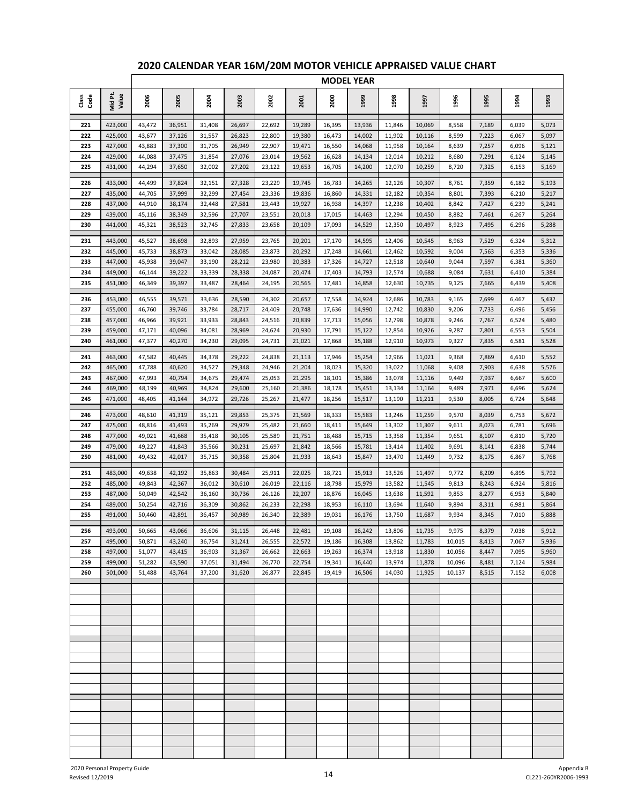|             |                    | <b>MODEL YEAR</b> |                  |                  |                  |                  |                  |                  |                  |                  |                  |                |                |                |                |
|-------------|--------------------|-------------------|------------------|------------------|------------------|------------------|------------------|------------------|------------------|------------------|------------------|----------------|----------------|----------------|----------------|
| das<br>Code | Mid Pt.<br>Value   | 2006              | 2005             | 2004             | 2003             | 2002             | 2001             | 2000             | 1999             | 1998             | 1997             | 1996           | 1995           | 1994           | 1993           |
| 221         | 423,000            | 43,472            | 36,951           | 31,408           | 26,697           | 22,692           | 19,289           | 16,395           | 13,936           | 11,846           | 10,069           | 8,558          | 7,189          | 6,039          | 5,073          |
| 222         | 425,000            | 43,677            | 37,126           | 31,557           | 26,823           | 22,800           | 19,380           | 16,473           | 14,002           | 11,902           | 10,116           | 8,599          | 7,223          | 6,067          | 5,097          |
| 223         | 427,000            | 43,883            | 37,300           | 31,705           | 26,949           | 22,907           | 19,471           | 16,550           | 14,068           | 11,958           | 10,164           | 8,639          | 7,257          | 6,096          | 5,121          |
| 224         | 429,000            | 44,088            | 37,475           | 31,854           | 27,076           | 23,014           | 19,562           | 16,628           | 14,134           | 12,014           | 10,212           | 8,680          | 7,291          | 6,124          | 5,145          |
| 225         | 431,000            | 44,294            | 37,650           | 32,002           | 27,202           | 23,122           | 19,653           | 16,705           | 14,200           | 12,070           | 10,259           | 8,720          | 7,325          | 6,153          | 5,169          |
| 226         | 433,000            | 44,499            | 37,824           | 32,151           | 27,328           | 23,229           | 19,745           | 16,783           | 14,265           | 12,126           | 10,307           | 8,761          | 7,359          | 6,182          | 5,193          |
| 227         | 435,000            | 44,705            | 37,999           | 32,299           | 27,454           | 23,336           | 19,836           | 16,860           | 14,331           | 12,182           | 10,354           | 8,801          | 7,393          | 6,210          | 5,217          |
| 228         | 437,000            | 44,910            | 38,174           | 32,448           | 27,581           | 23,443           | 19,927           | 16,938           | 14,397           | 12,238           | 10,402           | 8,842          | 7,427          | 6,239          | 5,241          |
| 229<br>230  | 439,000<br>441,000 | 45,116<br>45,321  | 38,349<br>38,523 | 32,596<br>32,745 | 27,707<br>27,833 | 23,551<br>23,658 | 20,018<br>20,109 | 17,015<br>17,093 | 14,463<br>14,529 | 12,294<br>12,350 | 10,450<br>10,497 | 8,882<br>8,923 | 7,461<br>7,495 | 6,267<br>6,296 | 5,264<br>5,288 |
|             |                    |                   |                  |                  |                  |                  |                  |                  |                  |                  |                  |                |                |                |                |
| 231         | 443,000            | 45,527            | 38,698           | 32,893           | 27,959           | 23,765           | 20,201           | 17,170           | 14,595           | 12,406           | 10,545           | 8,963          | 7,529          | 6,324          | 5,312          |
| 232         | 445,000            | 45,733            | 38,873           | 33,042           | 28,085           | 23,873           | 20,292           | 17,248           | 14,661           | 12,462           | 10,592           | 9,004          | 7,563          | 6,353          | 5,336          |
| 233<br>234  | 447,000<br>449,000 | 45,938            | 39,047<br>39,222 | 33,190<br>33,339 | 28,212<br>28,338 | 23,980<br>24,087 | 20,383<br>20,474 | 17,326<br>17,403 | 14,727           | 12,518           | 10,640<br>10,688 | 9,044<br>9,084 | 7,597<br>7,631 | 6,381          | 5,360          |
| 235         | 451,000            | 46,144<br>46,349  | 39,397           | 33,487           | 28,464           | 24,195           | 20,565           | 17,481           | 14,793<br>14,858 | 12,574<br>12,630 | 10,735           | 9,125          | 7,665          | 6,410<br>6,439 | 5,384<br>5,408 |
|             |                    |                   |                  |                  |                  |                  |                  |                  |                  |                  |                  |                |                |                |                |
| 236         | 453,000            | 46,555            | 39,571           | 33,636           | 28,590           | 24,302           | 20,657           | 17,558           | 14,924           | 12,686           | 10,783           | 9,165          | 7,699          | 6,467          | 5,432          |
| 237<br>238  | 455,000<br>457,000 | 46,760<br>46,966  | 39,746<br>39,921 | 33,784<br>33,933 | 28,717<br>28,843 | 24,409<br>24,516 | 20,748<br>20,839 | 17,636<br>17,713 | 14,990<br>15,056 | 12,742<br>12,798 | 10,830<br>10,878 | 9,206<br>9,246 | 7,733<br>7,767 | 6,496<br>6,524 | 5,456<br>5,480 |
| 239         | 459,000            | 47,171            | 40,096           | 34,081           | 28,969           | 24,624           | 20,930           | 17,791           | 15,122           | 12,854           | 10,926           | 9,287          | 7,801          | 6,553          | 5,504          |
| 240         | 461.000            | 47,377            | 40,270           | 34,230           | 29,095           | 24,731           | 21,021           | 17,868           | 15,188           | 12,910           | 10,973           | 9,327          | 7,835          | 6,581          | 5,528          |
|             |                    |                   |                  |                  |                  |                  |                  |                  |                  |                  |                  |                |                |                |                |
| 241<br>242  | 463,000<br>465,000 | 47,582<br>47,788  | 40,445<br>40,620 | 34,378<br>34,527 | 29,222<br>29,348 | 24,838<br>24,946 | 21,113<br>21,204 | 17,946<br>18,023 | 15,254<br>15,320 | 12,966<br>13,022 | 11,021<br>11,068 | 9,368<br>9,408 | 7,869<br>7,903 | 6,610<br>6,638 | 5,552<br>5,576 |
| 243         | 467,000            | 47,993            | 40,794           | 34,675           | 29,474           | 25,053           | 21,295           | 18,101           | 15,386           | 13,078           | 11,116           | 9,449          | 7,937          | 6,667          | 5,600          |
| 244         | 469,000            | 48,199            | 40,969           | 34,824           | 29,600           | 25,160           | 21,386           | 18,178           | 15,451           | 13,134           | 11,164           | 9,489          | 7,971          | 6,696          | 5,624          |
| 245         | 471,000            | 48,405            | 41,144           | 34,972           | 29,726           | 25,267           | 21,477           | 18,256           | 15,517           | 13,190           | 11,211           | 9,530          | 8,005          | 6,724          | 5,648          |
| 246         | 473,000            | 48,610            | 41,319           | 35,121           | 29,853           | 25,375           | 21,569           | 18,333           | 15,583           | 13,246           | 11,259           | 9,570          | 8,039          | 6,753          | 5,672          |
| 247         | 475,000            | 48,816            | 41,493           | 35,269           | 29,979           | 25,482           | 21,660           | 18,411           | 15,649           | 13,302           | 11,307           | 9,611          | 8,073          | 6,781          | 5,696          |
| 248         | 477,000            | 49,021            | 41,668           | 35,418           | 30,105           | 25,589           | 21,751           | 18,488           | 15,715           | 13,358           | 11,354           | 9,651          | 8,107          | 6,810          | 5,720          |
| 249         | 479,000            | 49,227            | 41,843           | 35,566           | 30,231           | 25,697           | 21,842           | 18,566           | 15,781           | 13,414           | 11,402           | 9,691          | 8,141          | 6,838          | 5,744          |
| 250         | 481,000            | 49,432            | 42,017           | 35,715           | 30,358           | 25,804           | 21,933           | 18,643           | 15,847           | 13,470           | 11,449           | 9,732          | 8,175          | 6,867          | 5,768          |
| 251         | 483,000            | 49,638            | 42,192           | 35,863           | 30,484           | 25,911           | 22,025           | 18,721           | 15,913           | 13,526           | 11,497           | 9,772          | 8,209          | 6,895          | 5,792          |
| 252         | 485,000            | 49,843            | 42,367           | 36,012           | 30,610           | 26,019           | 22,116           | 18,798           | 15,979           | 13,582           | 11,545           | 9,813          | 8,243          | 6,924          | 5,816          |
| 253         | 487,000            | 50,049            | 42,542           | 36,160           | 30,736           | 26,126           | 22,207           | 18,876           | 16,045           | 13,638           | 11,592           | 9,853          | 8,277          | 6,953          | 5,840          |
| 254         | 489,000            | 50,254            | 42,716           | 36,309           | 30,862           | 26,233           | 22,298           | 18,953           | 16,110           | 13,694           | 11,640           | 9,894          | 8,311          | 6,981          | 5,864          |
| 255         | 491,000            | 50,460            | 42,891           | 36,457           | 30,989           | 26,340           | 22,389           | 19,031           | 16,176           | 13,750           | 11,687           | 9,934          | 8,345          | 7,010          | 5,888          |
| 256         | 493,000            | 50,665            | 43,066           | 36,606           | 31,115           | 26,448           | 22,481           | 19,108           | 16,242           | 13,806           | 11,735           | 9,975          | 8,379          | 7,038          | 5,912          |
| 257         | 495,000            | 50,871            | 43,240           | 36,754           | 31,241           | 26,555           | 22,572           | 19,186           | 16,308           | 13,862           | 11,783           | 10,015         | 8,413          | 7,067          | 5,936          |
| 258         | 497,000            | 51,077            | 43,415           | 36,903           | 31,367           | 26,662           | 22,663           | 19,263           | 16,374           | 13,918           | 11,830           | 10,056         | 8,447          | 7,095          | 5,960          |
| 259         | 499,000<br>501,000 | 51,282            | 43,590           | 37,051<br>37,200 | 31,494           | 26,770           | 22,754<br>22,845 | 19,341           | 16,440           | 13,974           | 11,878           | 10,096         | 8,481          | 7,124          | 5,984          |
| 260         |                    | 51,488            | 43,764           |                  | 31,620           | 26,877           |                  | 19,419           | 16,506           | 14,030           | 11,925           | 10,137         | 8,515          | 7,152          | 6,008          |
|             |                    |                   |                  |                  |                  |                  |                  |                  |                  |                  |                  |                |                |                |                |
|             |                    |                   |                  |                  |                  |                  |                  |                  |                  |                  |                  |                |                |                |                |
|             |                    |                   |                  |                  |                  |                  |                  |                  |                  |                  |                  |                |                |                |                |
|             |                    |                   |                  |                  |                  |                  |                  |                  |                  |                  |                  |                |                |                |                |
|             |                    |                   |                  |                  |                  |                  |                  |                  |                  |                  |                  |                |                |                |                |
|             |                    |                   |                  |                  |                  |                  |                  |                  |                  |                  |                  |                |                |                |                |
|             |                    |                   |                  |                  |                  |                  |                  |                  |                  |                  |                  |                |                |                |                |
|             |                    |                   |                  |                  |                  |                  |                  |                  |                  |                  |                  |                |                |                |                |
|             |                    |                   |                  |                  |                  |                  |                  |                  |                  |                  |                  |                |                |                |                |
|             |                    |                   |                  |                  |                  |                  |                  |                  |                  |                  |                  |                |                |                |                |
|             |                    |                   |                  |                  |                  |                  |                  |                  |                  |                  |                  |                |                |                |                |
|             |                    |                   |                  |                  |                  |                  |                  |                  |                  |                  |                  |                |                |                |                |
|             |                    |                   |                  |                  |                  |                  |                  |                  |                  |                  |                  |                |                |                |                |
|             |                    |                   |                  |                  |                  |                  |                  |                  |                  |                  |                  |                |                |                |                |